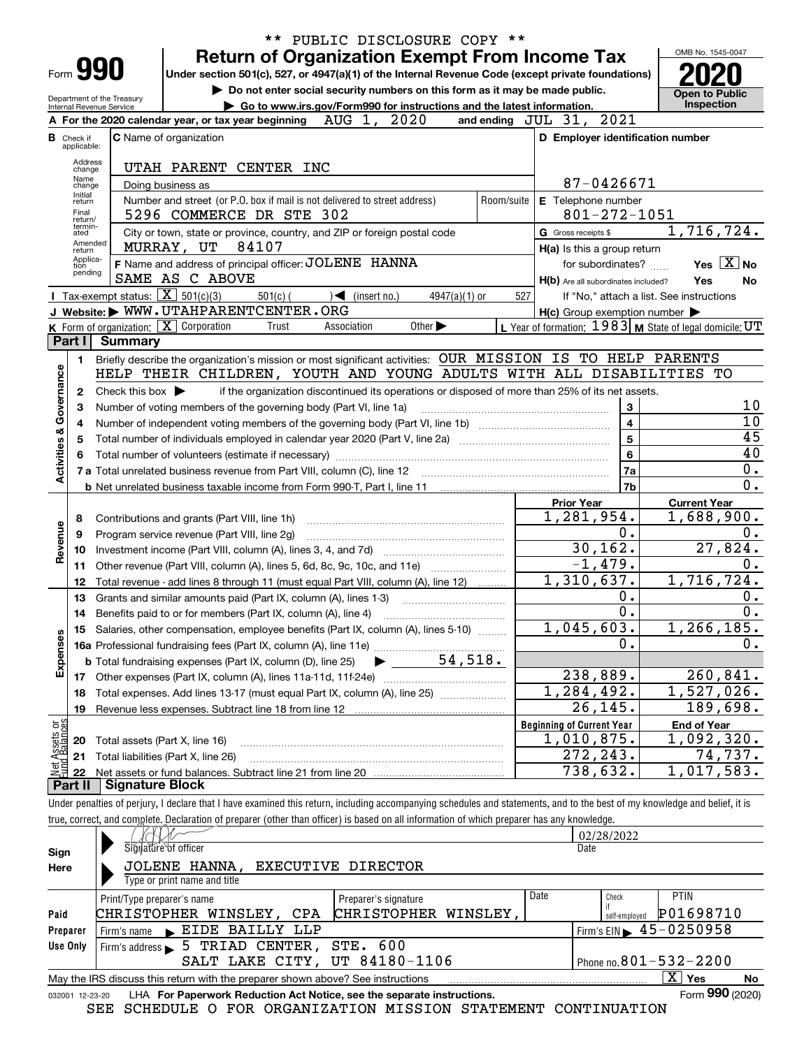|                                |                                  |                                                            |                                                                                                                                                                            |                                   | ** PUBLIC DISCLOSURE COPY **                                                |     |                                                                                                 |                                                           |
|--------------------------------|----------------------------------|------------------------------------------------------------|----------------------------------------------------------------------------------------------------------------------------------------------------------------------------|-----------------------------------|-----------------------------------------------------------------------------|-----|-------------------------------------------------------------------------------------------------|-----------------------------------------------------------|
|                                |                                  |                                                            | <b>Return of Organization Exempt From Income Tax</b>                                                                                                                       |                                   |                                                                             |     |                                                                                                 | OMB No. 1545-0047                                         |
|                                |                                  | Form 990                                                   | Under section 501(c), 527, or 4947(a)(1) of the Internal Revenue Code (except private foundations)                                                                         |                                   |                                                                             |     |                                                                                                 |                                                           |
|                                |                                  | Department of the Treasury                                 |                                                                                                                                                                            |                                   | Do not enter social security numbers on this form as it may be made public. |     |                                                                                                 | <b>Open to Public</b>                                     |
|                                |                                  | Internal Revenue Service                                   |                                                                                                                                                                            |                                   | Go to www.irs.gov/Form990 for instructions and the latest information.      |     |                                                                                                 | Inspection                                                |
|                                |                                  |                                                            | A For the 2020 calendar year, or tax year beginning $AUG 1, 2020$                                                                                                          |                                   |                                                                             |     | 2021<br>and ending $JUL$ $31$ ,                                                                 |                                                           |
|                                | <b>B</b> Check if<br>applicable: |                                                            | <b>C</b> Name of organization                                                                                                                                              |                                   |                                                                             |     | D Employer identification number                                                                |                                                           |
|                                | Address                          |                                                            |                                                                                                                                                                            |                                   |                                                                             |     |                                                                                                 |                                                           |
|                                | change<br>Name                   |                                                            | UTAH PARENT CENTER INC                                                                                                                                                     |                                   |                                                                             |     |                                                                                                 |                                                           |
|                                | change<br>Initial                |                                                            | Doing business as                                                                                                                                                          |                                   |                                                                             |     | 87-0426671                                                                                      |                                                           |
|                                | return<br>Final                  |                                                            | Number and street (or P.O. box if mail is not delivered to street address)                                                                                                 |                                   |                                                                             |     | Room/suite E Telephone number                                                                   |                                                           |
|                                | return/<br>termin-               |                                                            | 5296 COMMERCE DR STE 302                                                                                                                                                   |                                   |                                                                             |     | 801-272-1051                                                                                    |                                                           |
|                                | ated<br>Amended                  |                                                            | City or town, state or province, country, and ZIP or foreign postal code<br>84107<br>MURRAY, UT                                                                            |                                   |                                                                             |     | G Gross receipts \$                                                                             | 1,716,724.                                                |
|                                | return<br>Applica-               |                                                            | F Name and address of principal officer: JOLENE HANNA                                                                                                                      |                                   |                                                                             |     | H(a) Is this a group return                                                                     | Yes $X$ No                                                |
|                                | tion<br>pending                  |                                                            | SAME AS C ABOVE                                                                                                                                                            |                                   |                                                                             |     | for subordinates?                                                                               | Yes<br>No                                                 |
|                                |                                  | <b>T</b> Tax-exempt status: $\boxed{\mathbf{X}}$ 501(c)(3) | $501(c)$ (                                                                                                                                                                 | $\sqrt{\frac{1}{1}}$ (insert no.) | $4947(a)(1)$ or                                                             | 527 | H(b) Are all subordinates included?                                                             | If "No," attach a list. See instructions                  |
|                                |                                  |                                                            | J Website: WWW.UTAHPARENTCENTER.ORG                                                                                                                                        |                                   |                                                                             |     | $H(c)$ Group exemption number $\blacktriangleright$                                             |                                                           |
|                                |                                  |                                                            | K Form of organization: X Corporation<br>Trust                                                                                                                             | Association                       | Other $\blacktriangleright$                                                 |     |                                                                                                 | L Year of formation: $1983$ M State of legal domicile: UT |
|                                | Part I                           | <b>Summary</b>                                             |                                                                                                                                                                            |                                   |                                                                             |     |                                                                                                 |                                                           |
|                                | 1                                |                                                            | Briefly describe the organization's mission or most significant activities: OUR MISSION IS TO HELP PARENTS                                                                 |                                   |                                                                             |     |                                                                                                 |                                                           |
| Governance                     |                                  |                                                            | HELP THEIR CHILDREN, YOUTH AND YOUNG ADULTS WITH ALL DISABILITIES TO                                                                                                       |                                   |                                                                             |     |                                                                                                 |                                                           |
|                                | 2                                | Check this box $\blacktriangleright$                       |                                                                                                                                                                            |                                   |                                                                             |     | if the organization discontinued its operations or disposed of more than 25% of its net assets. |                                                           |
|                                | з                                |                                                            | Number of voting members of the governing body (Part VI, line 1a)                                                                                                          |                                   |                                                                             |     | 3                                                                                               | 10                                                        |
|                                | 4                                |                                                            | $\overline{10}$                                                                                                                                                            |                                   |                                                                             |     |                                                                                                 |                                                           |
|                                | 5                                |                                                            |                                                                                                                                                                            |                                   |                                                                             |     | 5                                                                                               | $\overline{45}$                                           |
|                                | 6                                |                                                            |                                                                                                                                                                            |                                   |                                                                             |     | 6                                                                                               | 40                                                        |
| <b>Activities &amp;</b>        |                                  |                                                            |                                                                                                                                                                            |                                   |                                                                             |     | 7a                                                                                              | 0.                                                        |
|                                |                                  |                                                            |                                                                                                                                                                            |                                   |                                                                             |     | 7b                                                                                              | 0.                                                        |
|                                |                                  |                                                            |                                                                                                                                                                            |                                   |                                                                             |     | <b>Prior Year</b>                                                                               | <b>Current Year</b>                                       |
|                                | 8                                |                                                            | Contributions and grants (Part VIII, line 1h)                                                                                                                              |                                   |                                                                             |     | 1,281,954.                                                                                      | 1,688,900.                                                |
| Revenue                        | 9                                |                                                            | Program service revenue (Part VIII, line 2g)                                                                                                                               |                                   |                                                                             |     | 0.                                                                                              | 0.                                                        |
|                                | 10                               |                                                            |                                                                                                                                                                            |                                   |                                                                             |     | 30, 162.                                                                                        | 27,824.                                                   |
|                                | 11                               |                                                            | Other revenue (Part VIII, column (A), lines 5, 6d, 8c, 9c, 10c, and 11e)                                                                                                   |                                   |                                                                             |     | $-1,479.$                                                                                       | 0.                                                        |
|                                | 12                               |                                                            | Total revenue - add lines 8 through 11 (must equal Part VIII, column (A), line 12)                                                                                         |                                   |                                                                             |     | 1,310,637.                                                                                      | 1,716,724.                                                |
|                                | 13                               |                                                            | Grants and similar amounts paid (Part IX, column (A), lines 1-3)                                                                                                           |                                   |                                                                             |     | 0.<br>$\overline{0}$ .                                                                          | 0.<br>$\overline{0}$ .                                    |
|                                | 14                               |                                                            | Benefits paid to or for members (Part IX, column (A), line 4)                                                                                                              |                                   |                                                                             |     | 1,045,603.                                                                                      | 1, 266, 185.                                              |
|                                | 15                               |                                                            | Salaries, other compensation, employee benefits (Part IX, column (A), lines 5-10)                                                                                          |                                   |                                                                             |     | $\mathbf 0$ .                                                                                   | 0.                                                        |
|                                |                                  |                                                            |                                                                                                                                                                            |                                   |                                                                             |     |                                                                                                 |                                                           |
| Expenses                       |                                  |                                                            | 17 Other expenses (Part IX, column (A), lines 11a-11d, 11f-24e)                                                                                                            |                                   |                                                                             |     | 238,889.                                                                                        | 260,841.                                                  |
|                                | 18                               |                                                            | Total expenses. Add lines 13-17 (must equal Part IX, column (A), line 25) [                                                                                                |                                   |                                                                             |     | $\overline{1,284,492}$ .                                                                        | $\overline{1,}527,026.$                                   |
|                                | 19                               |                                                            |                                                                                                                                                                            |                                   |                                                                             |     | 26,145.                                                                                         | 189,698.                                                  |
|                                |                                  |                                                            |                                                                                                                                                                            |                                   |                                                                             |     | <b>Beginning of Current Year</b>                                                                | <b>End of Year</b>                                        |
| Net Assets or<br>Eund Balances | 20                               | Total assets (Part X, line 16)                             |                                                                                                                                                                            |                                   |                                                                             |     | 1,010,875.                                                                                      | 1,092,320.                                                |
|                                | 21                               |                                                            | Total liabilities (Part X, line 26)                                                                                                                                        |                                   |                                                                             |     | 272, 243.                                                                                       | 74,737.                                                   |
|                                | 22                               |                                                            |                                                                                                                                                                            |                                   |                                                                             |     | 738,632.                                                                                        | 1,017,583.                                                |
|                                | Part II                          | <b>Signature Block</b>                                     |                                                                                                                                                                            |                                   |                                                                             |     |                                                                                                 |                                                           |
|                                |                                  |                                                            | Under penalties of perjury, I declare that I have examined this return, including accompanying schedules and statements, and to the best of my knowledge and belief, it is |                                   |                                                                             |     |                                                                                                 |                                                           |
|                                |                                  |                                                            | true, correct, and complete. Declaration of preparer (other than officer) is based on all information of which preparer has any knowledge.                                 |                                   |                                                                             |     |                                                                                                 |                                                           |
|                                |                                  | $\sqrt{K}$                                                 |                                                                                                                                                                            |                                   |                                                                             |     | 02/28/2022                                                                                      |                                                           |

|                    |                                                                                 |      | 02/28/2022    |                                                   |
|--------------------|---------------------------------------------------------------------------------|------|---------------|---------------------------------------------------|
| Sign               | Signature of officer                                                            | Date |               |                                                   |
| Here               | EXECUTIVE DIRECTOR<br>JOLENE HANNA,                                             |      |               |                                                   |
|                    | Type or print name and title                                                    |      |               |                                                   |
|                    | Preparer's signature<br>Print/Type preparer's name                              | Date | Check         | <b>PTIN</b>                                       |
| Paid               | <b>CHRISTOPHER</b><br>CHRISTOPHER WINSLEY, CPA<br>WINSLEY,                      |      | self-emploved | P01698710                                         |
| Preparer           | EIDE BAILLY LLP<br>Firm's name<br>$\mathbf{r}$                                  |      |               | $I$ Firm's EIN $\blacktriangleright$ 45 - 0250958 |
| Use Only           | Firm's address 5 TRIAD CENTER, STE. 600                                         |      |               |                                                   |
|                    | SALT LAKE CITY, UT 84180-1106                                                   |      |               | Phone no. $801 - 532 - 2200$                      |
|                    | May the IRS discuss this return with the preparer shown above? See instructions |      |               | x<br>Yes<br>No                                    |
| 12-23-20<br>032001 | LHA For Paperwork Reduction Act Notice, see the separate instructions.          |      |               | Form 990 (2020)                                   |
|                    | SEE SCHEDULE O FOR ORGANIZATION MISSION STATEMENT CONTINUATION                  |      |               |                                                   |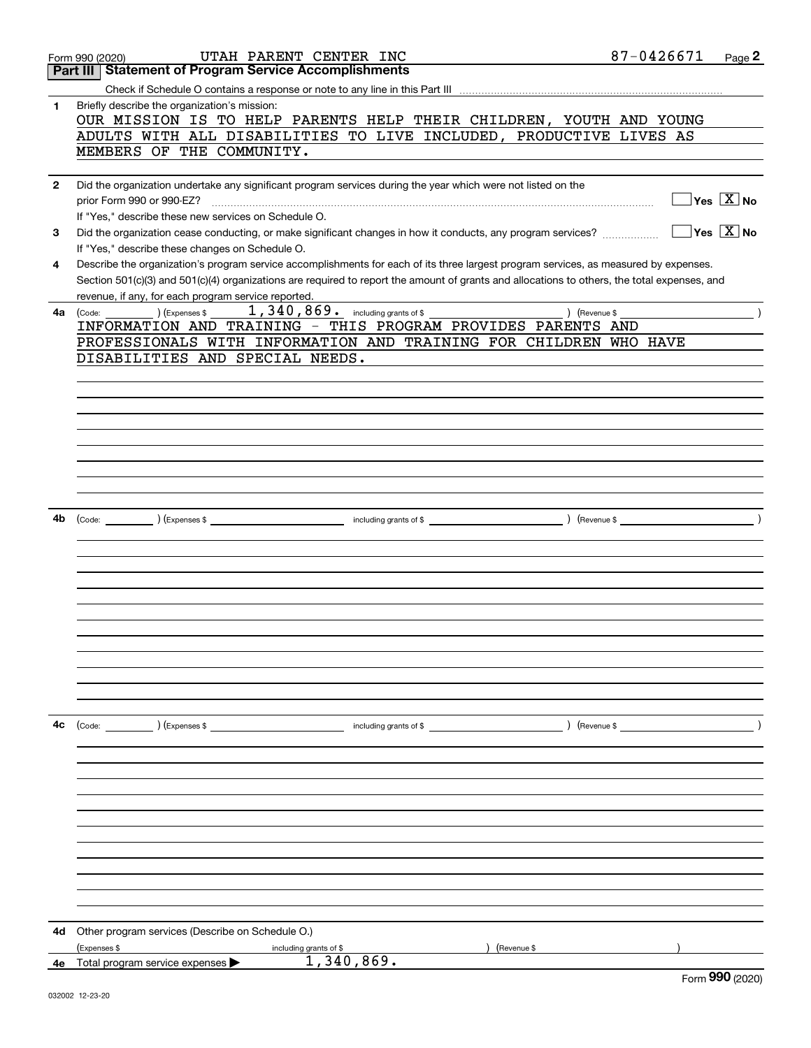|              | UTAH PARENT CENTER INC<br>Form 990 (2020)                                                                                                    | 87-0426671<br>Page 2                            |
|--------------|----------------------------------------------------------------------------------------------------------------------------------------------|-------------------------------------------------|
|              | <b>Statement of Program Service Accomplishments</b><br>Part III                                                                              |                                                 |
|              |                                                                                                                                              |                                                 |
| 1            | Briefly describe the organization's mission:                                                                                                 |                                                 |
|              | OUR MISSION IS TO HELP PARENTS HELP THEIR CHILDREN, YOUTH AND YOUNG                                                                          |                                                 |
|              | ADULTS WITH ALL DISABILITIES TO LIVE INCLUDED, PRODUCTIVE LIVES AS                                                                           |                                                 |
|              |                                                                                                                                              |                                                 |
|              | MEMBERS OF THE COMMUNITY.                                                                                                                    |                                                 |
|              |                                                                                                                                              |                                                 |
| $\mathbf{2}$ | Did the organization undertake any significant program services during the year which were not listed on the                                 |                                                 |
|              |                                                                                                                                              | $\boxed{\phantom{1}}$ Yes $\boxed{\text{X}}$ No |
|              | If "Yes," describe these new services on Schedule O.                                                                                         |                                                 |
| 3            |                                                                                                                                              |                                                 |
|              | If "Yes," describe these changes on Schedule O.                                                                                              |                                                 |
| 4            | Describe the organization's program service accomplishments for each of its three largest program services, as measured by expenses.         |                                                 |
|              | Section 501(c)(3) and 501(c)(4) organizations are required to report the amount of grants and allocations to others, the total expenses, and |                                                 |
|              | revenue, if any, for each program service reported.                                                                                          |                                                 |
| 4a           | 1, 340, 869. including grants of \$<br>$\begin{pmatrix} \text{Code:} \\ \end{pmatrix}$ (Expenses \$<br>) (Revenue \$                         |                                                 |
|              | INFORMATION AND TRAINING - THIS PROGRAM PROVIDES PARENTS AND                                                                                 |                                                 |
|              | PROFESSIONALS WITH INFORMATION AND TRAINING FOR CHILDREN WHO HAVE                                                                            |                                                 |
|              |                                                                                                                                              |                                                 |
|              | DISABILITIES AND SPECIAL NEEDS.                                                                                                              |                                                 |
|              |                                                                                                                                              |                                                 |
|              |                                                                                                                                              |                                                 |
|              |                                                                                                                                              |                                                 |
|              |                                                                                                                                              |                                                 |
|              |                                                                                                                                              |                                                 |
|              |                                                                                                                                              |                                                 |
|              |                                                                                                                                              |                                                 |
|              |                                                                                                                                              |                                                 |
|              |                                                                                                                                              |                                                 |
|              |                                                                                                                                              |                                                 |
| 4b           |                                                                                                                                              |                                                 |
|              |                                                                                                                                              |                                                 |
|              |                                                                                                                                              |                                                 |
|              |                                                                                                                                              |                                                 |
|              |                                                                                                                                              |                                                 |
|              |                                                                                                                                              |                                                 |
|              |                                                                                                                                              |                                                 |
|              |                                                                                                                                              |                                                 |
|              |                                                                                                                                              |                                                 |
|              |                                                                                                                                              |                                                 |
|              |                                                                                                                                              |                                                 |
|              |                                                                                                                                              |                                                 |
|              |                                                                                                                                              |                                                 |
|              |                                                                                                                                              |                                                 |
| 4с           | (Code: ) (Expenses \$<br>) (Revenue \$<br>including grants of \$                                                                             |                                                 |
|              |                                                                                                                                              |                                                 |
|              |                                                                                                                                              |                                                 |
|              |                                                                                                                                              |                                                 |
|              |                                                                                                                                              |                                                 |
|              |                                                                                                                                              |                                                 |
|              |                                                                                                                                              |                                                 |
|              |                                                                                                                                              |                                                 |
|              |                                                                                                                                              |                                                 |
|              |                                                                                                                                              |                                                 |
|              |                                                                                                                                              |                                                 |
|              |                                                                                                                                              |                                                 |
|              |                                                                                                                                              |                                                 |
|              |                                                                                                                                              |                                                 |
| 4d           | Other program services (Describe on Schedule O.)                                                                                             |                                                 |
|              | (Expenses \$<br>including grants of \$<br>Revenue \$                                                                                         |                                                 |
| 4е           | 1,340,869.<br>Total program service expenses >                                                                                               |                                                 |
|              |                                                                                                                                              | $F_{\text{sum}}$ 990 (2020)                     |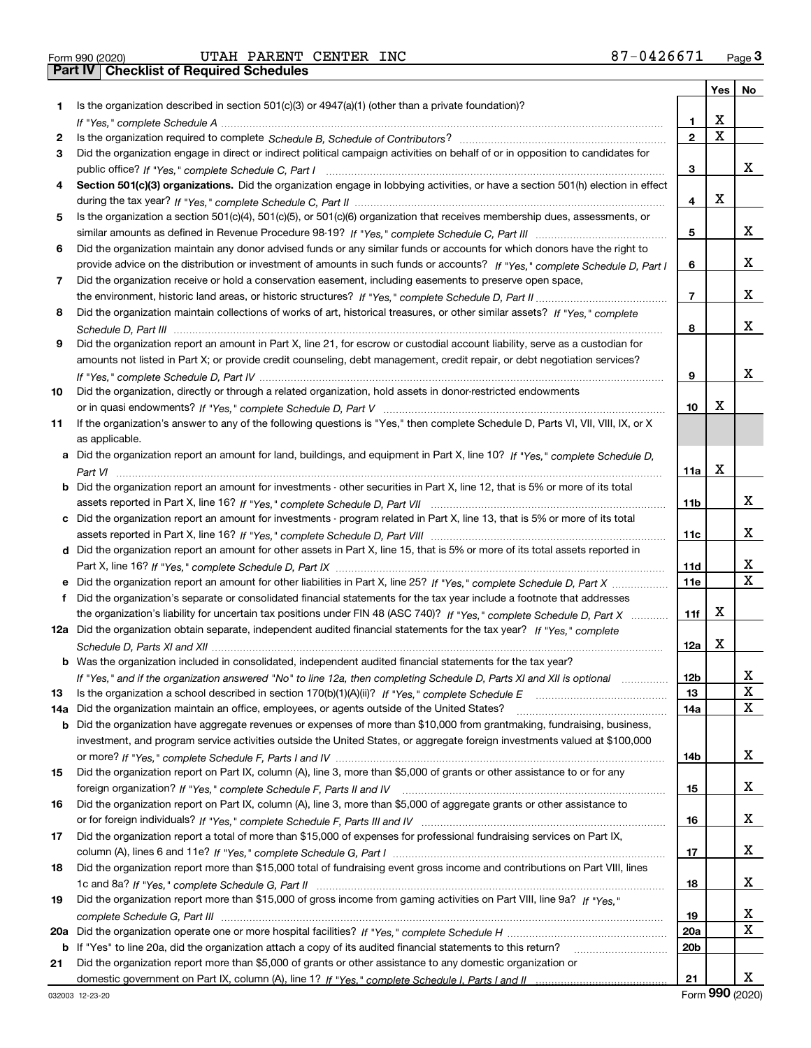|     |                                                                                                                                  |                 | Yes | No |
|-----|----------------------------------------------------------------------------------------------------------------------------------|-----------------|-----|----|
| 1.  | Is the organization described in section $501(c)(3)$ or $4947(a)(1)$ (other than a private foundation)?                          |                 |     |    |
|     |                                                                                                                                  | 1               | X   |    |
| 2   |                                                                                                                                  | $\mathbf{2}$    | Χ   |    |
| 3   | Did the organization engage in direct or indirect political campaign activities on behalf of or in opposition to candidates for  |                 |     |    |
|     |                                                                                                                                  | 3               |     | x  |
| 4   | Section 501(c)(3) organizations. Did the organization engage in lobbying activities, or have a section 501(h) election in effect |                 |     |    |
|     |                                                                                                                                  | 4               | х   |    |
| 5   | Is the organization a section 501(c)(4), 501(c)(5), or 501(c)(6) organization that receives membership dues, assessments, or     |                 |     |    |
|     |                                                                                                                                  | 5               |     | x  |
| 6   | Did the organization maintain any donor advised funds or any similar funds or accounts for which donors have the right to        |                 |     |    |
|     | provide advice on the distribution or investment of amounts in such funds or accounts? If "Yes," complete Schedule D, Part I     | 6               |     | х  |
| 7   | Did the organization receive or hold a conservation easement, including easements to preserve open space,                        |                 |     |    |
|     |                                                                                                                                  | 7               |     | х  |
|     | Did the organization maintain collections of works of art, historical treasures, or other similar assets? If "Yes," complete     |                 |     |    |
| 8   |                                                                                                                                  |                 |     | х  |
|     |                                                                                                                                  | 8               |     |    |
| 9   | Did the organization report an amount in Part X, line 21, for escrow or custodial account liability, serve as a custodian for    |                 |     |    |
|     | amounts not listed in Part X; or provide credit counseling, debt management, credit repair, or debt negotiation services?        |                 |     |    |
|     |                                                                                                                                  | 9               |     | х  |
| 10  | Did the organization, directly or through a related organization, hold assets in donor-restricted endowments                     |                 |     |    |
|     |                                                                                                                                  | 10              | х   |    |
| 11  | If the organization's answer to any of the following questions is "Yes," then complete Schedule D, Parts VI, VII, VIII, IX, or X |                 |     |    |
|     | as applicable.                                                                                                                   |                 |     |    |
|     | a Did the organization report an amount for land, buildings, and equipment in Part X, line 10? If "Yes," complete Schedule D,    |                 |     |    |
|     |                                                                                                                                  | 11a             | x   |    |
| b   | Did the organization report an amount for investments - other securities in Part X, line 12, that is 5% or more of its total     |                 |     |    |
|     |                                                                                                                                  | 11 <sub>b</sub> |     | х  |
|     | c Did the organization report an amount for investments - program related in Part X, line 13, that is 5% or more of its total    |                 |     |    |
|     |                                                                                                                                  | 11c             |     | х  |
|     | d Did the organization report an amount for other assets in Part X, line 15, that is 5% or more of its total assets reported in  |                 |     |    |
|     |                                                                                                                                  | 11d             |     | х  |
|     | Did the organization report an amount for other liabilities in Part X, line 25? If "Yes," complete Schedule D, Part X            | 11e             |     | X  |
| f.  | Did the organization's separate or consolidated financial statements for the tax year include a footnote that addresses          |                 |     |    |
|     | the organization's liability for uncertain tax positions under FIN 48 (ASC 740)? If "Yes," complete Schedule D, Part X           | 11f             | х   |    |
|     | 12a Did the organization obtain separate, independent audited financial statements for the tax year? If "Yes," complete          |                 |     |    |
|     |                                                                                                                                  | 12a             | X   |    |
|     | <b>b</b> Was the organization included in consolidated, independent audited financial statements for the tax year?               |                 |     |    |
|     | If "Yes," and if the organization answered "No" to line 12a, then completing Schedule D, Parts XI and XII is optional            | 12 <sub>b</sub> |     | х  |
| 13  | Is the organization a school described in section $170(b)(1)(A)(ii)?$ If "Yes," complete Schedule E                              | 13              |     | X  |
| 14a | Did the organization maintain an office, employees, or agents outside of the United States?                                      | 14a             |     | x  |
| b   | Did the organization have aggregate revenues or expenses of more than \$10,000 from grantmaking, fundraising, business,          |                 |     |    |
|     | investment, and program service activities outside the United States, or aggregate foreign investments valued at \$100,000       |                 |     |    |
|     |                                                                                                                                  | 14b             |     | x  |
| 15  | Did the organization report on Part IX, column (A), line 3, more than \$5,000 of grants or other assistance to or for any        |                 |     |    |
|     |                                                                                                                                  |                 |     | x  |
| 16  | Did the organization report on Part IX, column (A), line 3, more than \$5,000 of aggregate grants or other assistance to         | 15              |     |    |
|     |                                                                                                                                  |                 |     | x  |
|     |                                                                                                                                  | 16              |     |    |
| 17  | Did the organization report a total of more than \$15,000 of expenses for professional fundraising services on Part IX,          |                 |     |    |
|     |                                                                                                                                  | 17              |     | x  |
| 18  | Did the organization report more than \$15,000 total of fundraising event gross income and contributions on Part VIII, lines     |                 |     |    |
|     |                                                                                                                                  | 18              |     | x  |
| 19  | Did the organization report more than \$15,000 of gross income from gaming activities on Part VIII, line 9a? If "Yes."           |                 |     |    |
|     |                                                                                                                                  | 19              |     | X  |
| 20a |                                                                                                                                  | 20a             |     | x  |
| b   | If "Yes" to line 20a, did the organization attach a copy of its audited financial statements to this return?                     | 20 <sub>b</sub> |     |    |
| 21  | Did the organization report more than \$5,000 of grants or other assistance to any domestic organization or                      |                 |     |    |
|     |                                                                                                                                  | 21              |     | x  |

Form (2020) **990**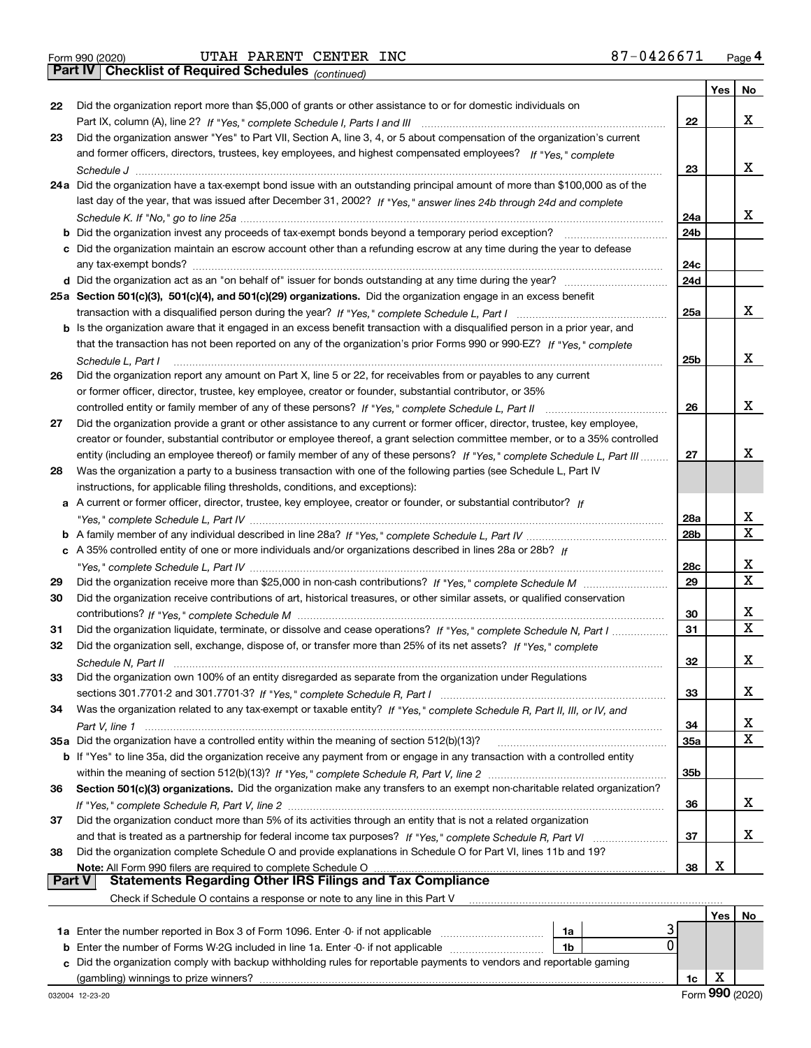*(continued)*

|               |                                                                                                                              |            | Yes $ $ | No          |
|---------------|------------------------------------------------------------------------------------------------------------------------------|------------|---------|-------------|
| 22            | Did the organization report more than \$5,000 of grants or other assistance to or for domestic individuals on                |            |         |             |
|               |                                                                                                                              | 22         |         | x           |
| 23            | Did the organization answer "Yes" to Part VII, Section A, line 3, 4, or 5 about compensation of the organization's current   |            |         |             |
|               | and former officers, directors, trustees, key employees, and highest compensated employees? If "Yes," complete               |            |         |             |
|               |                                                                                                                              | 23         |         | x           |
|               | 24a Did the organization have a tax-exempt bond issue with an outstanding principal amount of more than \$100,000 as of the  |            |         |             |
|               | last day of the year, that was issued after December 31, 2002? If "Yes," answer lines 24b through 24d and complete           |            |         |             |
|               |                                                                                                                              | 24a        |         | x           |
|               |                                                                                                                              | 24b        |         |             |
|               | c Did the organization maintain an escrow account other than a refunding escrow at any time during the year to defease       |            |         |             |
|               | any tax-exempt bonds?                                                                                                        | 24c        |         |             |
|               |                                                                                                                              | 24d        |         |             |
|               | 25a Section 501(c)(3), 501(c)(4), and 501(c)(29) organizations. Did the organization engage in an excess benefit             |            |         |             |
|               |                                                                                                                              | 25a        |         | x           |
|               | b Is the organization aware that it engaged in an excess benefit transaction with a disqualified person in a prior year, and |            |         |             |
|               | that the transaction has not been reported on any of the organization's prior Forms 990 or 990-EZ? If "Yes," complete        |            |         |             |
|               | Schedule L, Part I                                                                                                           | 25b        |         | x           |
| 26            | Did the organization report any amount on Part X, line 5 or 22, for receivables from or payables to any current              |            |         |             |
|               | or former officer, director, trustee, key employee, creator or founder, substantial contributor, or 35%                      |            |         |             |
|               | controlled entity or family member of any of these persons? If "Yes," complete Schedule L, Part II                           | 26         |         | x           |
| 27            | Did the organization provide a grant or other assistance to any current or former officer, director, trustee, key employee,  |            |         |             |
|               | creator or founder, substantial contributor or employee thereof, a grant selection committee member, or to a 35% controlled  |            |         |             |
|               | entity (including an employee thereof) or family member of any of these persons? If "Yes," complete Schedule L, Part III     | 27         |         | x           |
| 28            | Was the organization a party to a business transaction with one of the following parties (see Schedule L, Part IV            |            |         |             |
|               | instructions, for applicable filing thresholds, conditions, and exceptions):                                                 |            |         |             |
|               | a A current or former officer, director, trustee, key employee, creator or founder, or substantial contributor? If           |            |         | x           |
|               |                                                                                                                              | 28a<br>28b |         | $\mathbf X$ |
|               | c A 35% controlled entity of one or more individuals and/or organizations described in lines 28a or 28b? If                  |            |         |             |
|               |                                                                                                                              | 28c        |         | X           |
| 29            |                                                                                                                              | 29         |         | $\mathbf X$ |
| 30            | Did the organization receive contributions of art, historical treasures, or other similar assets, or qualified conservation  |            |         |             |
|               |                                                                                                                              | 30         |         | х           |
| 31            | Did the organization liquidate, terminate, or dissolve and cease operations? If "Yes," complete Schedule N, Part I           | 31         |         | $\mathbf X$ |
| 32            | Did the organization sell, exchange, dispose of, or transfer more than 25% of its net assets? If "Yes," complete             |            |         |             |
|               |                                                                                                                              | 32         |         | х           |
| 33            | Did the organization own 100% of an entity disregarded as separate from the organization under Regulations                   |            |         |             |
|               |                                                                                                                              | 33         |         | x           |
| 34            | Was the organization related to any tax-exempt or taxable entity? If "Yes," complete Schedule R, Part II, III, or IV, and    |            |         |             |
|               |                                                                                                                              | 34         |         | x           |
|               | 35a Did the organization have a controlled entity within the meaning of section 512(b)(13)?                                  | <b>35a</b> |         | Χ           |
|               | b If "Yes" to line 35a, did the organization receive any payment from or engage in any transaction with a controlled entity  |            |         |             |
|               |                                                                                                                              | 35b        |         |             |
| 36            | Section 501(c)(3) organizations. Did the organization make any transfers to an exempt non-charitable related organization?   |            |         |             |
|               |                                                                                                                              | 36         |         | x           |
| 37            | Did the organization conduct more than 5% of its activities through an entity that is not a related organization             |            |         |             |
|               |                                                                                                                              | 37         |         | х           |
| 38            | Did the organization complete Schedule O and provide explanations in Schedule O for Part VI, lines 11b and 19?               |            |         |             |
|               |                                                                                                                              | 38         | х       |             |
| <b>Part V</b> | <b>Statements Regarding Other IRS Filings and Tax Compliance</b>                                                             |            |         |             |
|               | Check if Schedule O contains a response or note to any line in this Part V                                                   |            |         |             |
|               |                                                                                                                              |            |         | Yes   No    |

|                                                                                                                      |     |  |  |  | No |  |
|----------------------------------------------------------------------------------------------------------------------|-----|--|--|--|----|--|
| <b>1a</b> Enter the number reported in Box 3 of Form 1096. Enter -0- if not applicable                               | 1a  |  |  |  |    |  |
| <b>b</b> Enter the number of Forms W-2G included in line 1a. Enter -0- if not applicable                             | 1b. |  |  |  |    |  |
| c Did the organization comply with backup withholding rules for reportable payments to vendors and reportable gaming |     |  |  |  |    |  |
| (gambling) winnings to prize winners?                                                                                |     |  |  |  |    |  |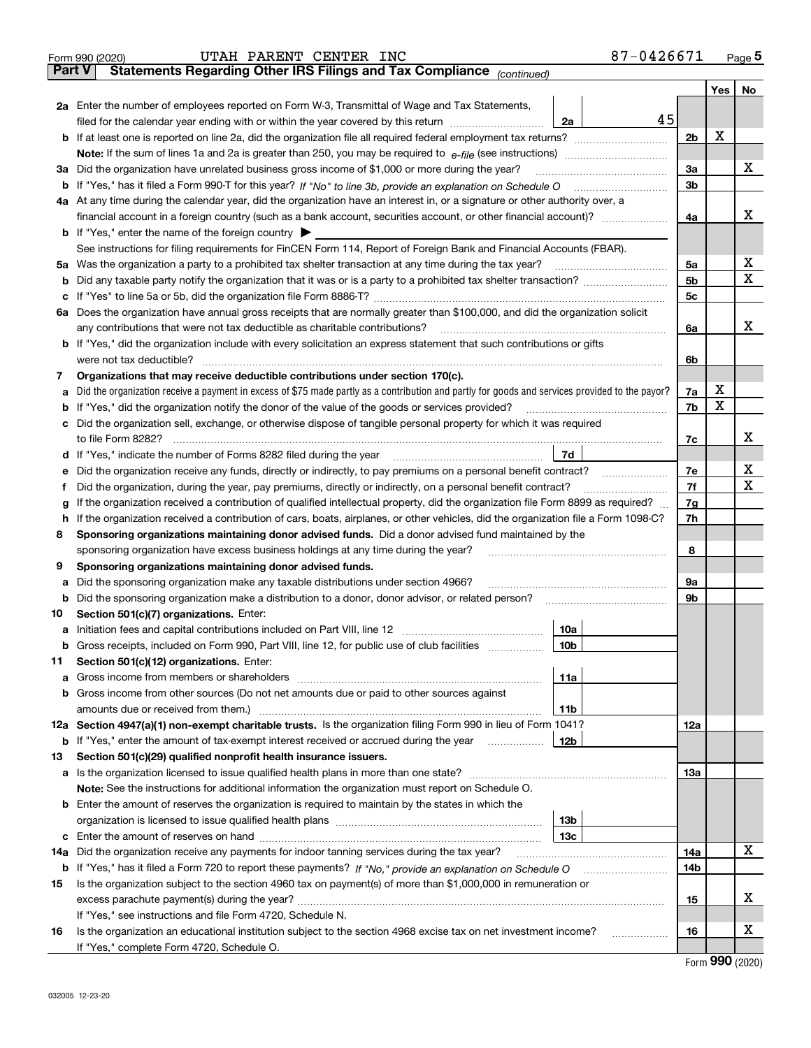|               | 87-0426671<br>UTAH PARENT CENTER INC<br>Form 990 (2020)                                                                                         |                |     | <u>Page 5</u> |  |  |  |  |  |
|---------------|-------------------------------------------------------------------------------------------------------------------------------------------------|----------------|-----|---------------|--|--|--|--|--|
| <b>Part V</b> | Statements Regarding Other IRS Filings and Tax Compliance (continued)                                                                           |                |     |               |  |  |  |  |  |
|               |                                                                                                                                                 |                | Yes | No            |  |  |  |  |  |
|               | 2a Enter the number of employees reported on Form W-3, Transmittal of Wage and Tax Statements,                                                  |                |     |               |  |  |  |  |  |
|               | 45<br>filed for the calendar year ending with or within the year covered by this return<br>2a                                                   |                |     |               |  |  |  |  |  |
|               |                                                                                                                                                 | 2 <sub>b</sub> | х   |               |  |  |  |  |  |
|               |                                                                                                                                                 |                |     |               |  |  |  |  |  |
| За            | Did the organization have unrelated business gross income of \$1,000 or more during the year?                                                   | 3a             |     | х             |  |  |  |  |  |
|               |                                                                                                                                                 | 3 <sub>b</sub> |     |               |  |  |  |  |  |
|               | 4a At any time during the calendar year, did the organization have an interest in, or a signature or other authority over, a                    |                |     |               |  |  |  |  |  |
|               | financial account in a foreign country (such as a bank account, securities account, or other financial account)?                                |                |     |               |  |  |  |  |  |
|               | <b>b</b> If "Yes," enter the name of the foreign country $\triangleright$                                                                       | 4a             |     | х             |  |  |  |  |  |
|               |                                                                                                                                                 |                |     |               |  |  |  |  |  |
|               | See instructions for filing requirements for FinCEN Form 114, Report of Foreign Bank and Financial Accounts (FBAR).                             |                |     | х             |  |  |  |  |  |
| 5a            | Was the organization a party to a prohibited tax shelter transaction at any time during the tax year?                                           | 5a             |     |               |  |  |  |  |  |
| b             |                                                                                                                                                 | 5 <sub>b</sub> |     | х             |  |  |  |  |  |
| с             |                                                                                                                                                 | 5c             |     |               |  |  |  |  |  |
|               | 6a Does the organization have annual gross receipts that are normally greater than \$100,000, and did the organization solicit                  |                |     |               |  |  |  |  |  |
|               |                                                                                                                                                 | 6a             |     | x             |  |  |  |  |  |
|               | <b>b</b> If "Yes," did the organization include with every solicitation an express statement that such contributions or gifts                   |                |     |               |  |  |  |  |  |
|               | were not tax deductible?                                                                                                                        | 6b             |     |               |  |  |  |  |  |
| 7             | Organizations that may receive deductible contributions under section 170(c).                                                                   |                |     |               |  |  |  |  |  |
| а             | Did the organization receive a payment in excess of \$75 made partly as a contribution and partly for goods and services provided to the payor? | 7a             | х   |               |  |  |  |  |  |
| b             | If "Yes," did the organization notify the donor of the value of the goods or services provided?                                                 | 7b             | х   |               |  |  |  |  |  |
| с             | Did the organization sell, exchange, or otherwise dispose of tangible personal property for which it was required                               |                |     |               |  |  |  |  |  |
|               |                                                                                                                                                 | 7c             |     | х             |  |  |  |  |  |
|               | 7d                                                                                                                                              |                |     |               |  |  |  |  |  |
| е             | Did the organization receive any funds, directly or indirectly, to pay premiums on a personal benefit contract?                                 | 7e             |     | х             |  |  |  |  |  |
| f             | Did the organization, during the year, pay premiums, directly or indirectly, on a personal benefit contract?                                    | 7f             |     | х             |  |  |  |  |  |
| g             | If the organization received a contribution of qualified intellectual property, did the organization file Form 8899 as required?                | 7g             |     |               |  |  |  |  |  |
| h             | If the organization received a contribution of cars, boats, airplanes, or other vehicles, did the organization file a Form 1098-C?              | 7h             |     |               |  |  |  |  |  |
| 8             | Sponsoring organizations maintaining donor advised funds. Did a donor advised fund maintained by the                                            |                |     |               |  |  |  |  |  |
|               | sponsoring organization have excess business holdings at any time during the year?                                                              | 8              |     |               |  |  |  |  |  |
|               |                                                                                                                                                 |                |     |               |  |  |  |  |  |
| 9             | Sponsoring organizations maintaining donor advised funds.                                                                                       |                |     |               |  |  |  |  |  |
| а             | Did the sponsoring organization make any taxable distributions under section 4966?                                                              | 9а             |     |               |  |  |  |  |  |
| b             | Did the sponsoring organization make a distribution to a donor, donor advisor, or related person?                                               | 9b             |     |               |  |  |  |  |  |
| 10            | Section 501(c)(7) organizations. Enter:                                                                                                         |                |     |               |  |  |  |  |  |
|               | 10a                                                                                                                                             |                |     |               |  |  |  |  |  |
|               | 10 <sub>b</sub><br>Gross receipts, included on Form 990, Part VIII, line 12, for public use of club facilities                                  |                |     |               |  |  |  |  |  |
| 11            | Section 501(c)(12) organizations. Enter:                                                                                                        |                |     |               |  |  |  |  |  |
| a             | 11a                                                                                                                                             |                |     |               |  |  |  |  |  |
| b             | Gross income from other sources (Do not net amounts due or paid to other sources against                                                        |                |     |               |  |  |  |  |  |
|               | 11b                                                                                                                                             |                |     |               |  |  |  |  |  |
|               | 12a Section 4947(a)(1) non-exempt charitable trusts. Is the organization filing Form 990 in lieu of Form 1041?                                  | 12a            |     |               |  |  |  |  |  |
|               | 12b<br><b>b</b> If "Yes," enter the amount of tax-exempt interest received or accrued during the year                                           |                |     |               |  |  |  |  |  |
| 13            | Section 501(c)(29) qualified nonprofit health insurance issuers.                                                                                |                |     |               |  |  |  |  |  |
| a             | Is the organization licensed to issue qualified health plans in more than one state?                                                            | 13a            |     |               |  |  |  |  |  |
|               | Note: See the instructions for additional information the organization must report on Schedule O.                                               |                |     |               |  |  |  |  |  |
| b             | Enter the amount of reserves the organization is required to maintain by the states in which the                                                |                |     |               |  |  |  |  |  |
|               | 13b                                                                                                                                             |                |     |               |  |  |  |  |  |
| c             | 13с                                                                                                                                             |                |     |               |  |  |  |  |  |
| 14a           | Did the organization receive any payments for indoor tanning services during the tax year?                                                      | 14a            |     | х             |  |  |  |  |  |
|               | <b>b</b> If "Yes," has it filed a Form 720 to report these payments? If "No," provide an explanation on Schedule O                              | 14b            |     |               |  |  |  |  |  |
|               | Is the organization subject to the section 4960 tax on payment(s) of more than \$1,000,000 in remuneration or                                   |                |     |               |  |  |  |  |  |
| 15            |                                                                                                                                                 |                |     | х             |  |  |  |  |  |
|               |                                                                                                                                                 | 15             |     |               |  |  |  |  |  |
|               | If "Yes," see instructions and file Form 4720, Schedule N.                                                                                      |                |     |               |  |  |  |  |  |
| 16            | Is the organization an educational institution subject to the section 4968 excise tax on net investment income?                                 | 16             |     | х             |  |  |  |  |  |
|               | If "Yes," complete Form 4720, Schedule O.                                                                                                       |                | റററ |               |  |  |  |  |  |

Form (2020) **990**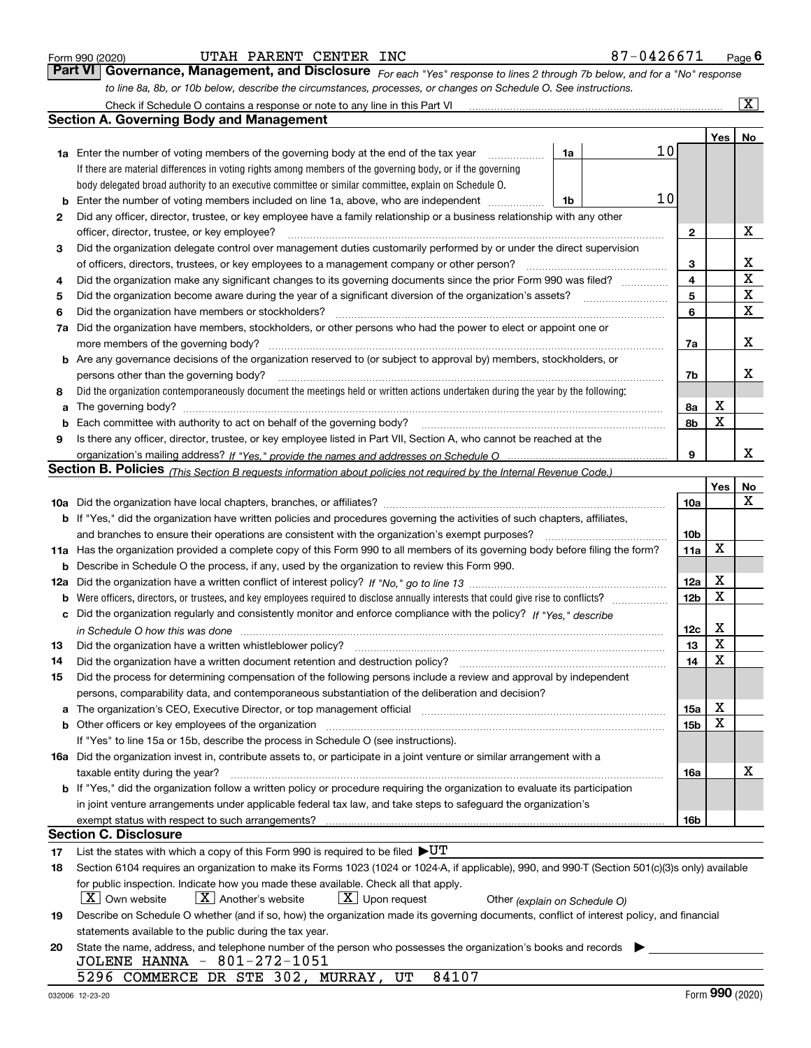|  | Form 990 (2020) |
|--|-----------------|
|  |                 |

| Form 990 (2020) |                                                                             | UTAH PARENT CENTER INC |  | 87-0426671                                                                                                                    | $P$ <sub>age</sub> $6$  |
|-----------------|-----------------------------------------------------------------------------|------------------------|--|-------------------------------------------------------------------------------------------------------------------------------|-------------------------|
|                 |                                                                             |                        |  | Part VI   Governance, Management, and Disclosure For each "Yes" response to lines 2 through 7b below, and for a "No" response |                         |
|                 |                                                                             |                        |  | to line 8a, 8b, or 10b below, describe the circumstances, processes, or changes on Schedule O. See instructions.              |                         |
|                 | Check if Schedule O contains a response or note to any line in this Part VI |                        |  |                                                                                                                               | $\overline{\mathbf{X}}$ |

|     | Check if Schedule O contains a response or note to any line in this Part VI                                                                                           |    |  |    |                 |     | $\mathbf{x}$ |  |
|-----|-----------------------------------------------------------------------------------------------------------------------------------------------------------------------|----|--|----|-----------------|-----|--------------|--|
|     | Section A. Governing Body and Management                                                                                                                              |    |  |    |                 |     |              |  |
|     |                                                                                                                                                                       |    |  |    |                 | Yes | No           |  |
|     | 1a Enter the number of voting members of the governing body at the end of the tax year                                                                                | 1a |  | 10 |                 |     |              |  |
|     | If there are material differences in voting rights among members of the governing body, or if the governing                                                           |    |  |    |                 |     |              |  |
|     | body delegated broad authority to an executive committee or similar committee, explain on Schedule O.                                                                 |    |  |    |                 |     |              |  |
| b   | 10<br>Enter the number of voting members included on line 1a, above, who are independent<br>1b                                                                        |    |  |    |                 |     |              |  |
| 2   | Did any officer, director, trustee, or key employee have a family relationship or a business relationship with any other                                              |    |  |    |                 |     |              |  |
|     | officer, director, trustee, or key employee?                                                                                                                          |    |  |    | 2               |     | х            |  |
| 3   | Did the organization delegate control over management duties customarily performed by or under the direct supervision                                                 |    |  |    |                 |     |              |  |
|     | of officers, directors, trustees, or key employees to a management company or other person?                                                                           |    |  |    | 3               |     | x            |  |
| 4   | Did the organization make any significant changes to its governing documents since the prior Form 990 was filed?                                                      |    |  |    | 4               |     | X            |  |
| 5   |                                                                                                                                                                       |    |  |    | 5               |     | X            |  |
| 6   | Did the organization have members or stockholders?                                                                                                                    |    |  |    | 6               |     | X            |  |
| 7a  | Did the organization have members, stockholders, or other persons who had the power to elect or appoint one or                                                        |    |  |    |                 |     |              |  |
|     | more members of the governing body?                                                                                                                                   |    |  |    | 7a              |     | х            |  |
|     | <b>b</b> Are any governance decisions of the organization reserved to (or subject to approval by) members, stockholders, or                                           |    |  |    |                 |     |              |  |
|     | persons other than the governing body?                                                                                                                                |    |  |    | 7b              |     | x            |  |
| 8   | Did the organization contemporaneously document the meetings held or written actions undertaken during the year by the following:                                     |    |  |    |                 |     |              |  |
| a   |                                                                                                                                                                       |    |  |    | 8а              | x   |              |  |
| b   | Each committee with authority to act on behalf of the governing body?                                                                                                 |    |  |    | 8b              | X   |              |  |
| 9   | Is there any officer, director, trustee, or key employee listed in Part VII, Section A, who cannot be reached at the                                                  |    |  |    |                 |     |              |  |
|     |                                                                                                                                                                       |    |  |    | 9               |     | x            |  |
|     | Section B. Policies <sub>(This Section B requests information about policies not required by the Internal Revenue Code.)</sub>                                        |    |  |    |                 |     |              |  |
|     |                                                                                                                                                                       |    |  |    |                 | Yes | No           |  |
|     |                                                                                                                                                                       |    |  |    | 10a             |     | x            |  |
|     | <b>b</b> If "Yes," did the organization have written policies and procedures governing the activities of such chapters, affiliates,                                   |    |  |    |                 |     |              |  |
|     | and branches to ensure their operations are consistent with the organization's exempt purposes?                                                                       |    |  |    | 10 <sub>b</sub> |     |              |  |
|     | 11a Has the organization provided a complete copy of this Form 990 to all members of its governing body before filing the form?                                       |    |  |    | 11a             | X   |              |  |
| b   | Describe in Schedule O the process, if any, used by the organization to review this Form 990.                                                                         |    |  |    |                 |     |              |  |
| 12a |                                                                                                                                                                       |    |  |    | 12a             | X   |              |  |
| b   |                                                                                                                                                                       |    |  |    | 12 <sub>b</sub> | X   |              |  |
| с   | Did the organization regularly and consistently monitor and enforce compliance with the policy? If "Yes," describe                                                    |    |  |    |                 |     |              |  |
|     | in Schedule O how this was done measured and contained a state of the state of the state of the state of the s                                                        |    |  |    | 12c             | х   |              |  |
| 13  | Did the organization have a written whistleblower policy?                                                                                                             |    |  |    | 13              | X   |              |  |
| 14  | Did the organization have a written document retention and destruction policy?                                                                                        |    |  |    | 14              | X   |              |  |
| 15  | Did the process for determining compensation of the following persons include a review and approval by independent                                                    |    |  |    |                 |     |              |  |
|     | persons, comparability data, and contemporaneous substantiation of the deliberation and decision?                                                                     |    |  |    |                 | Χ   |              |  |
| a   | The organization's CEO, Executive Director, or top management official manufactured content of the organization's CEO, Executive Director, or top management official |    |  |    | 15a             | X   |              |  |
|     | If "Yes" to line 15a or 15b, describe the process in Schedule O (see instructions).                                                                                   |    |  |    | 15 <sub>b</sub> |     |              |  |
|     | 16a Did the organization invest in, contribute assets to, or participate in a joint venture or similar arrangement with a                                             |    |  |    |                 |     |              |  |
|     | taxable entity during the year?                                                                                                                                       |    |  |    | 16a             |     | х            |  |
|     | b If "Yes," did the organization follow a written policy or procedure requiring the organization to evaluate its participation                                        |    |  |    |                 |     |              |  |
|     | in joint venture arrangements under applicable federal tax law, and take steps to safeguard the organization's                                                        |    |  |    |                 |     |              |  |
|     |                                                                                                                                                                       |    |  |    | 16b             |     |              |  |
|     | <b>Section C. Disclosure</b>                                                                                                                                          |    |  |    |                 |     |              |  |
| 17  | List the states with which a copy of this Form 990 is required to be filed $\blacktriangleright U T$                                                                  |    |  |    |                 |     |              |  |
| 18  | Section 6104 requires an organization to make its Forms 1023 (1024 or 1024-A, if applicable), 990, and 990-T (Section 501(c)(3)s only) available                      |    |  |    |                 |     |              |  |
|     | for public inspection. Indicate how you made these available. Check all that apply.                                                                                   |    |  |    |                 |     |              |  |
|     | $X$ Own website<br>$X$ Another's website<br>$X$ Upon request<br>Other (explain on Schedule O)                                                                         |    |  |    |                 |     |              |  |
| 19  | Describe on Schedule O whether (and if so, how) the organization made its governing documents, conflict of interest policy, and financial                             |    |  |    |                 |     |              |  |
|     | statements available to the public during the tax year.                                                                                                               |    |  |    |                 |     |              |  |
| 20  | State the name, address, and telephone number of the person who possesses the organization's books and records                                                        |    |  |    |                 |     |              |  |
|     | JOLENE HANNA - 801-272-1051                                                                                                                                           |    |  |    |                 |     |              |  |
|     | 5296 COMMERCE DR STE 302, MURRAY, UT<br>84107                                                                                                                         |    |  |    |                 |     |              |  |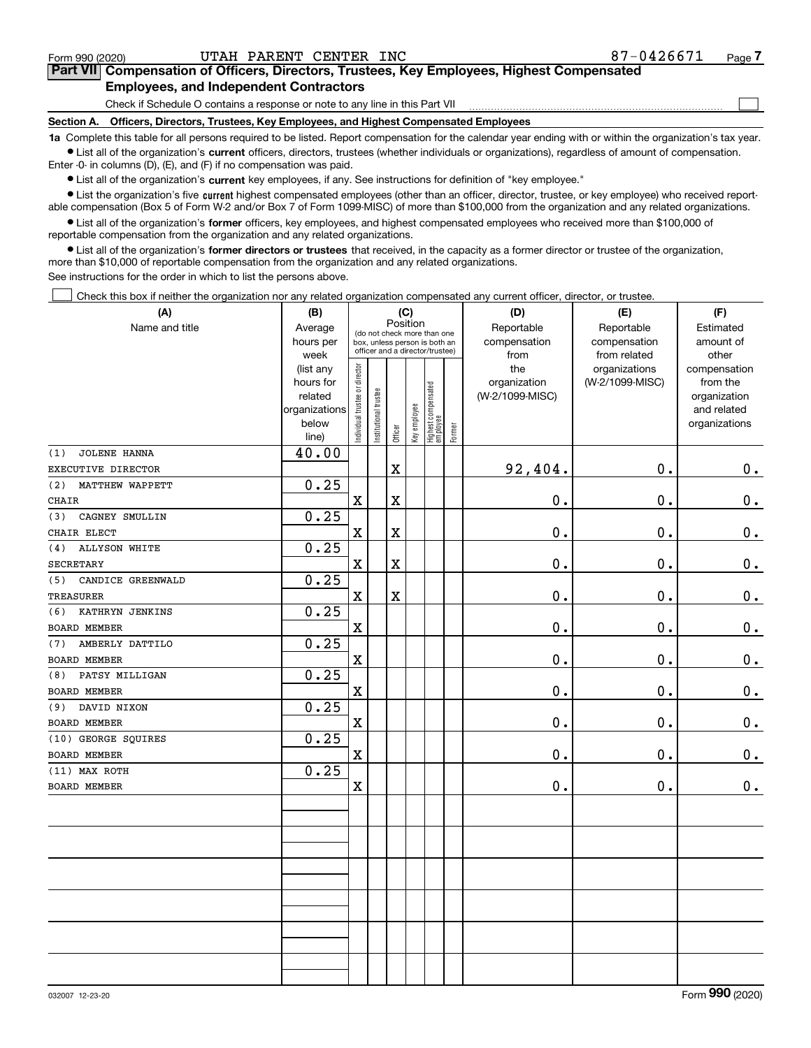| 032007 12-23-20 |  |
|-----------------|--|
|                 |  |

Form 990 (2020) UTAH PARENT CENTER INC 87-0 $4\,2\,6\,6\,7\,1$  Page **7Part VII Compensation of Officers, Directors, Trustees, Key Employees, Highest Compensated Employees, and Independent Contractors**

Check if Schedule O contains a response or note to any line in this Part VII

**Section A. Officers, Directors, Trustees, Key Employees, and Highest Compensated Employees**

**1a**  Complete this table for all persons required to be listed. Report compensation for the calendar year ending with or within the organization's tax year. **•** List all of the organization's current officers, directors, trustees (whether individuals or organizations), regardless of amount of compensation.

Enter -0- in columns (D), (E), and (F) if no compensation was paid.

 $\bullet$  List all of the organization's  $\,$ current key employees, if any. See instructions for definition of "key employee."

**•** List the organization's five current highest compensated employees (other than an officer, director, trustee, or key employee) who received reportable compensation (Box 5 of Form W-2 and/or Box 7 of Form 1099-MISC) of more than \$100,000 from the organization and any related organizations.

**•** List all of the organization's former officers, key employees, and highest compensated employees who received more than \$100,000 of reportable compensation from the organization and any related organizations.

**former directors or trustees**  ¥ List all of the organization's that received, in the capacity as a former director or trustee of the organization, more than \$10,000 of reportable compensation from the organization and any related organizations.

See instructions for the order in which to list the persons above.

Check this box if neither the organization nor any related organization compensated any current officer, director, or trustee.  $\mathcal{L}^{\text{max}}$ 

| (A)                         | (B)            |                               |                      |                                                                                                 | (C)          |                                 |        | (D)             | (E)             | (F)           |
|-----------------------------|----------------|-------------------------------|----------------------|-------------------------------------------------------------------------------------------------|--------------|---------------------------------|--------|-----------------|-----------------|---------------|
| Name and title              | Average        |                               |                      | Position                                                                                        |              |                                 |        | Reportable      | Reportable      | Estimated     |
|                             | hours per      |                               |                      | (do not check more than one<br>box, unless person is both an<br>officer and a director/trustee) |              |                                 |        | compensation    | compensation    | amount of     |
|                             | week           |                               |                      |                                                                                                 |              |                                 |        | from            | from related    | other         |
|                             | (list any      |                               |                      |                                                                                                 |              |                                 |        | the             | organizations   | compensation  |
|                             | hours for      |                               |                      |                                                                                                 |              |                                 |        | organization    | (W-2/1099-MISC) | from the      |
|                             | related        |                               |                      |                                                                                                 |              |                                 |        | (W-2/1099-MISC) |                 | organization  |
|                             | organizations  |                               |                      |                                                                                                 |              |                                 |        |                 |                 | and related   |
|                             | below<br>line) | ndividual trustee or director | nstitutional trustee | Officer                                                                                         | Key employee | Highest compensated<br>employee | Former |                 |                 | organizations |
| JOLENE HANNA<br>(1)         | 40.00          |                               |                      |                                                                                                 |              |                                 |        |                 |                 |               |
| EXECUTIVE DIRECTOR          |                |                               |                      | $\mathbf X$                                                                                     |              |                                 |        | 92,404.         | 0.              | 0.            |
| (2)<br>MATTHEW WAPPETT      | 0.25           |                               |                      |                                                                                                 |              |                                 |        |                 |                 |               |
| <b>CHAIR</b>                |                | $\mathbf X$                   |                      | X                                                                                               |              |                                 |        | $0$ .           | 0.              | $\mathbf 0$ . |
| CAGNEY SMULLIN<br>(3)       | 0.25           |                               |                      |                                                                                                 |              |                                 |        |                 |                 |               |
| CHAIR ELECT                 |                | X                             |                      | $\mathbf X$                                                                                     |              |                                 |        | 0.              | 0.              | $0$ .         |
| <b>ALLYSON WHITE</b><br>(4) | 0.25           |                               |                      |                                                                                                 |              |                                 |        |                 |                 |               |
| SECRETARY                   |                | $\mathbf X$                   |                      | $\mathbf X$                                                                                     |              |                                 |        | 0.              | 0.              | 0.            |
| CANDICE GREENWALD<br>(5)    | 0.25           |                               |                      |                                                                                                 |              |                                 |        |                 |                 |               |
| <b>TREASURER</b>            |                | $\mathbf X$                   |                      | X                                                                                               |              |                                 |        | 0.              | 0.              | $\pmb{0}$ .   |
| KATHRYN JENKINS<br>(6)      | 0.25           |                               |                      |                                                                                                 |              |                                 |        |                 |                 |               |
| BOARD MEMBER                |                | X                             |                      |                                                                                                 |              |                                 |        | 0.              | 0.              | 0.            |
| AMBERLY DATTILO<br>(7)      | 0.25           |                               |                      |                                                                                                 |              |                                 |        |                 |                 |               |
| BOARD MEMBER                |                | X                             |                      |                                                                                                 |              |                                 |        | 0.              | 0.              | 0.            |
| PATSY MILLIGAN<br>(8)       | 0.25           |                               |                      |                                                                                                 |              |                                 |        |                 |                 |               |
| BOARD MEMBER                |                | X                             |                      |                                                                                                 |              |                                 |        | $\mathbf 0$ .   | 0.              | 0.            |
| DAVID NIXON<br>(9)          | 0.25           |                               |                      |                                                                                                 |              |                                 |        |                 |                 |               |
| BOARD MEMBER                |                | X                             |                      |                                                                                                 |              |                                 |        | $0$ .           | 0.              | 0.            |
| (10) GEORGE SQUIRES         | 0.25           |                               |                      |                                                                                                 |              |                                 |        |                 |                 |               |
| BOARD MEMBER                |                | X                             |                      |                                                                                                 |              |                                 |        | 0.              | 0.              | 0.            |
| (11) MAX ROTH               | 0.25           |                               |                      |                                                                                                 |              |                                 |        |                 |                 |               |
| <b>BOARD MEMBER</b>         |                | $\mathbf x$                   |                      |                                                                                                 |              |                                 |        | 0.              | 0.              | $\pmb{0}$ .   |
|                             |                |                               |                      |                                                                                                 |              |                                 |        |                 |                 |               |
|                             |                |                               |                      |                                                                                                 |              |                                 |        |                 |                 |               |
|                             |                |                               |                      |                                                                                                 |              |                                 |        |                 |                 |               |
|                             |                |                               |                      |                                                                                                 |              |                                 |        |                 |                 |               |
|                             |                |                               |                      |                                                                                                 |              |                                 |        |                 |                 |               |
|                             |                |                               |                      |                                                                                                 |              |                                 |        |                 |                 |               |
|                             |                |                               |                      |                                                                                                 |              |                                 |        |                 |                 |               |
|                             |                |                               |                      |                                                                                                 |              |                                 |        |                 |                 |               |
|                             |                |                               |                      |                                                                                                 |              |                                 |        |                 |                 |               |
|                             |                |                               |                      |                                                                                                 |              |                                 |        |                 |                 |               |
|                             |                |                               |                      |                                                                                                 |              |                                 |        |                 |                 |               |

 $\mathcal{L}^{\text{max}}$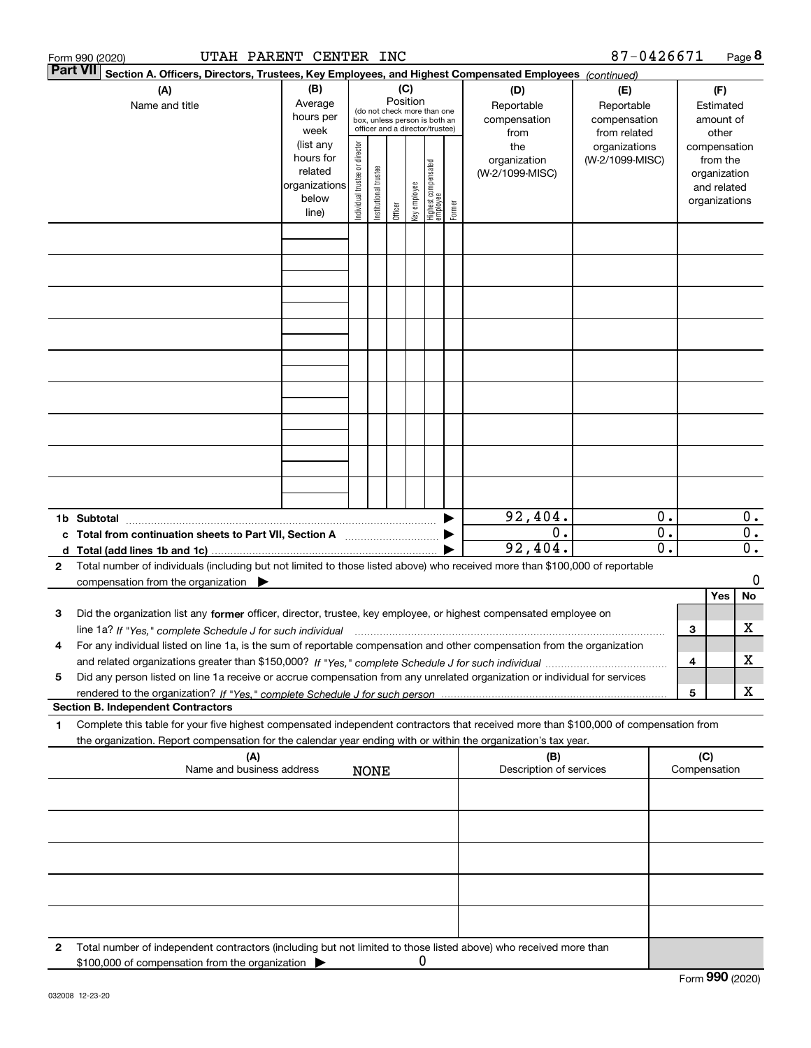|                       | UTAH PARENT CENTER INC<br>Form 990 (2020)                                                                                                                                                                                                              |                                                               |                                                                                                                    |                       |         |              |                                 |                                                  |                                                                    | 87-0426671      |                                                        |                                      |                                         | Page 8 |
|-----------------------|--------------------------------------------------------------------------------------------------------------------------------------------------------------------------------------------------------------------------------------------------------|---------------------------------------------------------------|--------------------------------------------------------------------------------------------------------------------|-----------------------|---------|--------------|---------------------------------|--------------------------------------------------|--------------------------------------------------------------------|-----------------|--------------------------------------------------------|--------------------------------------|-----------------------------------------|--------|
|                       | <b>Part VII</b><br>Section A. Officers, Directors, Trustees, Key Employees, and Highest Compensated Employees (continued)                                                                                                                              |                                                               |                                                                                                                    |                       |         |              |                                 |                                                  |                                                                    |                 |                                                        |                                      |                                         |        |
| (A)<br>Name and title |                                                                                                                                                                                                                                                        | (B)<br>Average<br>hours per<br>week<br>(list any<br>hours for | (C)<br>Position<br>(do not check more than one<br>box, unless person is both an<br>officer and a director/trustee) |                       |         |              |                                 | (D)<br>Reportable<br>compensation<br>from<br>the | (E)<br>Reportable<br>compensation<br>from related<br>organizations |                 | (F)<br>Estimated<br>amount of<br>other<br>compensation |                                      |                                         |        |
|                       |                                                                                                                                                                                                                                                        | related<br>organizations<br>below<br>line)                    | Individual trustee or director                                                                                     | Institutional trustee | Officer | key employee | Highest compensated<br>employee | Former                                           | organization<br>(W-2/1099-MISC)                                    | (W-2/1099-MISC) |                                                        | organizations                        | from the<br>organization<br>and related |        |
|                       |                                                                                                                                                                                                                                                        |                                                               |                                                                                                                    |                       |         |              |                                 |                                                  |                                                                    |                 |                                                        |                                      |                                         |        |
|                       |                                                                                                                                                                                                                                                        |                                                               |                                                                                                                    |                       |         |              |                                 |                                                  |                                                                    |                 |                                                        |                                      |                                         |        |
|                       |                                                                                                                                                                                                                                                        |                                                               |                                                                                                                    |                       |         |              |                                 |                                                  |                                                                    |                 |                                                        |                                      |                                         |        |
|                       |                                                                                                                                                                                                                                                        |                                                               |                                                                                                                    |                       |         |              |                                 |                                                  |                                                                    |                 |                                                        |                                      |                                         |        |
|                       |                                                                                                                                                                                                                                                        |                                                               |                                                                                                                    |                       |         |              |                                 |                                                  |                                                                    |                 |                                                        |                                      |                                         |        |
|                       |                                                                                                                                                                                                                                                        |                                                               |                                                                                                                    |                       |         |              |                                 |                                                  |                                                                    |                 |                                                        |                                      |                                         |        |
|                       |                                                                                                                                                                                                                                                        |                                                               |                                                                                                                    |                       |         |              |                                 |                                                  |                                                                    |                 |                                                        |                                      |                                         |        |
|                       |                                                                                                                                                                                                                                                        |                                                               |                                                                                                                    |                       |         |              |                                 |                                                  |                                                                    |                 |                                                        |                                      |                                         |        |
|                       | 1b Subtotal                                                                                                                                                                                                                                            |                                                               |                                                                                                                    |                       |         |              |                                 |                                                  | 92,404.                                                            |                 | 0.                                                     |                                      |                                         | $0$ .  |
|                       | c Total from continuation sheets to Part VII, Section A manufactor continuum                                                                                                                                                                           |                                                               |                                                                                                                    |                       |         |              |                                 |                                                  | $0$ .<br>92,404.                                                   |                 | $\overline{0}$ .<br>$\overline{0}$ .                   | $\overline{0}$ .<br>$\overline{0}$ . |                                         |        |
| $\mathbf{2}$          | Total number of individuals (including but not limited to those listed above) who received more than \$100,000 of reportable<br>compensation from the organization $\blacktriangleright$                                                               |                                                               |                                                                                                                    |                       |         |              |                                 |                                                  |                                                                    |                 |                                                        |                                      |                                         | 0      |
| з                     | Did the organization list any former officer, director, trustee, key employee, or highest compensated employee on                                                                                                                                      |                                                               |                                                                                                                    |                       |         |              |                                 |                                                  |                                                                    |                 |                                                        |                                      | Yes                                     | No     |
| 4                     | For any individual listed on line 1a, is the sum of reportable compensation and other compensation from the organization                                                                                                                               |                                                               |                                                                                                                    |                       |         |              |                                 |                                                  |                                                                    |                 |                                                        | 3                                    |                                         | х      |
| 5                     | Did any person listed on line 1a receive or accrue compensation from any unrelated organization or individual for services                                                                                                                             |                                                               |                                                                                                                    |                       |         |              |                                 |                                                  |                                                                    |                 |                                                        | 4                                    |                                         | х      |
|                       | <b>Section B. Independent Contractors</b>                                                                                                                                                                                                              |                                                               |                                                                                                                    |                       |         |              |                                 |                                                  |                                                                    |                 |                                                        | 5                                    |                                         | X      |
| 1                     | Complete this table for your five highest compensated independent contractors that received more than \$100,000 of compensation from<br>the organization. Report compensation for the calendar year ending with or within the organization's tax year. |                                                               |                                                                                                                    |                       |         |              |                                 |                                                  |                                                                    |                 |                                                        |                                      |                                         |        |
|                       | (A)<br>Name and business address                                                                                                                                                                                                                       |                                                               |                                                                                                                    | <b>NONE</b>           |         |              |                                 |                                                  | (B)<br>Description of services                                     |                 |                                                        | (C)<br>Compensation                  |                                         |        |
|                       |                                                                                                                                                                                                                                                        |                                                               |                                                                                                                    |                       |         |              |                                 |                                                  |                                                                    |                 |                                                        |                                      |                                         |        |
|                       |                                                                                                                                                                                                                                                        |                                                               |                                                                                                                    |                       |         |              |                                 |                                                  |                                                                    |                 |                                                        |                                      |                                         |        |
|                       |                                                                                                                                                                                                                                                        |                                                               |                                                                                                                    |                       |         |              |                                 |                                                  |                                                                    |                 |                                                        |                                      |                                         |        |
|                       |                                                                                                                                                                                                                                                        |                                                               |                                                                                                                    |                       |         |              |                                 |                                                  |                                                                    |                 |                                                        |                                      |                                         |        |
|                       |                                                                                                                                                                                                                                                        |                                                               |                                                                                                                    |                       |         |              |                                 |                                                  |                                                                    |                 |                                                        |                                      |                                         |        |
| 2                     | Total number of independent contractors (including but not limited to those listed above) who received more than<br>\$100,000 of compensation from the organization                                                                                    |                                                               |                                                                                                                    |                       |         | U            |                                 |                                                  |                                                                    |                 |                                                        | $F_{\text{arm}}$ 990 (2020)          |                                         |        |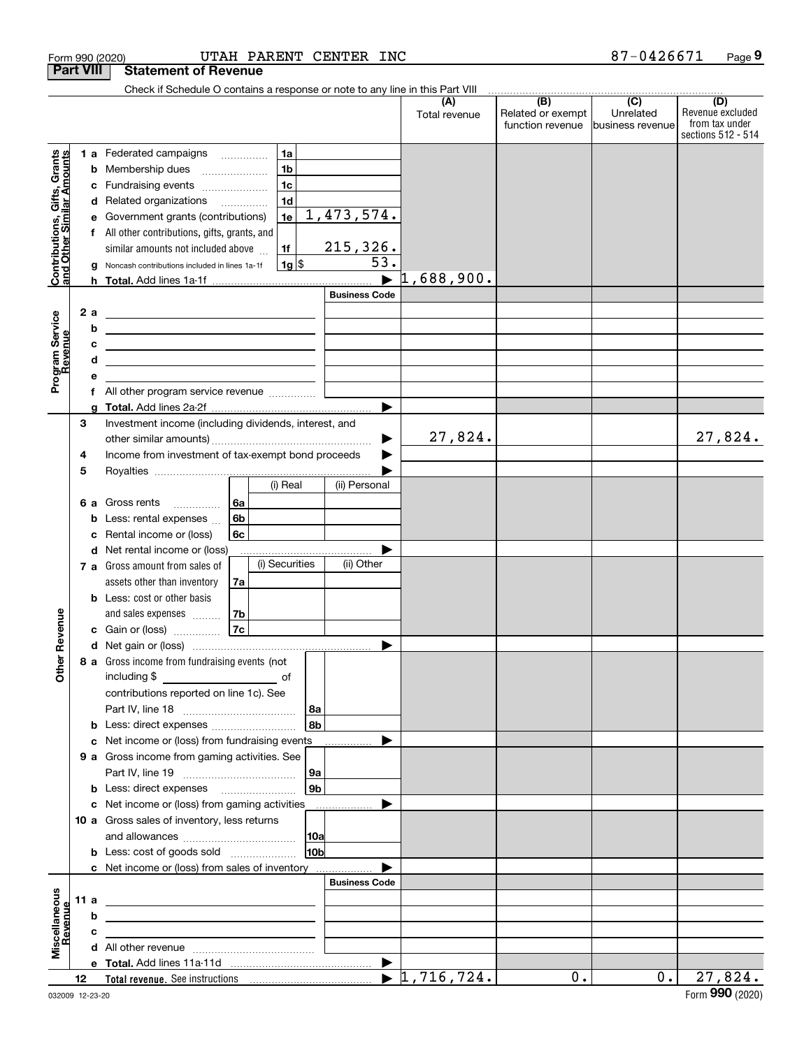|                                                           |    |          | Form 990 (2020)                                                                                                                                                                                                                      |                                      |                |                 | UTAH PARENT CENTER INC |                                  |                                              | 87-0426671                                      | Page 9                                                          |
|-----------------------------------------------------------|----|----------|--------------------------------------------------------------------------------------------------------------------------------------------------------------------------------------------------------------------------------------|--------------------------------------|----------------|-----------------|------------------------|----------------------------------|----------------------------------------------|-------------------------------------------------|-----------------------------------------------------------------|
| <b>Part VIII</b>                                          |    |          | <b>Statement of Revenue</b>                                                                                                                                                                                                          |                                      |                |                 |                        |                                  |                                              |                                                 |                                                                 |
|                                                           |    |          | Check if Schedule O contains a response or note to any line in this Part VIII                                                                                                                                                        |                                      |                |                 |                        |                                  |                                              |                                                 |                                                                 |
|                                                           |    |          |                                                                                                                                                                                                                                      |                                      |                |                 |                        | (A)<br>Total revenue             | (B)<br>Related or exempt<br>function revenue | $\overline{C}$<br>Unrelated<br>business revenue | (D)<br>Revenue excluded<br>from tax under<br>sections 512 - 514 |
|                                                           |    |          | <b>1 a</b> Federated campaigns                                                                                                                                                                                                       |                                      | 1a             |                 |                        |                                  |                                              |                                                 |                                                                 |
|                                                           |    |          | <b>b</b> Membership dues                                                                                                                                                                                                             | $\ldots \ldots \ldots \ldots \ldots$ | 1 <sub>b</sub> |                 |                        |                                  |                                              |                                                 |                                                                 |
| Contributions, Gifts, Grants<br>and Other Similar Amounts |    |          | c Fundraising events                                                                                                                                                                                                                 |                                      | 1 <sub>c</sub> |                 |                        |                                  |                                              |                                                 |                                                                 |
|                                                           |    |          | d Related organizations                                                                                                                                                                                                              |                                      | 1 <sub>d</sub> |                 |                        |                                  |                                              |                                                 |                                                                 |
|                                                           |    | е        | Government grants (contributions)                                                                                                                                                                                                    |                                      | 1e             |                 | 1,473,574.             |                                  |                                              |                                                 |                                                                 |
|                                                           |    | f        | All other contributions, gifts, grants, and                                                                                                                                                                                          |                                      |                |                 |                        |                                  |                                              |                                                 |                                                                 |
|                                                           |    |          | similar amounts not included above                                                                                                                                                                                                   |                                      | 1f             |                 | 215,326.               |                                  |                                              |                                                 |                                                                 |
|                                                           |    | g        | Noncash contributions included in lines 1a-1f                                                                                                                                                                                        |                                      | $1g$ \$        |                 | 53.                    |                                  |                                              |                                                 |                                                                 |
|                                                           |    |          |                                                                                                                                                                                                                                      |                                      |                |                 |                        | 1,688,900.                       |                                              |                                                 |                                                                 |
|                                                           |    |          |                                                                                                                                                                                                                                      |                                      |                |                 | <b>Business Code</b>   |                                  |                                              |                                                 |                                                                 |
|                                                           |    | 2 a<br>b | <u> 2008 - An Dùbhlachd ann an Dùbhlachd ann an Dùbhlachd ann an Dùbhlachd ann an Dùbhlachd ann an Dùbhlachd ann an Dùbhlachd ann an Dùbhlachd ann an Dùbhlachd ann an Dùbhlachd ann an Dùbhlachd ann an Dùbhlachd ann an Dùbhla</u> |                                      |                |                 |                        |                                  |                                              |                                                 |                                                                 |
|                                                           |    | c        | <u> 1989 - Johann Harry Harry Harry Harry Harry Harry Harry Harry Harry Harry Harry Harry Harry Harry Harry Harry Harry Harry Harry Harry Harry Harry Harry Harry Harry Harry Harry Harry Harry Harry Harry Harry Harry Harry Ha</u> |                                      |                |                 |                        |                                  |                                              |                                                 |                                                                 |
| Program Service<br>Revenue                                |    | d        | <u> Alexandria de la contrada de la contrada de la contrada de la contrada de la contrada de la contrada de la c</u>                                                                                                                 |                                      |                |                 |                        |                                  |                                              |                                                 |                                                                 |
|                                                           |    | е        | <u> 1989 - Johann Barn, amerikansk politiker (d. 1989)</u>                                                                                                                                                                           |                                      |                |                 |                        |                                  |                                              |                                                 |                                                                 |
|                                                           |    |          | f All other program service revenue                                                                                                                                                                                                  |                                      |                |                 |                        |                                  |                                              |                                                 |                                                                 |
|                                                           |    |          |                                                                                                                                                                                                                                      |                                      |                |                 |                        |                                  |                                              |                                                 |                                                                 |
|                                                           | 3  |          | Investment income (including dividends, interest, and                                                                                                                                                                                |                                      |                |                 |                        |                                  |                                              |                                                 |                                                                 |
|                                                           |    |          |                                                                                                                                                                                                                                      |                                      |                |                 |                        | 27,824.                          |                                              |                                                 | 27,824.                                                         |
|                                                           | 4  |          | Income from investment of tax-exempt bond proceeds                                                                                                                                                                                   |                                      |                |                 |                        |                                  |                                              |                                                 |                                                                 |
|                                                           | 5  |          |                                                                                                                                                                                                                                      |                                      |                |                 |                        |                                  |                                              |                                                 |                                                                 |
|                                                           |    |          |                                                                                                                                                                                                                                      |                                      | (i) Real       |                 | (ii) Personal          |                                  |                                              |                                                 |                                                                 |
|                                                           |    |          | 6 a Gross rents                                                                                                                                                                                                                      | 6a                                   |                |                 |                        |                                  |                                              |                                                 |                                                                 |
|                                                           |    |          | <b>b</b> Less: rental expenses $\ldots$                                                                                                                                                                                              | 6b                                   |                |                 |                        |                                  |                                              |                                                 |                                                                 |
|                                                           |    | c        | Rental income or (loss)                                                                                                                                                                                                              | 6c                                   |                |                 |                        |                                  |                                              |                                                 |                                                                 |
|                                                           |    |          | d Net rental income or (loss)<br>7 a Gross amount from sales of                                                                                                                                                                      |                                      | (i) Securities |                 | (ii) Other             |                                  |                                              |                                                 |                                                                 |
|                                                           |    |          | assets other than inventory                                                                                                                                                                                                          | 7a                                   |                |                 |                        |                                  |                                              |                                                 |                                                                 |
|                                                           |    |          | <b>b</b> Less: cost or other basis                                                                                                                                                                                                   |                                      |                |                 |                        |                                  |                                              |                                                 |                                                                 |
|                                                           |    |          | and sales expenses                                                                                                                                                                                                                   | 7b                                   |                |                 |                        |                                  |                                              |                                                 |                                                                 |
| evenue                                                    |    |          | c Gain or (loss)                                                                                                                                                                                                                     | 7c                                   |                |                 |                        |                                  |                                              |                                                 |                                                                 |
|                                                           |    |          |                                                                                                                                                                                                                                      |                                      |                |                 |                        |                                  |                                              |                                                 |                                                                 |
| Other R                                                   |    |          | 8 a Gross income from fundraising events (not                                                                                                                                                                                        |                                      |                |                 |                        |                                  |                                              |                                                 |                                                                 |
|                                                           |    |          |                                                                                                                                                                                                                                      |                                      |                |                 |                        |                                  |                                              |                                                 |                                                                 |
|                                                           |    |          | contributions reported on line 1c). See                                                                                                                                                                                              |                                      |                |                 |                        |                                  |                                              |                                                 |                                                                 |
|                                                           |    |          |                                                                                                                                                                                                                                      |                                      |                | 8a              |                        |                                  |                                              |                                                 |                                                                 |
|                                                           |    |          |                                                                                                                                                                                                                                      |                                      |                | 8 <sub>b</sub>  |                        |                                  |                                              |                                                 |                                                                 |
|                                                           |    |          | c Net income or (loss) from fundraising events                                                                                                                                                                                       |                                      |                |                 |                        |                                  |                                              |                                                 |                                                                 |
|                                                           |    |          | 9 a Gross income from gaming activities. See                                                                                                                                                                                         |                                      |                |                 |                        |                                  |                                              |                                                 |                                                                 |
|                                                           |    |          |                                                                                                                                                                                                                                      |                                      |                | 9a              |                        |                                  |                                              |                                                 |                                                                 |
|                                                           |    |          | <b>b</b> Less: direct expenses <b>manually</b>                                                                                                                                                                                       |                                      |                | 9 <sub>b</sub>  |                        |                                  |                                              |                                                 |                                                                 |
|                                                           |    |          | c Net income or (loss) from gaming activities _______________<br>10 a Gross sales of inventory, less returns                                                                                                                         |                                      |                |                 |                        |                                  |                                              |                                                 |                                                                 |
|                                                           |    |          |                                                                                                                                                                                                                                      |                                      |                | 10a             |                        |                                  |                                              |                                                 |                                                                 |
|                                                           |    |          |                                                                                                                                                                                                                                      |                                      |                | 10 <sub>b</sub> |                        |                                  |                                              |                                                 |                                                                 |
|                                                           |    |          | c Net income or (loss) from sales of inventory                                                                                                                                                                                       |                                      |                |                 |                        |                                  |                                              |                                                 |                                                                 |
|                                                           |    |          |                                                                                                                                                                                                                                      |                                      |                |                 | <b>Business Code</b>   |                                  |                                              |                                                 |                                                                 |
|                                                           |    | 11 a     | <u> 1989 - Andrea Stadt Britain, amerikansk politiker (</u>                                                                                                                                                                          |                                      |                |                 |                        |                                  |                                              |                                                 |                                                                 |
| evenue                                                    |    | b        | <u> 1989 - Johann John Stone, meil in der Stone und der Stone und der Stone und der Stone und der Stone und der S</u>                                                                                                                |                                      |                |                 |                        |                                  |                                              |                                                 |                                                                 |
|                                                           |    | c        | the control of the control of the control of the control of the control of the control of                                                                                                                                            |                                      |                |                 |                        |                                  |                                              |                                                 |                                                                 |
|                                                           |    |          |                                                                                                                                                                                                                                      |                                      |                |                 |                        |                                  |                                              |                                                 |                                                                 |
| Miscellaneous                                             |    |          |                                                                                                                                                                                                                                      |                                      |                |                 |                        |                                  |                                              |                                                 |                                                                 |
|                                                           | 12 |          |                                                                                                                                                                                                                                      |                                      |                |                 |                        | $\blacktriangleright$ 1,716,724. | 0.                                           | 0.                                              | 27,824.<br>$000 \, \text{cm}$                                   |
|                                                           |    |          |                                                                                                                                                                                                                                      |                                      |                |                 |                        |                                  |                                              |                                                 |                                                                 |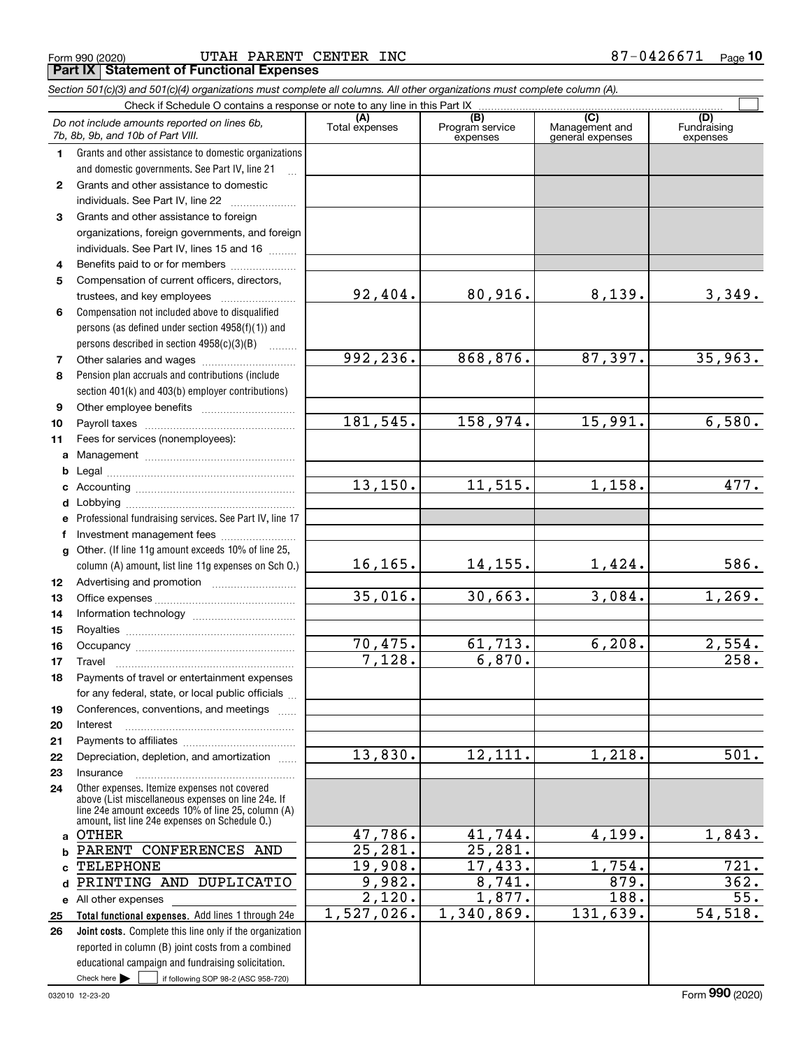## Form 990 (2020) UTAH PARENT CENTER INC 8 7-0  $4\,2\,6\,6\,7\,1$  Page **Part IX Statement of Functional Expenses**

*Section 501(c)(3) and 501(c)(4) organizations must complete all columns. All other organizations must complete column (A).* Check if Schedule O contains a response or note to any line in this Part IX

|                  | Critect if Scritedule O contrains a response of note to any line in this Fart IA                     |                       |                                    |                                                        |                                |
|------------------|------------------------------------------------------------------------------------------------------|-----------------------|------------------------------------|--------------------------------------------------------|--------------------------------|
|                  | Do not include amounts reported on lines 6b,<br>7b, 8b, 9b, and 10b of Part VIII.                    | (A)<br>Total expenses | (B)<br>Program service<br>expenses | $\overline{(C)}$<br>Management and<br>general expenses | (D)<br>Fundraising<br>expenses |
| $\mathbf 1$      | Grants and other assistance to domestic organizations                                                |                       |                                    |                                                        |                                |
|                  | and domestic governments. See Part IV, line 21                                                       |                       |                                    |                                                        |                                |
| $\mathbf{2}$     | Grants and other assistance to domestic                                                              |                       |                                    |                                                        |                                |
|                  | individuals. See Part IV, line 22                                                                    |                       |                                    |                                                        |                                |
| 3                | Grants and other assistance to foreign                                                               |                       |                                    |                                                        |                                |
|                  | organizations, foreign governments, and foreign                                                      |                       |                                    |                                                        |                                |
|                  | individuals. See Part IV, lines 15 and 16                                                            |                       |                                    |                                                        |                                |
| 4                | Benefits paid to or for members                                                                      |                       |                                    |                                                        |                                |
| 5                | Compensation of current officers, directors,                                                         |                       |                                    |                                                        |                                |
|                  |                                                                                                      | 92,404.               | 80,916.                            | 8,139.                                                 | 3,349.                         |
| 6                | Compensation not included above to disqualified                                                      |                       |                                    |                                                        |                                |
|                  | persons (as defined under section 4958(f)(1)) and                                                    |                       |                                    |                                                        |                                |
|                  | persons described in section 4958(c)(3)(B)                                                           |                       |                                    |                                                        |                                |
| 7                |                                                                                                      | 992, 236.             | 868,876.                           | 87,397.                                                | 35,963.                        |
| 8                | Pension plan accruals and contributions (include                                                     |                       |                                    |                                                        |                                |
|                  | section 401(k) and 403(b) employer contributions)                                                    |                       |                                    |                                                        |                                |
| 9                |                                                                                                      |                       |                                    |                                                        |                                |
| 10               |                                                                                                      | 181, 545.             | 158,974.                           | 15,991.                                                | 6,580.                         |
| 11               | Fees for services (nonemployees):                                                                    |                       |                                    |                                                        |                                |
|                  |                                                                                                      |                       |                                    |                                                        |                                |
| b                |                                                                                                      |                       |                                    |                                                        |                                |
| c                |                                                                                                      | 13,150.               | 11, 515.                           | 1,158.                                                 | 477.                           |
| d                |                                                                                                      |                       |                                    |                                                        |                                |
| е                | Professional fundraising services. See Part IV, line 17                                              |                       |                                    |                                                        |                                |
| f                | Investment management fees                                                                           |                       |                                    |                                                        |                                |
| g                | Other. (If line 11g amount exceeds 10% of line 25,                                                   |                       |                                    |                                                        |                                |
|                  | column (A) amount, list line 11g expenses on Sch O.)                                                 | 16, 165.              | 14, 155.                           | 1,424.                                                 | 586.                           |
| 12 <sup>12</sup> |                                                                                                      | 35,016.               | 30,663.                            | 3,084.                                                 | 1,269.                         |
| 13               |                                                                                                      |                       |                                    |                                                        |                                |
| 14               |                                                                                                      |                       |                                    |                                                        |                                |
| 15               |                                                                                                      | 70,475.               | 61, 713.                           | 6,208.                                                 | 2,554.                         |
| 16               |                                                                                                      | 7,128.                | 6,870.                             |                                                        | $\overline{258.}$              |
| 17               | Travel<br>Payments of travel or entertainment expenses                                               |                       |                                    |                                                        |                                |
| 18               |                                                                                                      |                       |                                    |                                                        |                                |
|                  | for any federal, state, or local public officials<br>Conferences, conventions, and meetings          |                       |                                    |                                                        |                                |
| 19<br>20         | Interest                                                                                             |                       |                                    |                                                        |                                |
| 21               |                                                                                                      |                       |                                    |                                                        |                                |
| 22               | Depreciation, depletion, and amortization                                                            | 13,830.               | 12, 111.                           | 1,218.                                                 | 501.                           |
| 23               | Insurance                                                                                            |                       |                                    |                                                        |                                |
| 24               | Other expenses. Itemize expenses not covered                                                         |                       |                                    |                                                        |                                |
|                  | above (List miscellaneous expenses on line 24e. If                                                   |                       |                                    |                                                        |                                |
|                  | line 24e amount exceeds 10% of line 25, column (A)<br>amount, list line 24e expenses on Schedule O.) |                       |                                    |                                                        |                                |
| a                | <b>OTHER</b>                                                                                         | 47,786.               | 41,744.                            | 4,199.                                                 | 1,843.                         |
| b                | PARENT CONFERENCES AND                                                                               | 25, 281.              | 25, 281.                           |                                                        |                                |
| c                | <b>TELEPHONE</b>                                                                                     | 19,908.               | 17,433.                            | 1,754.                                                 | 721.                           |
| d                | PRINTING AND DUPLICATIO                                                                              | 9,982.                | 8,741.                             | 879.                                                   | 362.                           |
|                  | e All other expenses                                                                                 | 2,120.                | 1,877.                             | 188.                                                   | 55.                            |
| 25               | Total functional expenses. Add lines 1 through 24e                                                   | 1,527,026.            | 1,340,869.                         | 131,639.                                               | 54, 518.                       |
| 26               | <b>Joint costs.</b> Complete this line only if the organization                                      |                       |                                    |                                                        |                                |
|                  | reported in column (B) joint costs from a combined                                                   |                       |                                    |                                                        |                                |
|                  | educational campaign and fundraising solicitation.                                                   |                       |                                    |                                                        |                                |
|                  | Check here $\blacktriangleright$<br>if following SOP 98-2 (ASC 958-720)                              |                       |                                    |                                                        |                                |

**10**

Form (2020) **990**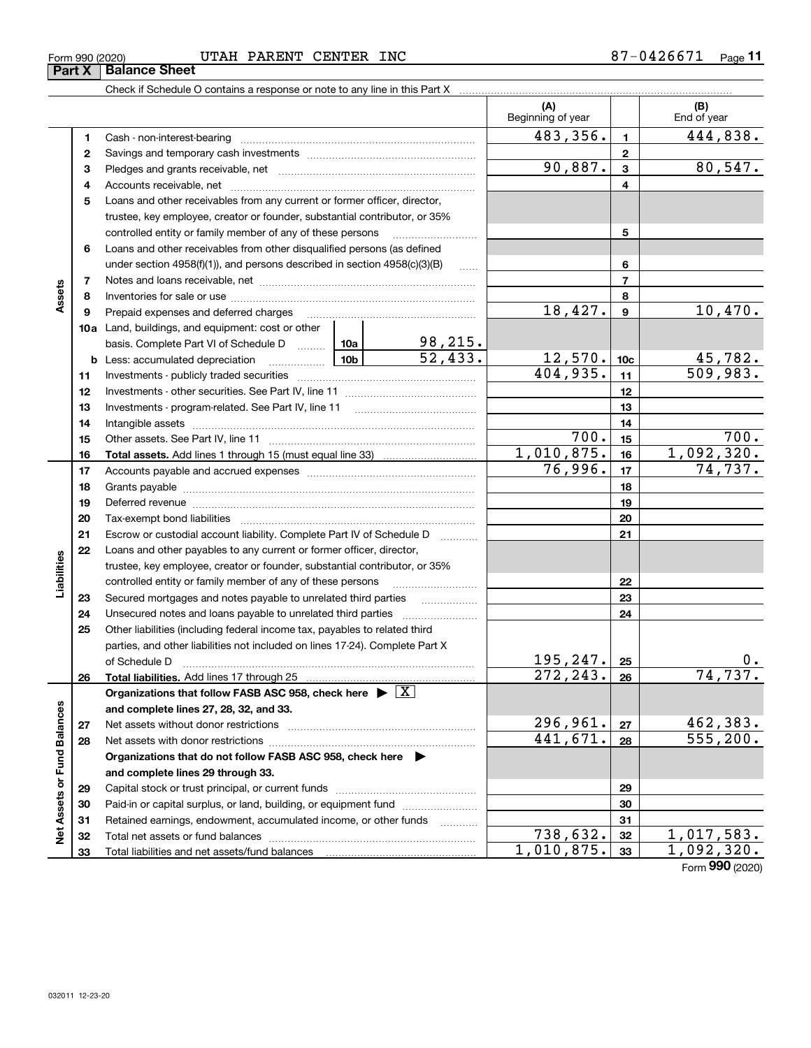**32 33**

**Jet** 

| Form 990 (2020) | UTAH | PARENT | <b>CENTER</b> | INC | 26671 ،<br>$-01$ | Page |  |
|-----------------|------|--------|---------------|-----|------------------|------|--|
|                 |      |        |               |     |                  |      |  |

Check if Schedule O contains a response or note to any line in this Part X

Total net assets or fund balances ~~~~~~~~~~~~~~~~~~~~~~

Total liabilities and net assets/fund balances ...

|                             |    |                                                                                    |            |                           | (A)<br>Beginning of year |                  | (B)<br>End of year         |
|-----------------------------|----|------------------------------------------------------------------------------------|------------|---------------------------|--------------------------|------------------|----------------------------|
|                             | 1  | Cash - non-interest-bearing                                                        |            |                           | 483,356.                 | $\blacksquare$   | 444,838.                   |
|                             | 2  |                                                                                    |            |                           |                          | $\mathbf 2$      |                            |
|                             | з  |                                                                                    |            |                           | 90,887.                  | 3                | 80,547.                    |
|                             | 4  |                                                                                    |            |                           |                          | 4                |                            |
|                             | 5  | Loans and other receivables from any current or former officer, director,          |            |                           |                          |                  |                            |
|                             |    | trustee, key employee, creator or founder, substantial contributor, or 35%         |            |                           |                          |                  |                            |
|                             |    | controlled entity or family member of any of these persons                         |            | 5                         |                          |                  |                            |
|                             | 6  | Loans and other receivables from other disqualified persons (as defined            |            |                           |                          |                  |                            |
|                             |    | under section 4958(f)(1)), and persons described in section 4958(c)(3)(B)          |            |                           |                          | 6                |                            |
|                             | 7  |                                                                                    |            | $\ldots$                  |                          | $\overline{7}$   |                            |
| Assets                      | 8  |                                                                                    |            |                           | 8                        |                  |                            |
|                             | 9  | Prepaid expenses and deferred charges                                              |            |                           | 18,427.                  | $\boldsymbol{9}$ | 10,470.                    |
|                             |    | 10a Land, buildings, and equipment: cost or other                                  |            |                           |                          |                  |                            |
|                             |    | basis. Complete Part VI of Schedule D  10a                                         |            |                           |                          |                  |                            |
|                             | b  | <u>  10b</u><br>Less: accumulated depreciation                                     |            | $\frac{98,215.}{52,433.}$ | <u> 12,570.</u>          | 10 <sub>c</sub>  |                            |
|                             | 11 |                                                                                    |            |                           | 404,935.                 | 11               | $\frac{45,782}{509,983}$ . |
|                             | 12 |                                                                                    |            |                           |                          | 12               |                            |
|                             | 13 | Investments - program-related. See Part IV, line 11                                |            |                           |                          | 13               |                            |
|                             | 14 |                                                                                    |            |                           |                          | 14               |                            |
|                             | 15 |                                                                                    | 700.       | 15                        | 700.                     |                  |                            |
|                             | 16 |                                                                                    | 1,010,875. | 16                        | 1,092,320.               |                  |                            |
|                             | 17 |                                                                                    |            |                           | 76,996.                  | 17               | 74, 737.                   |
|                             | 18 |                                                                                    |            |                           | 18                       |                  |                            |
|                             | 19 |                                                                                    |            | 19                        |                          |                  |                            |
|                             | 20 |                                                                                    |            | 20                        |                          |                  |                            |
|                             | 21 | Escrow or custodial account liability. Complete Part IV of Schedule D              |            | 1.1.1.1.1.1.1.1.1.1       |                          | 21               |                            |
|                             | 22 | Loans and other payables to any current or former officer, director,               |            |                           |                          |                  |                            |
| Liabilities                 |    | trustee, key employee, creator or founder, substantial contributor, or 35%         |            |                           |                          |                  |                            |
|                             |    | controlled entity or family member of any of these persons                         |            |                           |                          | 22               |                            |
|                             | 23 | Secured mortgages and notes payable to unrelated third parties                     |            | .                         |                          | 23               |                            |
|                             | 24 | Unsecured notes and loans payable to unrelated third parties                       |            |                           |                          | 24               |                            |
|                             | 25 | Other liabilities (including federal income tax, payables to related third         |            |                           |                          |                  |                            |
|                             |    | parties, and other liabilities not included on lines 17-24). Complete Part X       |            |                           |                          |                  |                            |
|                             |    | of Schedule D                                                                      |            |                           | 195, 247.                | 25               | 0.                         |
|                             | 26 |                                                                                    |            |                           | 272,243.                 | 26               | 74,737.                    |
|                             |    | Organizations that follow FASB ASC 958, check here $\blacktriangleright \boxed{X}$ |            |                           |                          |                  |                            |
|                             |    | and complete lines 27, 28, 32, and 33.                                             |            |                           |                          |                  |                            |
|                             | 27 | Net assets without donor restrictions                                              | 296,961.   | 27                        | 462,383.                 |                  |                            |
|                             | 28 |                                                                                    |            | 441,671.                  | 28                       | 555, 200.        |                            |
|                             |    | Organizations that do not follow FASB ASC 958, check here $\blacktriangleright$    |            |                           |                          |                  |                            |
|                             |    | and complete lines 29 through 33.                                                  |            |                           |                          |                  |                            |
|                             | 29 |                                                                                    |            |                           | 29                       |                  |                            |
|                             | 30 | Paid-in or capital surplus, or land, building, or equipment fund                   |            |                           |                          | 30               |                            |
| Net Assets or Fund Balances | 31 | Retained earnings, endowment, accumulated income, or other funds                   |            | 1.1.1.1.1.1.1.1.1         |                          | 31               |                            |
|                             | 32 |                                                                                    |            |                           | $\overline{738}$ , 632.  | 32               | 1,017,583.                 |

Form (2020) **990**  $\begin{array}{|c|c|c|c|c|}\n \hline\n 738,632. & \text{32} & \text{1,017,583.} \\
 \hline\n 010,875. & \text{33} & \text{1,092,320.} \\
 \hline\n \end{array}$  $1,010,875.$   $33$  1,092,320.

**3233**

| Form 990 (2020)               |  |  |
|-------------------------------|--|--|
| <b>Part X   Balance Sheet</b> |  |  |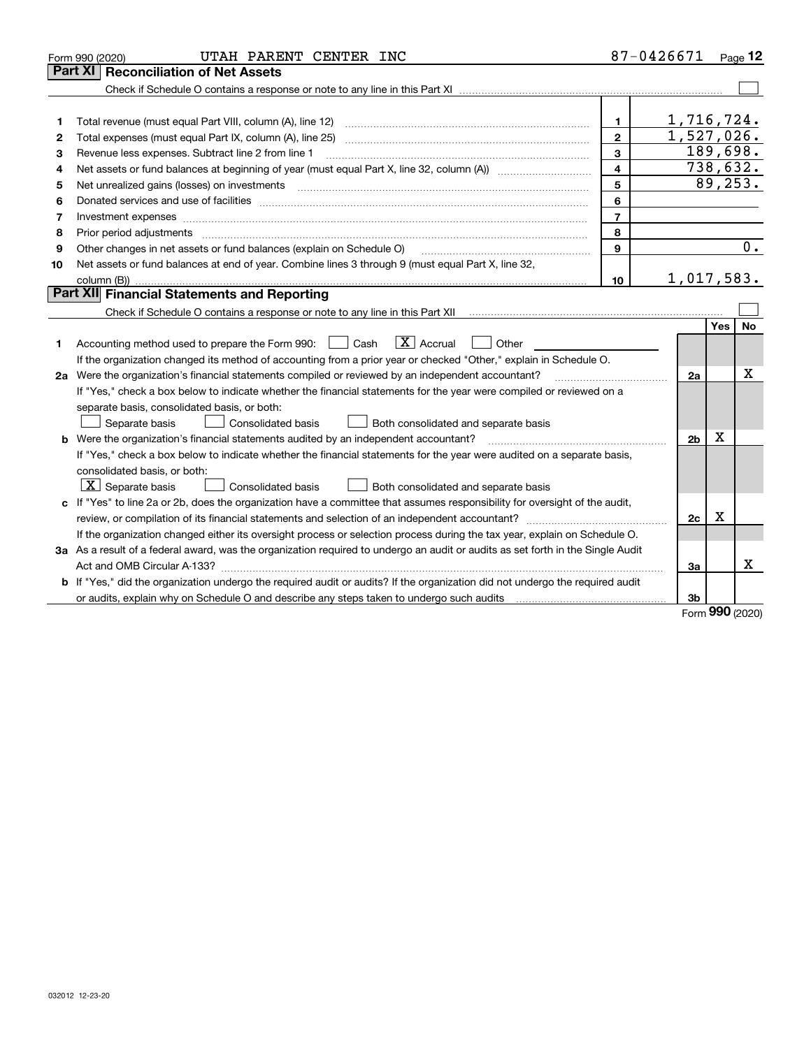|    | UTAH PARENT CENTER INC<br>Form 990 (2020)                                                                                            |                                                                                                                                                                                                                                                                                                                                                               | 87-0426671     |            | Page $12$             |
|----|--------------------------------------------------------------------------------------------------------------------------------------|---------------------------------------------------------------------------------------------------------------------------------------------------------------------------------------------------------------------------------------------------------------------------------------------------------------------------------------------------------------|----------------|------------|-----------------------|
|    | Part XI<br><b>Reconciliation of Net Assets</b>                                                                                       |                                                                                                                                                                                                                                                                                                                                                               |                |            |                       |
|    |                                                                                                                                      |                                                                                                                                                                                                                                                                                                                                                               |                |            |                       |
|    |                                                                                                                                      |                                                                                                                                                                                                                                                                                                                                                               |                |            |                       |
| 1  |                                                                                                                                      | $\mathbf{1}$                                                                                                                                                                                                                                                                                                                                                  | 1,716,724.     |            |                       |
| 2  | Total expenses (must equal Part IX, column (A), line 25)                                                                             | $\mathbf{2}$                                                                                                                                                                                                                                                                                                                                                  | 1,527,026.     |            |                       |
| 3  | Revenue less expenses. Subtract line 2 from line 1                                                                                   | 3                                                                                                                                                                                                                                                                                                                                                             |                | 189,698.   |                       |
| 4  |                                                                                                                                      | 4                                                                                                                                                                                                                                                                                                                                                             |                | 738,632.   |                       |
| 5  |                                                                                                                                      | 5                                                                                                                                                                                                                                                                                                                                                             |                |            | $\overline{89,253}$ . |
| 6  |                                                                                                                                      | 6                                                                                                                                                                                                                                                                                                                                                             |                |            |                       |
| 7  |                                                                                                                                      | $\overline{7}$                                                                                                                                                                                                                                                                                                                                                |                |            |                       |
| 8  | Prior period adjustments                                                                                                             | 8                                                                                                                                                                                                                                                                                                                                                             |                |            |                       |
| 9  | Other changes in net assets or fund balances (explain on Schedule O)                                                                 | 9                                                                                                                                                                                                                                                                                                                                                             |                |            | 0.                    |
| 10 | Net assets or fund balances at end of year. Combine lines 3 through 9 (must equal Part X, line 32,                                   |                                                                                                                                                                                                                                                                                                                                                               |                |            |                       |
|    |                                                                                                                                      | 10                                                                                                                                                                                                                                                                                                                                                            | 1,017,583.     |            |                       |
|    | Part XII Financial Statements and Reporting                                                                                          |                                                                                                                                                                                                                                                                                                                                                               |                |            |                       |
|    |                                                                                                                                      |                                                                                                                                                                                                                                                                                                                                                               |                |            |                       |
|    |                                                                                                                                      |                                                                                                                                                                                                                                                                                                                                                               |                | <b>Yes</b> | <b>No</b>             |
| 1  | $\boxed{\text{X}}$ Accrual<br>Accounting method used to prepare the Form 990: <u>June</u> Cash<br>Other                              |                                                                                                                                                                                                                                                                                                                                                               |                |            |                       |
|    | If the organization changed its method of accounting from a prior year or checked "Other," explain in Schedule O.                    |                                                                                                                                                                                                                                                                                                                                                               |                |            |                       |
|    | 2a Were the organization's financial statements compiled or reviewed by an independent accountant?                                   | $\mathcal{L} = \{1, 2, \ldots, 2, \ldots, 2, \ldots, 2, \ldots, 2, \ldots, 2, \ldots, 2, \ldots, 2, \ldots, 2, \ldots, 2, \ldots, 2, \ldots, 2, \ldots, 2, \ldots, 2, \ldots, 2, \ldots, 2, \ldots, 2, \ldots, 2, \ldots, 2, \ldots, 2, \ldots, 2, \ldots, 2, \ldots, 2, \ldots, 2, \ldots, 2, \ldots, 2, \ldots, 2, \ldots, 2, \ldots, 2, \ldots, 2, \ldots$ | 2a             |            | х                     |
|    | If "Yes," check a box below to indicate whether the financial statements for the year were compiled or reviewed on a                 |                                                                                                                                                                                                                                                                                                                                                               |                |            |                       |
|    | separate basis, consolidated basis, or both:                                                                                         |                                                                                                                                                                                                                                                                                                                                                               |                |            |                       |
|    | Separate basis<br>Consolidated basis<br>Both consolidated and separate basis                                                         |                                                                                                                                                                                                                                                                                                                                                               |                |            |                       |
| b  | Were the organization's financial statements audited by an independent accountant?                                                   |                                                                                                                                                                                                                                                                                                                                                               | 2 <sub>b</sub> | x          |                       |
|    | If "Yes," check a box below to indicate whether the financial statements for the year were audited on a separate basis,              |                                                                                                                                                                                                                                                                                                                                                               |                |            |                       |
|    | consolidated basis, or both:                                                                                                         |                                                                                                                                                                                                                                                                                                                                                               |                |            |                       |
|    | $X$ Separate basis<br>Consolidated basis<br>Both consolidated and separate basis                                                     |                                                                                                                                                                                                                                                                                                                                                               |                |            |                       |
|    | c If "Yes" to line 2a or 2b, does the organization have a committee that assumes responsibility for oversight of the audit,          |                                                                                                                                                                                                                                                                                                                                                               |                |            |                       |
|    |                                                                                                                                      |                                                                                                                                                                                                                                                                                                                                                               | 2c             | х          |                       |
|    | If the organization changed either its oversight process or selection process during the tax year, explain on Schedule O.            |                                                                                                                                                                                                                                                                                                                                                               |                |            |                       |
|    | 3a As a result of a federal award, was the organization required to undergo an audit or audits as set forth in the Single Audit      |                                                                                                                                                                                                                                                                                                                                                               |                |            |                       |
|    |                                                                                                                                      |                                                                                                                                                                                                                                                                                                                                                               | За             |            | x                     |
|    | <b>b</b> If "Yes," did the organization undergo the required audit or audits? If the organization did not undergo the required audit |                                                                                                                                                                                                                                                                                                                                                               |                |            |                       |
|    |                                                                                                                                      |                                                                                                                                                                                                                                                                                                                                                               | 3b             |            |                       |

Form (2020) **990**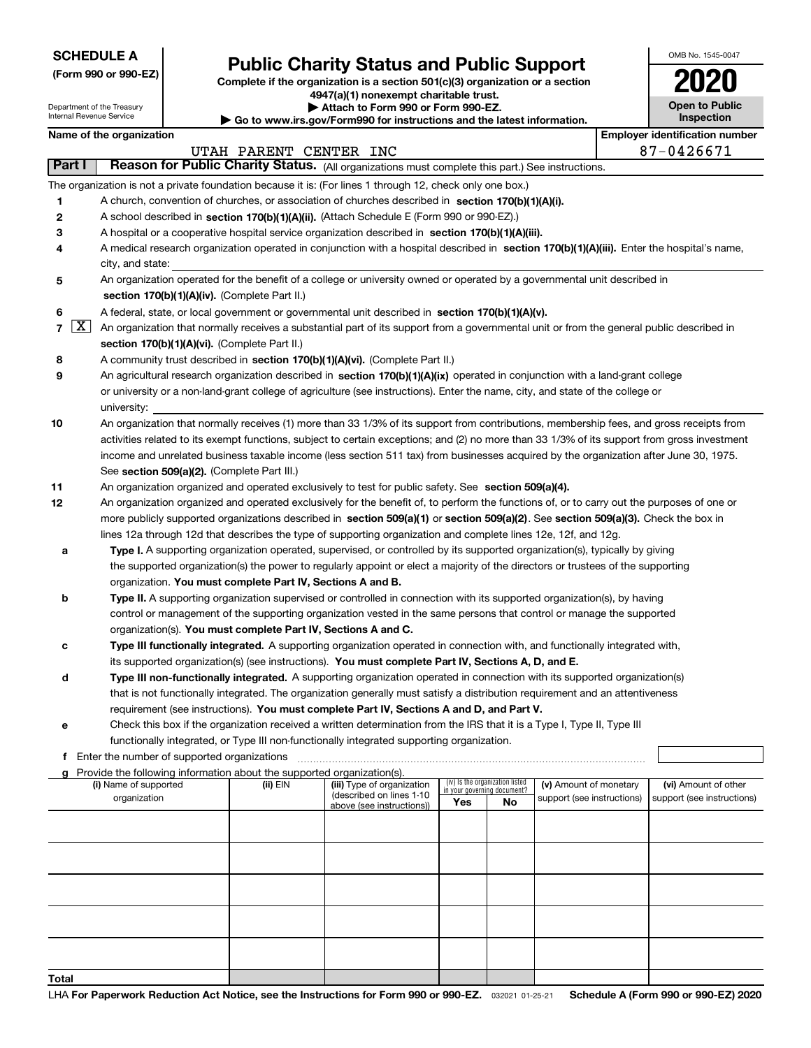| (Form 990 or 990-EZ) |  |  |  |  |
|----------------------|--|--|--|--|
|----------------------|--|--|--|--|

## **Public Charity Status and Public Support**

**Complete if the organization is a section 501(c)(3) organization or a section 4947(a)(1) nonexempt charitable trust.**

| OMB No 1545-0047      |
|-----------------------|
| 2020                  |
| <b>Open to Public</b> |

|                   | Department of the Treasury<br>Internal Revenue Service                                                                                       |  | <b>Open to Public</b><br>Inspection                                    |                                                                                                                                            |                             |                                 |                                                      |  |                                                    |  |  |
|-------------------|----------------------------------------------------------------------------------------------------------------------------------------------|--|------------------------------------------------------------------------|--------------------------------------------------------------------------------------------------------------------------------------------|-----------------------------|---------------------------------|------------------------------------------------------|--|----------------------------------------------------|--|--|
|                   | Name of the organization                                                                                                                     |  |                                                                        | Go to www.irs.gov/Form990 for instructions and the latest information.                                                                     |                             |                                 |                                                      |  | <b>Employer identification number</b>              |  |  |
|                   |                                                                                                                                              |  | UTAH PARENT CENTER INC                                                 |                                                                                                                                            |                             |                                 |                                                      |  | 87-0426671                                         |  |  |
| Part I            |                                                                                                                                              |  |                                                                        | Reason for Public Charity Status. (All organizations must complete this part.) See instructions.                                           |                             |                                 |                                                      |  |                                                    |  |  |
|                   |                                                                                                                                              |  |                                                                        | The organization is not a private foundation because it is: (For lines 1 through 12, check only one box.)                                  |                             |                                 |                                                      |  |                                                    |  |  |
| 1                 |                                                                                                                                              |  |                                                                        | A church, convention of churches, or association of churches described in section 170(b)(1)(A)(i).                                         |                             |                                 |                                                      |  |                                                    |  |  |
| 2                 |                                                                                                                                              |  |                                                                        | A school described in section 170(b)(1)(A)(ii). (Attach Schedule E (Form 990 or 990-EZ).)                                                  |                             |                                 |                                                      |  |                                                    |  |  |
| 3                 |                                                                                                                                              |  |                                                                        | A hospital or a cooperative hospital service organization described in section 170(b)(1)(A)(iii).                                          |                             |                                 |                                                      |  |                                                    |  |  |
| 4                 |                                                                                                                                              |  |                                                                        | A medical research organization operated in conjunction with a hospital described in section 170(b)(1)(A)(iii). Enter the hospital's name, |                             |                                 |                                                      |  |                                                    |  |  |
|                   | city, and state:                                                                                                                             |  |                                                                        |                                                                                                                                            |                             |                                 |                                                      |  |                                                    |  |  |
| 5                 |                                                                                                                                              |  |                                                                        | An organization operated for the benefit of a college or university owned or operated by a governmental unit described in                  |                             |                                 |                                                      |  |                                                    |  |  |
|                   |                                                                                                                                              |  | section 170(b)(1)(A)(iv). (Complete Part II.)                          |                                                                                                                                            |                             |                                 |                                                      |  |                                                    |  |  |
| 6                 |                                                                                                                                              |  |                                                                        | A federal, state, or local government or governmental unit described in section 170(b)(1)(A)(v).                                           |                             |                                 |                                                      |  |                                                    |  |  |
| $\mathbf{X}$<br>7 |                                                                                                                                              |  |                                                                        | An organization that normally receives a substantial part of its support from a governmental unit or from the general public described in  |                             |                                 |                                                      |  |                                                    |  |  |
|                   |                                                                                                                                              |  | section 170(b)(1)(A)(vi). (Complete Part II.)                          |                                                                                                                                            |                             |                                 |                                                      |  |                                                    |  |  |
| 8                 |                                                                                                                                              |  |                                                                        | A community trust described in section 170(b)(1)(A)(vi). (Complete Part II.)                                                               |                             |                                 |                                                      |  |                                                    |  |  |
| 9                 |                                                                                                                                              |  |                                                                        | An agricultural research organization described in section 170(b)(1)(A)(ix) operated in conjunction with a land-grant college              |                             |                                 |                                                      |  |                                                    |  |  |
|                   |                                                                                                                                              |  |                                                                        | or university or a non-land-grant college of agriculture (see instructions). Enter the name, city, and state of the college or             |                             |                                 |                                                      |  |                                                    |  |  |
|                   | university:                                                                                                                                  |  |                                                                        |                                                                                                                                            |                             |                                 |                                                      |  |                                                    |  |  |
| 10                |                                                                                                                                              |  |                                                                        | An organization that normally receives (1) more than 33 1/3% of its support from contributions, membership fees, and gross receipts from   |                             |                                 |                                                      |  |                                                    |  |  |
|                   | activities related to its exempt functions, subject to certain exceptions; and (2) no more than 33 1/3% of its support from gross investment |  |                                                                        |                                                                                                                                            |                             |                                 |                                                      |  |                                                    |  |  |
|                   |                                                                                                                                              |  |                                                                        | income and unrelated business taxable income (less section 511 tax) from businesses acquired by the organization after June 30, 1975.      |                             |                                 |                                                      |  |                                                    |  |  |
|                   | See section 509(a)(2). (Complete Part III.)                                                                                                  |  |                                                                        |                                                                                                                                            |                             |                                 |                                                      |  |                                                    |  |  |
| 11                | An organization organized and operated exclusively to test for public safety. See section 509(a)(4).                                         |  |                                                                        |                                                                                                                                            |                             |                                 |                                                      |  |                                                    |  |  |
| 12                |                                                                                                                                              |  |                                                                        | An organization organized and operated exclusively for the benefit of, to perform the functions of, or to carry out the purposes of one or |                             |                                 |                                                      |  |                                                    |  |  |
|                   | more publicly supported organizations described in section 509(a)(1) or section 509(a)(2). See section 509(a)(3). Check the box in           |  |                                                                        |                                                                                                                                            |                             |                                 |                                                      |  |                                                    |  |  |
|                   |                                                                                                                                              |  |                                                                        | lines 12a through 12d that describes the type of supporting organization and complete lines 12e, 12f, and 12g.                             |                             |                                 |                                                      |  |                                                    |  |  |
| а                 |                                                                                                                                              |  |                                                                        | Type I. A supporting organization operated, supervised, or controlled by its supported organization(s), typically by giving                |                             |                                 |                                                      |  |                                                    |  |  |
|                   |                                                                                                                                              |  |                                                                        | the supported organization(s) the power to regularly appoint or elect a majority of the directors or trustees of the supporting            |                             |                                 |                                                      |  |                                                    |  |  |
|                   |                                                                                                                                              |  | organization. You must complete Part IV, Sections A and B.             |                                                                                                                                            |                             |                                 |                                                      |  |                                                    |  |  |
| b                 |                                                                                                                                              |  |                                                                        | Type II. A supporting organization supervised or controlled in connection with its supported organization(s), by having                    |                             |                                 |                                                      |  |                                                    |  |  |
|                   |                                                                                                                                              |  |                                                                        | control or management of the supporting organization vested in the same persons that control or manage the supported                       |                             |                                 |                                                      |  |                                                    |  |  |
|                   |                                                                                                                                              |  | organization(s). You must complete Part IV, Sections A and C.          |                                                                                                                                            |                             |                                 |                                                      |  |                                                    |  |  |
| с                 |                                                                                                                                              |  |                                                                        | Type III functionally integrated. A supporting organization operated in connection with, and functionally integrated with,                 |                             |                                 |                                                      |  |                                                    |  |  |
|                   |                                                                                                                                              |  |                                                                        | its supported organization(s) (see instructions). You must complete Part IV, Sections A, D, and E.                                         |                             |                                 |                                                      |  |                                                    |  |  |
| d                 |                                                                                                                                              |  |                                                                        | Type III non-functionally integrated. A supporting organization operated in connection with its supported organization(s)                  |                             |                                 |                                                      |  |                                                    |  |  |
|                   |                                                                                                                                              |  |                                                                        | that is not functionally integrated. The organization generally must satisfy a distribution requirement and an attentiveness               |                             |                                 |                                                      |  |                                                    |  |  |
|                   |                                                                                                                                              |  |                                                                        | requirement (see instructions). You must complete Part IV, Sections A and D, and Part V.                                                   |                             |                                 |                                                      |  |                                                    |  |  |
| е                 |                                                                                                                                              |  |                                                                        | Check this box if the organization received a written determination from the IRS that it is a Type I, Type II, Type III                    |                             |                                 |                                                      |  |                                                    |  |  |
|                   |                                                                                                                                              |  |                                                                        | functionally integrated, or Type III non-functionally integrated supporting organization.                                                  |                             |                                 |                                                      |  |                                                    |  |  |
| f                 | Enter the number of supported organizations                                                                                                  |  |                                                                        |                                                                                                                                            |                             |                                 |                                                      |  |                                                    |  |  |
| g                 |                                                                                                                                              |  | Provide the following information about the supported organization(s). |                                                                                                                                            |                             | (iv) Is the organization listed |                                                      |  |                                                    |  |  |
|                   | (i) Name of supported<br>organization                                                                                                        |  | (ii) EIN                                                               | (iii) Type of organization<br>(described on lines 1-10                                                                                     | in your governing document? |                                 | (v) Amount of monetary<br>support (see instructions) |  | (vi) Amount of other<br>support (see instructions) |  |  |
|                   |                                                                                                                                              |  |                                                                        | above (see instructions))                                                                                                                  | Yes                         | No                              |                                                      |  |                                                    |  |  |
|                   |                                                                                                                                              |  |                                                                        |                                                                                                                                            |                             |                                 |                                                      |  |                                                    |  |  |
|                   |                                                                                                                                              |  |                                                                        |                                                                                                                                            |                             |                                 |                                                      |  |                                                    |  |  |
|                   |                                                                                                                                              |  |                                                                        |                                                                                                                                            |                             |                                 |                                                      |  |                                                    |  |  |
|                   |                                                                                                                                              |  |                                                                        |                                                                                                                                            |                             |                                 |                                                      |  |                                                    |  |  |
|                   |                                                                                                                                              |  |                                                                        |                                                                                                                                            |                             |                                 |                                                      |  |                                                    |  |  |
|                   |                                                                                                                                              |  |                                                                        |                                                                                                                                            |                             |                                 |                                                      |  |                                                    |  |  |
|                   |                                                                                                                                              |  |                                                                        |                                                                                                                                            |                             |                                 |                                                      |  |                                                    |  |  |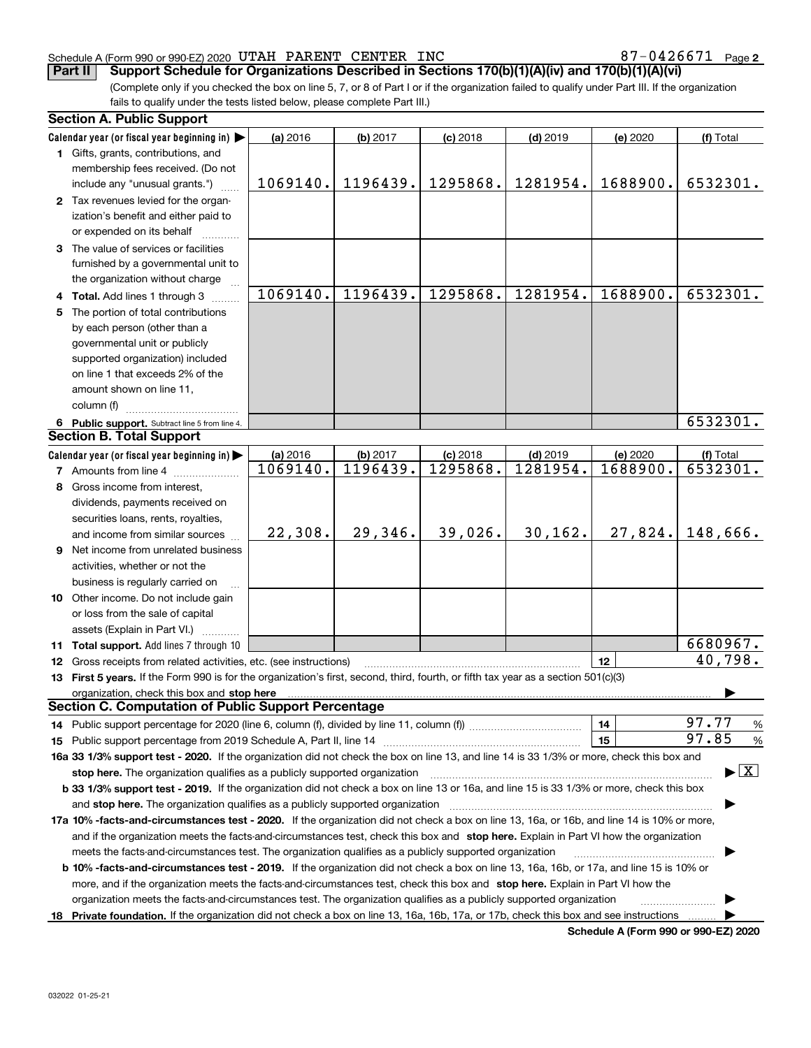## Schedule A (Form 990 or 990-EZ) 2020  $\:$  UTAH PARENT  $\:$  CENTER  $\:$  INC  $\quad$   $\qquad \qquad \qquad \qquad 87-0426671$   $\;$  Page

**2**

(Complete only if you checked the box on line 5, 7, or 8 of Part I or if the organization failed to qualify under Part III. If the organization fails to qualify under the tests listed below, please complete Part III.) **Part II Support Schedule for Organizations Described in Sections 170(b)(1)(A)(iv) and 170(b)(1)(A)(vi)** 

|    | <b>Section A. Public Support</b>                                                                                                                                                                                                                       |          |          |            |            |                                             |                                         |  |  |  |
|----|--------------------------------------------------------------------------------------------------------------------------------------------------------------------------------------------------------------------------------------------------------|----------|----------|------------|------------|---------------------------------------------|-----------------------------------------|--|--|--|
|    | Calendar year (or fiscal year beginning in)                                                                                                                                                                                                            | (a) 2016 | (b) 2017 | $(c)$ 2018 | $(d)$ 2019 | (e) 2020                                    | (f) Total                               |  |  |  |
|    | 1 Gifts, grants, contributions, and                                                                                                                                                                                                                    |          |          |            |            |                                             |                                         |  |  |  |
|    | membership fees received. (Do not                                                                                                                                                                                                                      |          |          |            |            |                                             |                                         |  |  |  |
|    | include any "unusual grants.")                                                                                                                                                                                                                         | 1069140. | 1196439. | 1295868.   | 1281954.   | 1688900.                                    | 6532301.                                |  |  |  |
|    | 2 Tax revenues levied for the organ-                                                                                                                                                                                                                   |          |          |            |            |                                             |                                         |  |  |  |
|    | ization's benefit and either paid to                                                                                                                                                                                                                   |          |          |            |            |                                             |                                         |  |  |  |
|    | or expended on its behalf                                                                                                                                                                                                                              |          |          |            |            |                                             |                                         |  |  |  |
|    | 3 The value of services or facilities                                                                                                                                                                                                                  |          |          |            |            |                                             |                                         |  |  |  |
|    | furnished by a governmental unit to                                                                                                                                                                                                                    |          |          |            |            |                                             |                                         |  |  |  |
|    | the organization without charge                                                                                                                                                                                                                        |          |          |            |            |                                             |                                         |  |  |  |
|    | 4 Total. Add lines 1 through 3                                                                                                                                                                                                                         | 1069140. | 1196439. | 1295868.   | 1281954.   | 1688900.                                    | 6532301.                                |  |  |  |
| 5. | The portion of total contributions                                                                                                                                                                                                                     |          |          |            |            |                                             |                                         |  |  |  |
|    | by each person (other than a                                                                                                                                                                                                                           |          |          |            |            |                                             |                                         |  |  |  |
|    | governmental unit or publicly                                                                                                                                                                                                                          |          |          |            |            |                                             |                                         |  |  |  |
|    | supported organization) included                                                                                                                                                                                                                       |          |          |            |            |                                             |                                         |  |  |  |
|    | on line 1 that exceeds 2% of the                                                                                                                                                                                                                       |          |          |            |            |                                             |                                         |  |  |  |
|    | amount shown on line 11,                                                                                                                                                                                                                               |          |          |            |            |                                             |                                         |  |  |  |
|    | column (f)                                                                                                                                                                                                                                             |          |          |            |            |                                             |                                         |  |  |  |
|    | 6 Public support. Subtract line 5 from line 4.                                                                                                                                                                                                         |          |          |            |            |                                             | 6532301.                                |  |  |  |
|    | <b>Section B. Total Support</b>                                                                                                                                                                                                                        |          |          |            |            |                                             |                                         |  |  |  |
|    | Calendar year (or fiscal year beginning in)                                                                                                                                                                                                            | (a) 2016 | (b) 2017 | $(c)$ 2018 | $(d)$ 2019 | (e) 2020                                    | (f) Total                               |  |  |  |
|    | <b>7</b> Amounts from line 4                                                                                                                                                                                                                           | 1069140. | 1196439. | 1295868.   | 1281954.   | 1688900.                                    | 6532301.                                |  |  |  |
|    | 8 Gross income from interest,                                                                                                                                                                                                                          |          |          |            |            |                                             |                                         |  |  |  |
|    | dividends, payments received on                                                                                                                                                                                                                        |          |          |            |            |                                             |                                         |  |  |  |
|    | securities loans, rents, royalties,                                                                                                                                                                                                                    |          |          |            |            |                                             |                                         |  |  |  |
|    | and income from similar sources                                                                                                                                                                                                                        | 22,308.  | 29,346.  | 39,026.    | 30, 162.   | 27,824.                                     | 148,666.                                |  |  |  |
|    | 9 Net income from unrelated business                                                                                                                                                                                                                   |          |          |            |            |                                             |                                         |  |  |  |
|    | activities, whether or not the                                                                                                                                                                                                                         |          |          |            |            |                                             |                                         |  |  |  |
|    | business is regularly carried on                                                                                                                                                                                                                       |          |          |            |            |                                             |                                         |  |  |  |
|    | 10 Other income. Do not include gain                                                                                                                                                                                                                   |          |          |            |            |                                             |                                         |  |  |  |
|    | or loss from the sale of capital                                                                                                                                                                                                                       |          |          |            |            |                                             |                                         |  |  |  |
|    | assets (Explain in Part VI.)                                                                                                                                                                                                                           |          |          |            |            |                                             |                                         |  |  |  |
|    | 11 Total support. Add lines 7 through 10                                                                                                                                                                                                               |          |          |            |            |                                             | 6680967.                                |  |  |  |
|    | <b>12</b> Gross receipts from related activities, etc. (see instructions)                                                                                                                                                                              |          |          |            |            | 12                                          | 40,798.                                 |  |  |  |
|    | 13 First 5 years. If the Form 990 is for the organization's first, second, third, fourth, or fifth tax year as a section 501(c)(3)                                                                                                                     |          |          |            |            |                                             |                                         |  |  |  |
|    | organization, check this box and stop here manufactured and according to the state of the state of the state of the state of the state of the state of the state of the state of the state of the state of the state of the st                         |          |          |            |            |                                             |                                         |  |  |  |
|    | <b>Section C. Computation of Public Support Percentage</b>                                                                                                                                                                                             |          |          |            |            |                                             |                                         |  |  |  |
|    | 14 Public support percentage for 2020 (line 6, column (f), divided by line 11, column (f) <i>mummumumum</i>                                                                                                                                            |          |          |            |            | 14                                          | 97.77<br>$\%$                           |  |  |  |
|    |                                                                                                                                                                                                                                                        |          |          |            |            | 15                                          | 97.85<br>$\%$                           |  |  |  |
|    | 16a 33 1/3% support test - 2020. If the organization did not check the box on line 13, and line 14 is 33 1/3% or more, check this box and                                                                                                              |          |          |            |            |                                             |                                         |  |  |  |
|    | stop here. The organization qualifies as a publicly supported organization                                                                                                                                                                             |          |          |            |            |                                             | $\blacktriangleright$ $\vert$ X $\vert$ |  |  |  |
|    | b 33 1/3% support test - 2019. If the organization did not check a box on line 13 or 16a, and line 15 is 33 1/3% or more, check this box                                                                                                               |          |          |            |            |                                             |                                         |  |  |  |
|    | and stop here. The organization qualifies as a publicly supported organization                                                                                                                                                                         |          |          |            |            |                                             |                                         |  |  |  |
|    | 17a 10% -facts-and-circumstances test - 2020. If the organization did not check a box on line 13, 16a, or 16b, and line 14 is 10% or more,                                                                                                             |          |          |            |            |                                             |                                         |  |  |  |
|    | and if the organization meets the facts-and-circumstances test, check this box and stop here. Explain in Part VI how the organization                                                                                                                  |          |          |            |            |                                             |                                         |  |  |  |
|    | meets the facts-and-circumstances test. The organization qualifies as a publicly supported organization                                                                                                                                                |          |          |            |            |                                             |                                         |  |  |  |
|    | <b>b 10% -facts-and-circumstances test - 2019.</b> If the organization did not check a box on line 13, 16a, 16b, or 17a, and line 15 is 10% or                                                                                                         |          |          |            |            |                                             |                                         |  |  |  |
|    |                                                                                                                                                                                                                                                        |          |          |            |            |                                             |                                         |  |  |  |
|    | more, and if the organization meets the facts-and-circumstances test, check this box and stop here. Explain in Part VI how the<br>organization meets the facts-and-circumstances test. The organization qualifies as a publicly supported organization |          |          |            |            |                                             |                                         |  |  |  |
|    | 18 Private foundation. If the organization did not check a box on line 13, 16a, 16b, 17a, or 17b, check this box and see instructions                                                                                                                  |          |          |            |            |                                             |                                         |  |  |  |
|    |                                                                                                                                                                                                                                                        |          |          |            |            | <b>Cohodulo A (Form 000 or 000 EZ) 2020</b> |                                         |  |  |  |

**Schedule A (Form 990 or 990-EZ) 2020**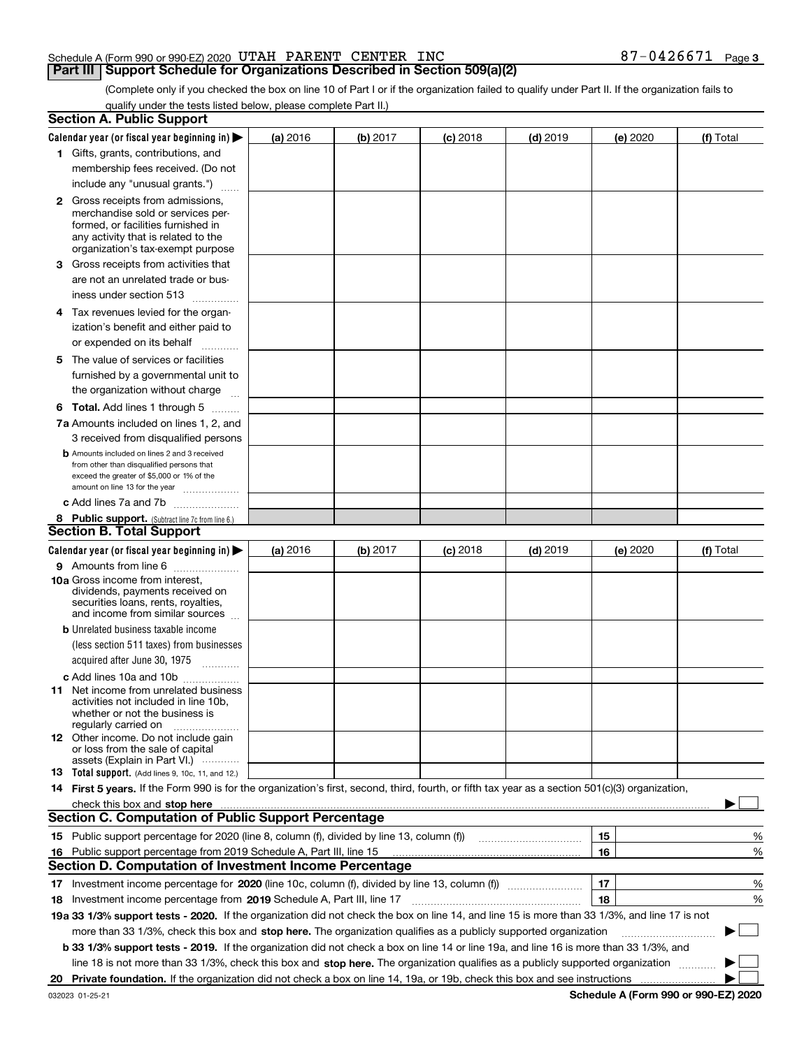## Schedule A (Form 990 or 990-EZ) 2020  $\:$  UTAH PARENT  $\:$  CENTER  $\:$  INC  $\quad$   $\qquad \qquad \qquad \qquad 87-0426671$   $\;$  Page

## **Part III Support Schedule for Organizations Described in Section 509(a)(2)**

(Complete only if you checked the box on line 10 of Part I or if the organization failed to qualify under Part II. If the organization fails to qualify under the tests listed below, please complete Part II.)

|     | <b>Section A. Public Support</b>                                                                                                                                                                                               |          |          |            |            |          |             |
|-----|--------------------------------------------------------------------------------------------------------------------------------------------------------------------------------------------------------------------------------|----------|----------|------------|------------|----------|-------------|
|     | Calendar year (or fiscal year beginning in) $\blacktriangleright$                                                                                                                                                              | (a) 2016 | (b) 2017 | $(c)$ 2018 | $(d)$ 2019 | (e) 2020 | (f) Total   |
|     | 1 Gifts, grants, contributions, and                                                                                                                                                                                            |          |          |            |            |          |             |
|     | membership fees received. (Do not                                                                                                                                                                                              |          |          |            |            |          |             |
|     | include any "unusual grants.")                                                                                                                                                                                                 |          |          |            |            |          |             |
|     | <b>2</b> Gross receipts from admissions,                                                                                                                                                                                       |          |          |            |            |          |             |
|     | merchandise sold or services per-                                                                                                                                                                                              |          |          |            |            |          |             |
|     | formed, or facilities furnished in                                                                                                                                                                                             |          |          |            |            |          |             |
|     | any activity that is related to the<br>organization's tax-exempt purpose                                                                                                                                                       |          |          |            |            |          |             |
|     | 3 Gross receipts from activities that                                                                                                                                                                                          |          |          |            |            |          |             |
|     | are not an unrelated trade or bus-                                                                                                                                                                                             |          |          |            |            |          |             |
|     | iness under section 513                                                                                                                                                                                                        |          |          |            |            |          |             |
|     |                                                                                                                                                                                                                                |          |          |            |            |          |             |
|     | 4 Tax revenues levied for the organ-                                                                                                                                                                                           |          |          |            |            |          |             |
|     | ization's benefit and either paid to                                                                                                                                                                                           |          |          |            |            |          |             |
|     | or expended on its behalf<br>.                                                                                                                                                                                                 |          |          |            |            |          |             |
|     | 5 The value of services or facilities                                                                                                                                                                                          |          |          |            |            |          |             |
|     | furnished by a governmental unit to                                                                                                                                                                                            |          |          |            |            |          |             |
|     | the organization without charge                                                                                                                                                                                                |          |          |            |            |          |             |
|     | <b>6 Total.</b> Add lines 1 through 5                                                                                                                                                                                          |          |          |            |            |          |             |
|     | 7a Amounts included on lines 1, 2, and                                                                                                                                                                                         |          |          |            |            |          |             |
|     | 3 received from disqualified persons                                                                                                                                                                                           |          |          |            |            |          |             |
|     | <b>b</b> Amounts included on lines 2 and 3 received                                                                                                                                                                            |          |          |            |            |          |             |
|     | from other than disqualified persons that<br>exceed the greater of \$5,000 or 1% of the                                                                                                                                        |          |          |            |            |          |             |
|     | amount on line 13 for the year                                                                                                                                                                                                 |          |          |            |            |          |             |
|     | c Add lines 7a and 7b                                                                                                                                                                                                          |          |          |            |            |          |             |
|     | 8 Public support. (Subtract line 7c from line 6.)                                                                                                                                                                              |          |          |            |            |          |             |
|     | <b>Section B. Total Support</b>                                                                                                                                                                                                |          |          |            |            |          |             |
|     | Calendar year (or fiscal year beginning in) $\blacktriangleright$                                                                                                                                                              | (a) 2016 | (b) 2017 | $(c)$ 2018 | $(d)$ 2019 | (e) 2020 | (f) Total   |
|     | 9 Amounts from line 6                                                                                                                                                                                                          |          |          |            |            |          |             |
|     | <b>10a</b> Gross income from interest,                                                                                                                                                                                         |          |          |            |            |          |             |
|     | dividends, payments received on                                                                                                                                                                                                |          |          |            |            |          |             |
|     | securities loans, rents, royalties,<br>and income from similar sources                                                                                                                                                         |          |          |            |            |          |             |
|     | <b>b</b> Unrelated business taxable income                                                                                                                                                                                     |          |          |            |            |          |             |
|     | (less section 511 taxes) from businesses                                                                                                                                                                                       |          |          |            |            |          |             |
|     | acquired after June 30, 1975                                                                                                                                                                                                   |          |          |            |            |          |             |
|     | c Add lines 10a and 10b                                                                                                                                                                                                        |          |          |            |            |          |             |
|     | 11 Net income from unrelated business                                                                                                                                                                                          |          |          |            |            |          |             |
|     | activities not included in line 10b,                                                                                                                                                                                           |          |          |            |            |          |             |
|     | whether or not the business is                                                                                                                                                                                                 |          |          |            |            |          |             |
|     | regularly carried on<br><b>12</b> Other income. Do not include gain                                                                                                                                                            |          |          |            |            |          |             |
|     | or loss from the sale of capital                                                                                                                                                                                               |          |          |            |            |          |             |
|     | assets (Explain in Part VI.)                                                                                                                                                                                                   |          |          |            |            |          |             |
|     | 13 Total support. (Add lines 9, 10c, 11, and 12.)                                                                                                                                                                              |          |          |            |            |          |             |
|     | 14 First 5 years. If the Form 990 is for the organization's first, second, third, fourth, or fifth tax year as a section 501(c)(3) organization,                                                                               |          |          |            |            |          |             |
|     | check this box and stop here measurements and contain the state of the state of the state of the state of the state of the state of the state of the state of the state of the state of the state of the state of the state of |          |          |            |            |          |             |
|     | <b>Section C. Computation of Public Support Percentage</b>                                                                                                                                                                     |          |          |            |            |          |             |
|     |                                                                                                                                                                                                                                |          |          |            |            | 15       | %           |
| 16. | Public support percentage from 2019 Schedule A, Part III, line 15<br><b>Section D. Computation of Investment Income Percentage</b>                                                                                             |          |          |            |            | 16       | %           |
|     |                                                                                                                                                                                                                                |          |          |            |            |          |             |
|     | 17 Investment income percentage for 2020 (line 10c, column (f), divided by line 13, column (f))                                                                                                                                |          |          |            |            | 17       | %           |
|     | 18 Investment income percentage from 2019 Schedule A, Part III, line 17                                                                                                                                                        |          |          |            |            | 18       | %           |
|     | 19a 33 1/3% support tests - 2020. If the organization did not check the box on line 14, and line 15 is more than 33 1/3%, and line 17 is not                                                                                   |          |          |            |            |          |             |
|     | more than 33 1/3%, check this box and stop here. The organization qualifies as a publicly supported organization                                                                                                               |          |          |            |            |          | $\sim$<br>▶ |
|     | b 33 1/3% support tests - 2019. If the organization did not check a box on line 14 or line 19a, and line 16 is more than 33 1/3%, and                                                                                          |          |          |            |            |          |             |
|     | line 18 is not more than 33 1/3%, check this box and stop here. The organization qualifies as a publicly supported organization                                                                                                |          |          |            |            |          |             |
| 20  |                                                                                                                                                                                                                                |          |          |            |            |          |             |

**Schedule A (Form 990 or 990-EZ) 2020**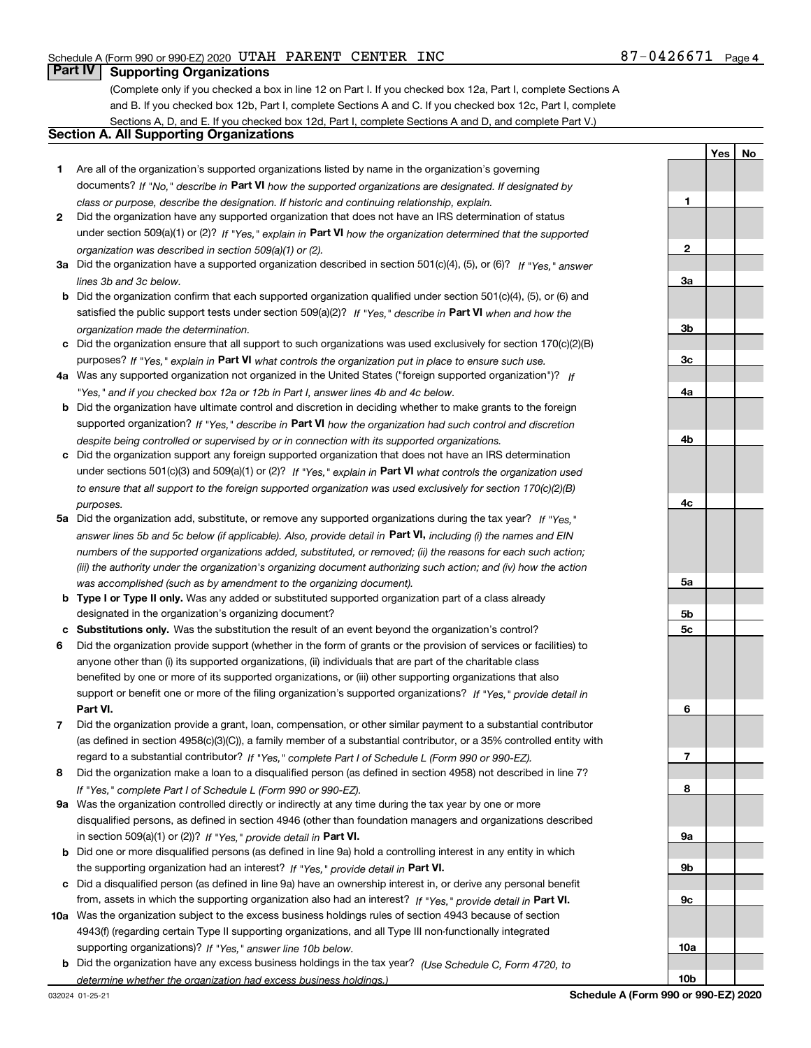**1**

**Yes No**

## **Part IV Supporting Organizations**

(Complete only if you checked a box in line 12 on Part I. If you checked box 12a, Part I, complete Sections A and B. If you checked box 12b, Part I, complete Sections A and C. If you checked box 12c, Part I, complete Sections A, D, and E. If you checked box 12d, Part I, complete Sections A and D, and complete Part V.)

## **Section A. All Supporting Organizations**

- **1** Are all of the organization's supported organizations listed by name in the organization's governing documents? If "No," describe in **Part VI** how the supported organizations are designated. If designated by *class or purpose, describe the designation. If historic and continuing relationship, explain.*
- **2** Did the organization have any supported organization that does not have an IRS determination of status under section 509(a)(1) or (2)? If "Yes," explain in Part VI how the organization determined that the supported *organization was described in section 509(a)(1) or (2).*
- **3a** Did the organization have a supported organization described in section 501(c)(4), (5), or (6)? If "Yes," answer *lines 3b and 3c below.*
- **b** Did the organization confirm that each supported organization qualified under section 501(c)(4), (5), or (6) and satisfied the public support tests under section 509(a)(2)? If "Yes," describe in **Part VI** when and how the *organization made the determination.*
- **c**Did the organization ensure that all support to such organizations was used exclusively for section 170(c)(2)(B) purposes? If "Yes," explain in **Part VI** what controls the organization put in place to ensure such use.
- **4a***If* Was any supported organization not organized in the United States ("foreign supported organization")? *"Yes," and if you checked box 12a or 12b in Part I, answer lines 4b and 4c below.*
- **b** Did the organization have ultimate control and discretion in deciding whether to make grants to the foreign supported organization? If "Yes," describe in **Part VI** how the organization had such control and discretion *despite being controlled or supervised by or in connection with its supported organizations.*
- **c** Did the organization support any foreign supported organization that does not have an IRS determination under sections 501(c)(3) and 509(a)(1) or (2)? If "Yes," explain in **Part VI** what controls the organization used *to ensure that all support to the foreign supported organization was used exclusively for section 170(c)(2)(B) purposes.*
- **5a***If "Yes,"* Did the organization add, substitute, or remove any supported organizations during the tax year? answer lines 5b and 5c below (if applicable). Also, provide detail in **Part VI,** including (i) the names and EIN *numbers of the supported organizations added, substituted, or removed; (ii) the reasons for each such action; (iii) the authority under the organization's organizing document authorizing such action; and (iv) how the action was accomplished (such as by amendment to the organizing document).*
- **b** Type I or Type II only. Was any added or substituted supported organization part of a class already designated in the organization's organizing document?
- **cSubstitutions only.**  Was the substitution the result of an event beyond the organization's control?
- **6** Did the organization provide support (whether in the form of grants or the provision of services or facilities) to **Part VI.** *If "Yes," provide detail in* support or benefit one or more of the filing organization's supported organizations? anyone other than (i) its supported organizations, (ii) individuals that are part of the charitable class benefited by one or more of its supported organizations, or (iii) other supporting organizations that also
- **7**Did the organization provide a grant, loan, compensation, or other similar payment to a substantial contributor *If "Yes," complete Part I of Schedule L (Form 990 or 990-EZ).* regard to a substantial contributor? (as defined in section 4958(c)(3)(C)), a family member of a substantial contributor, or a 35% controlled entity with
- **8** Did the organization make a loan to a disqualified person (as defined in section 4958) not described in line 7? *If "Yes," complete Part I of Schedule L (Form 990 or 990-EZ).*
- **9a** Was the organization controlled directly or indirectly at any time during the tax year by one or more in section 509(a)(1) or (2))? If "Yes," *provide detail in* <code>Part VI.</code> disqualified persons, as defined in section 4946 (other than foundation managers and organizations described
- **b** Did one or more disqualified persons (as defined in line 9a) hold a controlling interest in any entity in which the supporting organization had an interest? If "Yes," provide detail in P**art VI**.
- **c**Did a disqualified person (as defined in line 9a) have an ownership interest in, or derive any personal benefit from, assets in which the supporting organization also had an interest? If "Yes," provide detail in P**art VI.**
- **10a** Was the organization subject to the excess business holdings rules of section 4943 because of section supporting organizations)? If "Yes," answer line 10b below. 4943(f) (regarding certain Type II supporting organizations, and all Type III non-functionally integrated
- **b** Did the organization have any excess business holdings in the tax year? (Use Schedule C, Form 4720, to *determine whether the organization had excess business holdings.)*

**23a3b3c4a4b4c5a5b5c6789a 9b9c**

**10a**

**10b**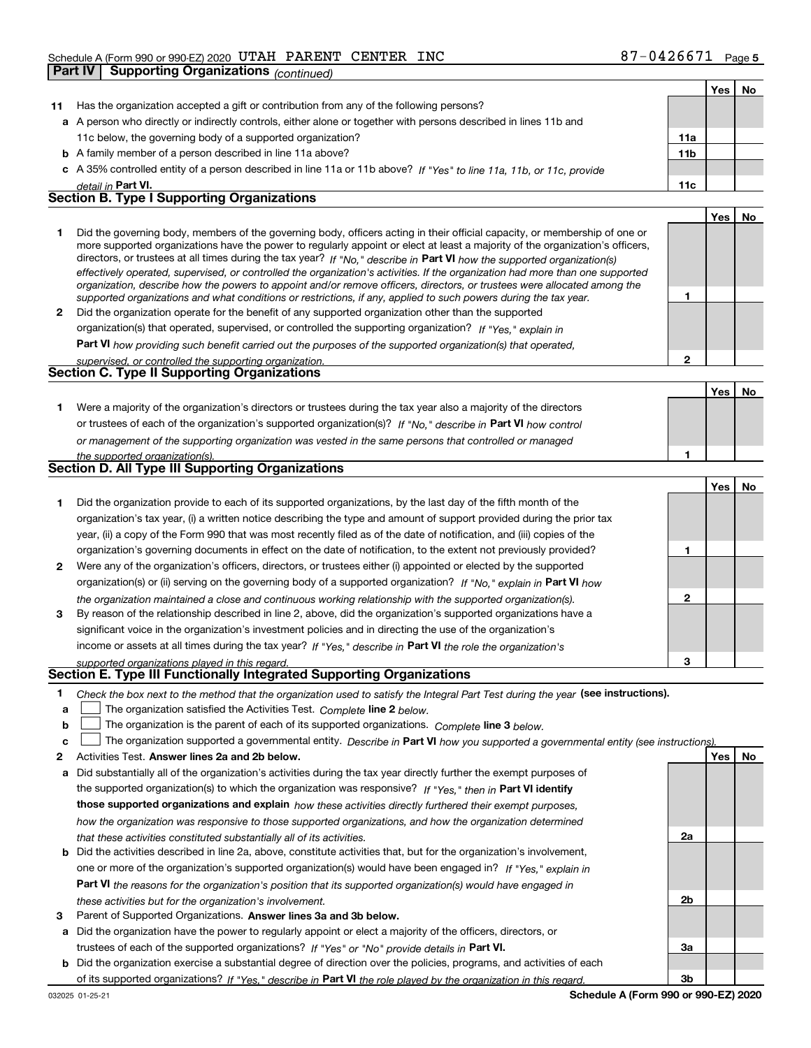|    | <b>Part IV</b> | Supporting Organizations (continued)                                                                                                                                                                                                                        |                 |            |    |
|----|----------------|-------------------------------------------------------------------------------------------------------------------------------------------------------------------------------------------------------------------------------------------------------------|-----------------|------------|----|
|    |                |                                                                                                                                                                                                                                                             |                 | Yes        | No |
| 11 |                | Has the organization accepted a gift or contribution from any of the following persons?                                                                                                                                                                     |                 |            |    |
|    |                | a A person who directly or indirectly controls, either alone or together with persons described in lines 11b and                                                                                                                                            |                 |            |    |
|    |                | 11c below, the governing body of a supported organization?                                                                                                                                                                                                  | 11a             |            |    |
|    |                | <b>b</b> A family member of a person described in line 11a above?                                                                                                                                                                                           | 11 <sub>b</sub> |            |    |
|    |                | c A 35% controlled entity of a person described in line 11a or 11b above? If "Yes" to line 11a, 11b, or 11c, provide                                                                                                                                        |                 |            |    |
|    |                | detail in Part VI.                                                                                                                                                                                                                                          | 11c             |            |    |
|    |                | <b>Section B. Type I Supporting Organizations</b>                                                                                                                                                                                                           |                 |            |    |
|    |                |                                                                                                                                                                                                                                                             |                 | <b>Yes</b> | No |
| 1. |                | Did the governing body, members of the governing body, officers acting in their official capacity, or membership of one or<br>more supported organizations have the power to regularly appoint or elect at least a majority of the organization's officers, |                 |            |    |
|    |                | directors, or trustees at all times during the tax year? If "No," describe in Part VI how the supported organization(s)                                                                                                                                     |                 |            |    |
|    |                | effectively operated, supervised, or controlled the organization's activities. If the organization had more than one supported                                                                                                                              |                 |            |    |
|    |                | organization, describe how the powers to appoint and/or remove officers, directors, or trustees were allocated among the                                                                                                                                    | $\mathbf{1}$    |            |    |
| 2  |                | supported organizations and what conditions or restrictions, if any, applied to such powers during the tax year.<br>Did the organization operate for the benefit of any supported organization other than the supported                                     |                 |            |    |
|    |                | organization(s) that operated, supervised, or controlled the supporting organization? If "Yes," explain in                                                                                                                                                  |                 |            |    |
|    |                | Part VI how providing such benefit carried out the purposes of the supported organization(s) that operated,                                                                                                                                                 |                 |            |    |
|    |                | supervised, or controlled the supporting organization.                                                                                                                                                                                                      | $\overline{2}$  |            |    |
|    |                | <b>Section C. Type II Supporting Organizations</b>                                                                                                                                                                                                          |                 |            |    |
|    |                |                                                                                                                                                                                                                                                             |                 | Yes        | No |
| 1. |                | Were a majority of the organization's directors or trustees during the tax year also a majority of the directors                                                                                                                                            |                 |            |    |
|    |                | or trustees of each of the organization's supported organization(s)? If "No," describe in Part VI how control                                                                                                                                               |                 |            |    |
|    |                | or management of the supporting organization was vested in the same persons that controlled or managed                                                                                                                                                      |                 |            |    |
|    |                | the supported organization(s).                                                                                                                                                                                                                              | 1               |            |    |
|    |                | Section D. All Type III Supporting Organizations                                                                                                                                                                                                            |                 |            |    |
|    |                |                                                                                                                                                                                                                                                             |                 | Yes        | No |
| 1. |                | Did the organization provide to each of its supported organizations, by the last day of the fifth month of the                                                                                                                                              |                 |            |    |
|    |                | organization's tax year, (i) a written notice describing the type and amount of support provided during the prior tax                                                                                                                                       |                 |            |    |
|    |                | year, (ii) a copy of the Form 990 that was most recently filed as of the date of notification, and (iii) copies of the                                                                                                                                      |                 |            |    |
|    |                | organization's governing documents in effect on the date of notification, to the extent not previously provided?                                                                                                                                            | 1               |            |    |
| 2  |                | Were any of the organization's officers, directors, or trustees either (i) appointed or elected by the supported                                                                                                                                            |                 |            |    |
|    |                | organization(s) or (ii) serving on the governing body of a supported organization? If "No." explain in Part VI how                                                                                                                                          | 2               |            |    |
| 3  |                | the organization maintained a close and continuous working relationship with the supported organization(s).<br>By reason of the relationship described in line 2, above, did the organization's supported organizations have a                              |                 |            |    |
|    |                | significant voice in the organization's investment policies and in directing the use of the organization's                                                                                                                                                  |                 |            |    |
|    |                | income or assets at all times during the tax year? If "Yes," describe in Part VI the role the organization's                                                                                                                                                |                 |            |    |
|    |                | supported organizations played in this regard.                                                                                                                                                                                                              | 3               |            |    |
|    |                | Section E. Type III Functionally Integrated Supporting Organizations                                                                                                                                                                                        |                 |            |    |
| 1  |                | Check the box next to the method that the organization used to satisfy the Integral Part Test during the year (see instructions).                                                                                                                           |                 |            |    |
| a  |                | The organization satisfied the Activities Test. Complete line 2 below.                                                                                                                                                                                      |                 |            |    |
| b  |                | The organization is the parent of each of its supported organizations. Complete line 3 below.                                                                                                                                                               |                 |            |    |
| с  |                | The organization supported a governmental entity. Describe in Part VI how you supported a governmental entity (see instructions).                                                                                                                           |                 |            |    |

- **2Answer lines 2a and 2b below. Yes No** Activities Test.
- **a** Did substantially all of the organization's activities during the tax year directly further the exempt purposes of **b** Did the activities described in line 2a, above, constitute activities that, but for the organization's involvement, the supported organization(s) to which the organization was responsive? If "Yes," then in **Part VI identify those supported organizations and explain**  *how these activities directly furthered their exempt purposes, how the organization was responsive to those supported organizations, and how the organization determined that these activities constituted substantially all of its activities.*
- **Part VI**  *the reasons for the organization's position that its supported organization(s) would have engaged in* one or more of the organization's supported organization(s) would have been engaged in? If "Yes," e*xplain in these activities but for the organization's involvement.*
- **3** Parent of Supported Organizations. Answer lines 3a and 3b below.
- **a** Did the organization have the power to regularly appoint or elect a majority of the officers, directors, or trustees of each of the supported organizations? If "Yes" or "No" provide details in P**art VI.**
- **b** Did the organization exercise a substantial degree of direction over the policies, programs, and activities of each of its supported organizations? If "Yes," describe in Part VI the role played by the organization in this regard.

**2a**

**2b**

**3a**

**3b**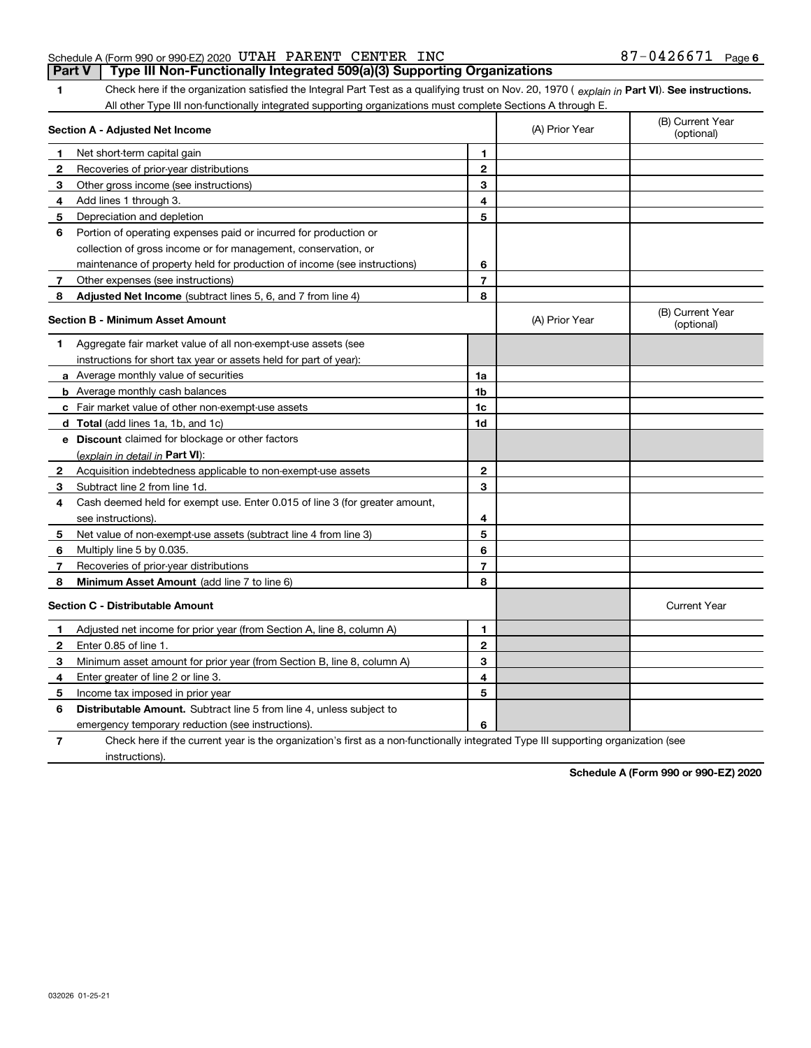#### Schedule A (Form 990 or 990-EZ) 2020  $\:$  UTAH PARENT  $\:$  CENTER  $\:$  INC  $\quad$   $\qquad \qquad \qquad \qquad 87-0426671$   $\;$  Page **Part V Type III Non-Functionally Integrated 509(a)(3) Supporting Organizations**

**1Part VI** Check here if the organization satisfied the Integral Part Test as a qualifying trust on Nov. 20, 1970 ( *explain in* Part VI). See instructions.<br>All other Type III pen functionally integrated supporting examizat All other Type III non-functionally integrated supporting organizations must complete Sections A through E.

|   | Section A - Adjusted Net Income                                                                                                   |                | (A) Prior Year | (B) Current Year<br>(optional) |  |  |
|---|-----------------------------------------------------------------------------------------------------------------------------------|----------------|----------------|--------------------------------|--|--|
| 1 | Net short-term capital gain                                                                                                       | 1              |                |                                |  |  |
| 2 | Recoveries of prior-year distributions                                                                                            | $\mathbf{2}$   |                |                                |  |  |
| з | Other gross income (see instructions)                                                                                             | 3              |                |                                |  |  |
| 4 | Add lines 1 through 3.                                                                                                            | 4              |                |                                |  |  |
| 5 | Depreciation and depletion                                                                                                        | 5              |                |                                |  |  |
| 6 | Portion of operating expenses paid or incurred for production or                                                                  |                |                |                                |  |  |
|   | collection of gross income or for management, conservation, or                                                                    |                |                |                                |  |  |
|   | maintenance of property held for production of income (see instructions)                                                          | 6              |                |                                |  |  |
| 7 | Other expenses (see instructions)                                                                                                 | $\overline{7}$ |                |                                |  |  |
| 8 | <b>Adjusted Net Income</b> (subtract lines 5, 6, and 7 from line 4)                                                               | 8              |                |                                |  |  |
|   | <b>Section B - Minimum Asset Amount</b>                                                                                           |                | (A) Prior Year | (B) Current Year<br>(optional) |  |  |
| 1 | Aggregate fair market value of all non-exempt-use assets (see                                                                     |                |                |                                |  |  |
|   | instructions for short tax year or assets held for part of year):                                                                 |                |                |                                |  |  |
|   | a Average monthly value of securities                                                                                             | 1a             |                |                                |  |  |
|   | <b>b</b> Average monthly cash balances                                                                                            | 1 <sub>b</sub> |                |                                |  |  |
|   | c Fair market value of other non-exempt-use assets                                                                                | 1c             |                |                                |  |  |
|   | d Total (add lines 1a, 1b, and 1c)                                                                                                | 1d             |                |                                |  |  |
|   | e Discount claimed for blockage or other factors                                                                                  |                |                |                                |  |  |
|   | (explain in detail in Part VI):                                                                                                   |                |                |                                |  |  |
| 2 | Acquisition indebtedness applicable to non-exempt-use assets                                                                      | $\overline{2}$ |                |                                |  |  |
| 3 | Subtract line 2 from line 1d.                                                                                                     | 3              |                |                                |  |  |
| 4 | Cash deemed held for exempt use. Enter 0.015 of line 3 (for greater amount,                                                       |                |                |                                |  |  |
|   | see instructions).                                                                                                                | 4              |                |                                |  |  |
| 5 | Net value of non-exempt-use assets (subtract line 4 from line 3)                                                                  | 5              |                |                                |  |  |
| 6 | Multiply line 5 by 0.035.                                                                                                         | 6              |                |                                |  |  |
| 7 | Recoveries of prior-year distributions                                                                                            | $\overline{7}$ |                |                                |  |  |
| 8 | Minimum Asset Amount (add line 7 to line 6)                                                                                       | 8              |                |                                |  |  |
|   | <b>Section C - Distributable Amount</b>                                                                                           |                |                | <b>Current Year</b>            |  |  |
| 1 | Adjusted net income for prior year (from Section A, line 8, column A)                                                             | 1              |                |                                |  |  |
| 2 | Enter 0.85 of line 1.                                                                                                             | $\overline{2}$ |                |                                |  |  |
| 3 | Minimum asset amount for prior year (from Section B, line 8, column A)                                                            | 3              |                |                                |  |  |
| 4 | Enter greater of line 2 or line 3.                                                                                                | 4              |                |                                |  |  |
| 5 | Income tax imposed in prior year                                                                                                  | 5              |                |                                |  |  |
| 6 | <b>Distributable Amount.</b> Subtract line 5 from line 4, unless subject to                                                       |                |                |                                |  |  |
|   | emergency temporary reduction (see instructions).                                                                                 | 6              |                |                                |  |  |
| 7 | Check here if the current year is the organization's first as a non-functionally integrated Type III supporting organization (see |                |                |                                |  |  |

instructions).

**Schedule A (Form 990 or 990-EZ) 2020**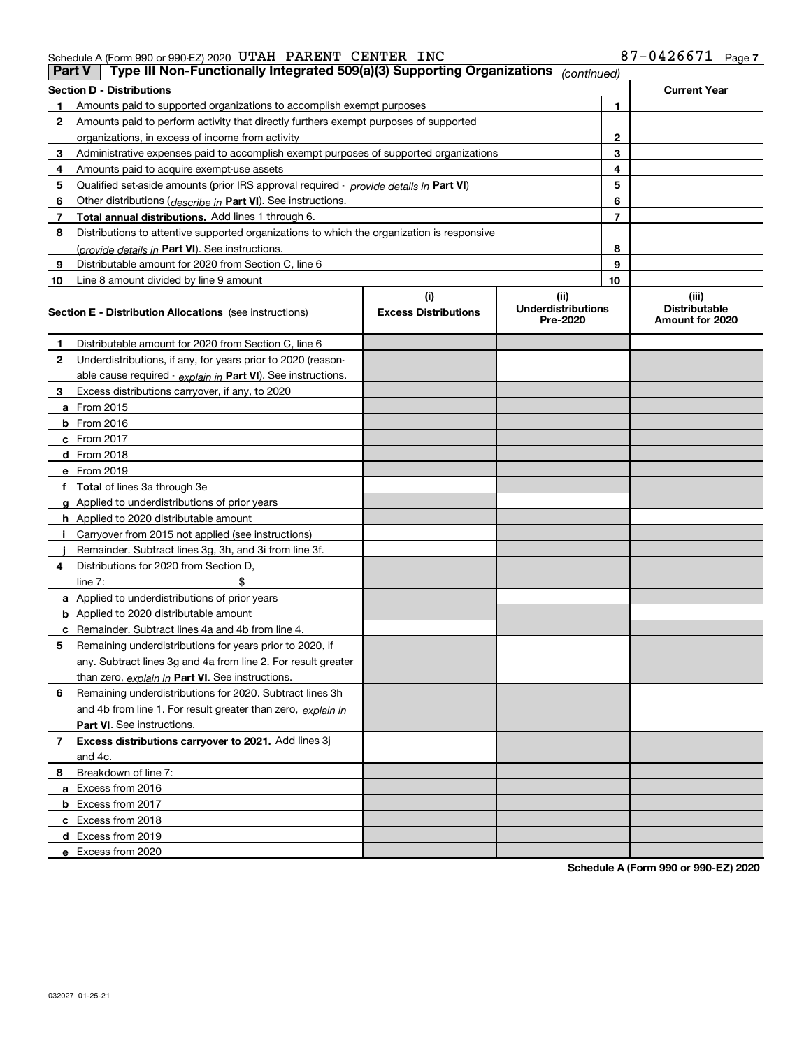Schedule A (Form 990 or 990-EZ) 2020 U'L'AH PAKENT CENTER INC 8/-U4Z66/I Page UTAH PARENT CENTER INC 87-0426671

| <b>Section D - Distributions</b><br><b>Current Year</b><br>1<br>Amounts paid to supported organizations to accomplish exempt purposes<br>1<br>Amounts paid to perform activity that directly furthers exempt purposes of supported<br>2<br>$\mathbf{2}$<br>organizations, in excess of income from activity<br>3<br>3<br>Administrative expenses paid to accomplish exempt purposes of supported organizations<br>4<br>Amounts paid to acquire exempt-use assets<br>4<br>5<br>5<br>Qualified set-aside amounts (prior IRS approval required - provide details in Part VI)<br>6<br>6<br>Other distributions ( <i>describe in</i> Part VI). See instructions.<br>7<br>Total annual distributions. Add lines 1 through 6.<br>7<br>8<br>Distributions to attentive supported organizations to which the organization is responsive<br>8<br>(provide details in Part VI). See instructions.<br>9<br>Distributable amount for 2020 from Section C, line 6<br>9<br>10<br>Line 8 amount divided by line 9 amount<br>10<br>(i)<br>(ii)<br>(iii)<br><b>Underdistributions</b><br><b>Distributable</b><br><b>Excess Distributions</b><br><b>Section E - Distribution Allocations</b> (see instructions)<br>Pre-2020<br>Amount for 2020<br>Distributable amount for 2020 from Section C, line 6<br>1<br>Underdistributions, if any, for years prior to 2020 (reason-<br>2<br>able cause required - explain in Part VI). See instructions.<br>Excess distributions carryover, if any, to 2020<br>3<br>a From 2015<br><b>b</b> From 2016<br>$c$ From 2017<br>d From 2018<br>e From 2019<br>f Total of lines 3a through 3e<br>g Applied to underdistributions of prior years<br><b>h</b> Applied to 2020 distributable amount<br>Carryover from 2015 not applied (see instructions)<br>Remainder. Subtract lines 3g, 3h, and 3i from line 3f.<br>Distributions for 2020 from Section D,<br>4<br>line $7:$<br>a Applied to underdistributions of prior years<br><b>b</b> Applied to 2020 distributable amount<br>c Remainder. Subtract lines 4a and 4b from line 4.<br>Remaining underdistributions for years prior to 2020, if<br>5.<br>any. Subtract lines 3g and 4a from line 2. For result greater<br>than zero, explain in Part VI. See instructions.<br>Remaining underdistributions for 2020. Subtract lines 3h<br>6<br>and 4b from line 1. For result greater than zero, explain in<br>Part VI. See instructions.<br>Excess distributions carryover to 2021. Add lines 3j<br>7<br>and 4c.<br>Breakdown of line 7:<br>8<br>a Excess from 2016<br><b>b</b> Excess from 2017<br>c Excess from 2018<br>d Excess from 2019 |  | Type III Non-Functionally Integrated 509(a)(3) Supporting Organizations<br><b>Part V</b><br>(continued) |  |  |  |  |  |
|---------------------------------------------------------------------------------------------------------------------------------------------------------------------------------------------------------------------------------------------------------------------------------------------------------------------------------------------------------------------------------------------------------------------------------------------------------------------------------------------------------------------------------------------------------------------------------------------------------------------------------------------------------------------------------------------------------------------------------------------------------------------------------------------------------------------------------------------------------------------------------------------------------------------------------------------------------------------------------------------------------------------------------------------------------------------------------------------------------------------------------------------------------------------------------------------------------------------------------------------------------------------------------------------------------------------------------------------------------------------------------------------------------------------------------------------------------------------------------------------------------------------------------------------------------------------------------------------------------------------------------------------------------------------------------------------------------------------------------------------------------------------------------------------------------------------------------------------------------------------------------------------------------------------------------------------------------------------------------------------------------------------------------------------------------------------------------------------------------------------------------------------------------------------------------------------------------------------------------------------------------------------------------------------------------------------------------------------------------------------------------------------------------------------------------------------------------------------------------------------------------------------------------------------------------------------------------------------------------------|--|---------------------------------------------------------------------------------------------------------|--|--|--|--|--|
|                                                                                                                                                                                                                                                                                                                                                                                                                                                                                                                                                                                                                                                                                                                                                                                                                                                                                                                                                                                                                                                                                                                                                                                                                                                                                                                                                                                                                                                                                                                                                                                                                                                                                                                                                                                                                                                                                                                                                                                                                                                                                                                                                                                                                                                                                                                                                                                                                                                                                                                                                                                                               |  |                                                                                                         |  |  |  |  |  |
|                                                                                                                                                                                                                                                                                                                                                                                                                                                                                                                                                                                                                                                                                                                                                                                                                                                                                                                                                                                                                                                                                                                                                                                                                                                                                                                                                                                                                                                                                                                                                                                                                                                                                                                                                                                                                                                                                                                                                                                                                                                                                                                                                                                                                                                                                                                                                                                                                                                                                                                                                                                                               |  |                                                                                                         |  |  |  |  |  |
|                                                                                                                                                                                                                                                                                                                                                                                                                                                                                                                                                                                                                                                                                                                                                                                                                                                                                                                                                                                                                                                                                                                                                                                                                                                                                                                                                                                                                                                                                                                                                                                                                                                                                                                                                                                                                                                                                                                                                                                                                                                                                                                                                                                                                                                                                                                                                                                                                                                                                                                                                                                                               |  |                                                                                                         |  |  |  |  |  |
|                                                                                                                                                                                                                                                                                                                                                                                                                                                                                                                                                                                                                                                                                                                                                                                                                                                                                                                                                                                                                                                                                                                                                                                                                                                                                                                                                                                                                                                                                                                                                                                                                                                                                                                                                                                                                                                                                                                                                                                                                                                                                                                                                                                                                                                                                                                                                                                                                                                                                                                                                                                                               |  |                                                                                                         |  |  |  |  |  |
|                                                                                                                                                                                                                                                                                                                                                                                                                                                                                                                                                                                                                                                                                                                                                                                                                                                                                                                                                                                                                                                                                                                                                                                                                                                                                                                                                                                                                                                                                                                                                                                                                                                                                                                                                                                                                                                                                                                                                                                                                                                                                                                                                                                                                                                                                                                                                                                                                                                                                                                                                                                                               |  |                                                                                                         |  |  |  |  |  |
|                                                                                                                                                                                                                                                                                                                                                                                                                                                                                                                                                                                                                                                                                                                                                                                                                                                                                                                                                                                                                                                                                                                                                                                                                                                                                                                                                                                                                                                                                                                                                                                                                                                                                                                                                                                                                                                                                                                                                                                                                                                                                                                                                                                                                                                                                                                                                                                                                                                                                                                                                                                                               |  |                                                                                                         |  |  |  |  |  |
|                                                                                                                                                                                                                                                                                                                                                                                                                                                                                                                                                                                                                                                                                                                                                                                                                                                                                                                                                                                                                                                                                                                                                                                                                                                                                                                                                                                                                                                                                                                                                                                                                                                                                                                                                                                                                                                                                                                                                                                                                                                                                                                                                                                                                                                                                                                                                                                                                                                                                                                                                                                                               |  |                                                                                                         |  |  |  |  |  |
|                                                                                                                                                                                                                                                                                                                                                                                                                                                                                                                                                                                                                                                                                                                                                                                                                                                                                                                                                                                                                                                                                                                                                                                                                                                                                                                                                                                                                                                                                                                                                                                                                                                                                                                                                                                                                                                                                                                                                                                                                                                                                                                                                                                                                                                                                                                                                                                                                                                                                                                                                                                                               |  |                                                                                                         |  |  |  |  |  |
|                                                                                                                                                                                                                                                                                                                                                                                                                                                                                                                                                                                                                                                                                                                                                                                                                                                                                                                                                                                                                                                                                                                                                                                                                                                                                                                                                                                                                                                                                                                                                                                                                                                                                                                                                                                                                                                                                                                                                                                                                                                                                                                                                                                                                                                                                                                                                                                                                                                                                                                                                                                                               |  |                                                                                                         |  |  |  |  |  |
|                                                                                                                                                                                                                                                                                                                                                                                                                                                                                                                                                                                                                                                                                                                                                                                                                                                                                                                                                                                                                                                                                                                                                                                                                                                                                                                                                                                                                                                                                                                                                                                                                                                                                                                                                                                                                                                                                                                                                                                                                                                                                                                                                                                                                                                                                                                                                                                                                                                                                                                                                                                                               |  |                                                                                                         |  |  |  |  |  |
|                                                                                                                                                                                                                                                                                                                                                                                                                                                                                                                                                                                                                                                                                                                                                                                                                                                                                                                                                                                                                                                                                                                                                                                                                                                                                                                                                                                                                                                                                                                                                                                                                                                                                                                                                                                                                                                                                                                                                                                                                                                                                                                                                                                                                                                                                                                                                                                                                                                                                                                                                                                                               |  |                                                                                                         |  |  |  |  |  |
|                                                                                                                                                                                                                                                                                                                                                                                                                                                                                                                                                                                                                                                                                                                                                                                                                                                                                                                                                                                                                                                                                                                                                                                                                                                                                                                                                                                                                                                                                                                                                                                                                                                                                                                                                                                                                                                                                                                                                                                                                                                                                                                                                                                                                                                                                                                                                                                                                                                                                                                                                                                                               |  |                                                                                                         |  |  |  |  |  |
|                                                                                                                                                                                                                                                                                                                                                                                                                                                                                                                                                                                                                                                                                                                                                                                                                                                                                                                                                                                                                                                                                                                                                                                                                                                                                                                                                                                                                                                                                                                                                                                                                                                                                                                                                                                                                                                                                                                                                                                                                                                                                                                                                                                                                                                                                                                                                                                                                                                                                                                                                                                                               |  |                                                                                                         |  |  |  |  |  |
|                                                                                                                                                                                                                                                                                                                                                                                                                                                                                                                                                                                                                                                                                                                                                                                                                                                                                                                                                                                                                                                                                                                                                                                                                                                                                                                                                                                                                                                                                                                                                                                                                                                                                                                                                                                                                                                                                                                                                                                                                                                                                                                                                                                                                                                                                                                                                                                                                                                                                                                                                                                                               |  |                                                                                                         |  |  |  |  |  |
|                                                                                                                                                                                                                                                                                                                                                                                                                                                                                                                                                                                                                                                                                                                                                                                                                                                                                                                                                                                                                                                                                                                                                                                                                                                                                                                                                                                                                                                                                                                                                                                                                                                                                                                                                                                                                                                                                                                                                                                                                                                                                                                                                                                                                                                                                                                                                                                                                                                                                                                                                                                                               |  |                                                                                                         |  |  |  |  |  |
|                                                                                                                                                                                                                                                                                                                                                                                                                                                                                                                                                                                                                                                                                                                                                                                                                                                                                                                                                                                                                                                                                                                                                                                                                                                                                                                                                                                                                                                                                                                                                                                                                                                                                                                                                                                                                                                                                                                                                                                                                                                                                                                                                                                                                                                                                                                                                                                                                                                                                                                                                                                                               |  |                                                                                                         |  |  |  |  |  |
|                                                                                                                                                                                                                                                                                                                                                                                                                                                                                                                                                                                                                                                                                                                                                                                                                                                                                                                                                                                                                                                                                                                                                                                                                                                                                                                                                                                                                                                                                                                                                                                                                                                                                                                                                                                                                                                                                                                                                                                                                                                                                                                                                                                                                                                                                                                                                                                                                                                                                                                                                                                                               |  |                                                                                                         |  |  |  |  |  |
|                                                                                                                                                                                                                                                                                                                                                                                                                                                                                                                                                                                                                                                                                                                                                                                                                                                                                                                                                                                                                                                                                                                                                                                                                                                                                                                                                                                                                                                                                                                                                                                                                                                                                                                                                                                                                                                                                                                                                                                                                                                                                                                                                                                                                                                                                                                                                                                                                                                                                                                                                                                                               |  |                                                                                                         |  |  |  |  |  |
|                                                                                                                                                                                                                                                                                                                                                                                                                                                                                                                                                                                                                                                                                                                                                                                                                                                                                                                                                                                                                                                                                                                                                                                                                                                                                                                                                                                                                                                                                                                                                                                                                                                                                                                                                                                                                                                                                                                                                                                                                                                                                                                                                                                                                                                                                                                                                                                                                                                                                                                                                                                                               |  |                                                                                                         |  |  |  |  |  |
|                                                                                                                                                                                                                                                                                                                                                                                                                                                                                                                                                                                                                                                                                                                                                                                                                                                                                                                                                                                                                                                                                                                                                                                                                                                                                                                                                                                                                                                                                                                                                                                                                                                                                                                                                                                                                                                                                                                                                                                                                                                                                                                                                                                                                                                                                                                                                                                                                                                                                                                                                                                                               |  |                                                                                                         |  |  |  |  |  |
|                                                                                                                                                                                                                                                                                                                                                                                                                                                                                                                                                                                                                                                                                                                                                                                                                                                                                                                                                                                                                                                                                                                                                                                                                                                                                                                                                                                                                                                                                                                                                                                                                                                                                                                                                                                                                                                                                                                                                                                                                                                                                                                                                                                                                                                                                                                                                                                                                                                                                                                                                                                                               |  |                                                                                                         |  |  |  |  |  |
|                                                                                                                                                                                                                                                                                                                                                                                                                                                                                                                                                                                                                                                                                                                                                                                                                                                                                                                                                                                                                                                                                                                                                                                                                                                                                                                                                                                                                                                                                                                                                                                                                                                                                                                                                                                                                                                                                                                                                                                                                                                                                                                                                                                                                                                                                                                                                                                                                                                                                                                                                                                                               |  |                                                                                                         |  |  |  |  |  |
|                                                                                                                                                                                                                                                                                                                                                                                                                                                                                                                                                                                                                                                                                                                                                                                                                                                                                                                                                                                                                                                                                                                                                                                                                                                                                                                                                                                                                                                                                                                                                                                                                                                                                                                                                                                                                                                                                                                                                                                                                                                                                                                                                                                                                                                                                                                                                                                                                                                                                                                                                                                                               |  |                                                                                                         |  |  |  |  |  |
|                                                                                                                                                                                                                                                                                                                                                                                                                                                                                                                                                                                                                                                                                                                                                                                                                                                                                                                                                                                                                                                                                                                                                                                                                                                                                                                                                                                                                                                                                                                                                                                                                                                                                                                                                                                                                                                                                                                                                                                                                                                                                                                                                                                                                                                                                                                                                                                                                                                                                                                                                                                                               |  |                                                                                                         |  |  |  |  |  |
|                                                                                                                                                                                                                                                                                                                                                                                                                                                                                                                                                                                                                                                                                                                                                                                                                                                                                                                                                                                                                                                                                                                                                                                                                                                                                                                                                                                                                                                                                                                                                                                                                                                                                                                                                                                                                                                                                                                                                                                                                                                                                                                                                                                                                                                                                                                                                                                                                                                                                                                                                                                                               |  |                                                                                                         |  |  |  |  |  |
|                                                                                                                                                                                                                                                                                                                                                                                                                                                                                                                                                                                                                                                                                                                                                                                                                                                                                                                                                                                                                                                                                                                                                                                                                                                                                                                                                                                                                                                                                                                                                                                                                                                                                                                                                                                                                                                                                                                                                                                                                                                                                                                                                                                                                                                                                                                                                                                                                                                                                                                                                                                                               |  |                                                                                                         |  |  |  |  |  |
|                                                                                                                                                                                                                                                                                                                                                                                                                                                                                                                                                                                                                                                                                                                                                                                                                                                                                                                                                                                                                                                                                                                                                                                                                                                                                                                                                                                                                                                                                                                                                                                                                                                                                                                                                                                                                                                                                                                                                                                                                                                                                                                                                                                                                                                                                                                                                                                                                                                                                                                                                                                                               |  |                                                                                                         |  |  |  |  |  |
|                                                                                                                                                                                                                                                                                                                                                                                                                                                                                                                                                                                                                                                                                                                                                                                                                                                                                                                                                                                                                                                                                                                                                                                                                                                                                                                                                                                                                                                                                                                                                                                                                                                                                                                                                                                                                                                                                                                                                                                                                                                                                                                                                                                                                                                                                                                                                                                                                                                                                                                                                                                                               |  |                                                                                                         |  |  |  |  |  |
|                                                                                                                                                                                                                                                                                                                                                                                                                                                                                                                                                                                                                                                                                                                                                                                                                                                                                                                                                                                                                                                                                                                                                                                                                                                                                                                                                                                                                                                                                                                                                                                                                                                                                                                                                                                                                                                                                                                                                                                                                                                                                                                                                                                                                                                                                                                                                                                                                                                                                                                                                                                                               |  |                                                                                                         |  |  |  |  |  |
|                                                                                                                                                                                                                                                                                                                                                                                                                                                                                                                                                                                                                                                                                                                                                                                                                                                                                                                                                                                                                                                                                                                                                                                                                                                                                                                                                                                                                                                                                                                                                                                                                                                                                                                                                                                                                                                                                                                                                                                                                                                                                                                                                                                                                                                                                                                                                                                                                                                                                                                                                                                                               |  |                                                                                                         |  |  |  |  |  |
|                                                                                                                                                                                                                                                                                                                                                                                                                                                                                                                                                                                                                                                                                                                                                                                                                                                                                                                                                                                                                                                                                                                                                                                                                                                                                                                                                                                                                                                                                                                                                                                                                                                                                                                                                                                                                                                                                                                                                                                                                                                                                                                                                                                                                                                                                                                                                                                                                                                                                                                                                                                                               |  |                                                                                                         |  |  |  |  |  |
|                                                                                                                                                                                                                                                                                                                                                                                                                                                                                                                                                                                                                                                                                                                                                                                                                                                                                                                                                                                                                                                                                                                                                                                                                                                                                                                                                                                                                                                                                                                                                                                                                                                                                                                                                                                                                                                                                                                                                                                                                                                                                                                                                                                                                                                                                                                                                                                                                                                                                                                                                                                                               |  |                                                                                                         |  |  |  |  |  |
|                                                                                                                                                                                                                                                                                                                                                                                                                                                                                                                                                                                                                                                                                                                                                                                                                                                                                                                                                                                                                                                                                                                                                                                                                                                                                                                                                                                                                                                                                                                                                                                                                                                                                                                                                                                                                                                                                                                                                                                                                                                                                                                                                                                                                                                                                                                                                                                                                                                                                                                                                                                                               |  |                                                                                                         |  |  |  |  |  |
|                                                                                                                                                                                                                                                                                                                                                                                                                                                                                                                                                                                                                                                                                                                                                                                                                                                                                                                                                                                                                                                                                                                                                                                                                                                                                                                                                                                                                                                                                                                                                                                                                                                                                                                                                                                                                                                                                                                                                                                                                                                                                                                                                                                                                                                                                                                                                                                                                                                                                                                                                                                                               |  |                                                                                                         |  |  |  |  |  |
|                                                                                                                                                                                                                                                                                                                                                                                                                                                                                                                                                                                                                                                                                                                                                                                                                                                                                                                                                                                                                                                                                                                                                                                                                                                                                                                                                                                                                                                                                                                                                                                                                                                                                                                                                                                                                                                                                                                                                                                                                                                                                                                                                                                                                                                                                                                                                                                                                                                                                                                                                                                                               |  |                                                                                                         |  |  |  |  |  |
|                                                                                                                                                                                                                                                                                                                                                                                                                                                                                                                                                                                                                                                                                                                                                                                                                                                                                                                                                                                                                                                                                                                                                                                                                                                                                                                                                                                                                                                                                                                                                                                                                                                                                                                                                                                                                                                                                                                                                                                                                                                                                                                                                                                                                                                                                                                                                                                                                                                                                                                                                                                                               |  |                                                                                                         |  |  |  |  |  |
|                                                                                                                                                                                                                                                                                                                                                                                                                                                                                                                                                                                                                                                                                                                                                                                                                                                                                                                                                                                                                                                                                                                                                                                                                                                                                                                                                                                                                                                                                                                                                                                                                                                                                                                                                                                                                                                                                                                                                                                                                                                                                                                                                                                                                                                                                                                                                                                                                                                                                                                                                                                                               |  |                                                                                                         |  |  |  |  |  |
|                                                                                                                                                                                                                                                                                                                                                                                                                                                                                                                                                                                                                                                                                                                                                                                                                                                                                                                                                                                                                                                                                                                                                                                                                                                                                                                                                                                                                                                                                                                                                                                                                                                                                                                                                                                                                                                                                                                                                                                                                                                                                                                                                                                                                                                                                                                                                                                                                                                                                                                                                                                                               |  |                                                                                                         |  |  |  |  |  |
|                                                                                                                                                                                                                                                                                                                                                                                                                                                                                                                                                                                                                                                                                                                                                                                                                                                                                                                                                                                                                                                                                                                                                                                                                                                                                                                                                                                                                                                                                                                                                                                                                                                                                                                                                                                                                                                                                                                                                                                                                                                                                                                                                                                                                                                                                                                                                                                                                                                                                                                                                                                                               |  |                                                                                                         |  |  |  |  |  |
|                                                                                                                                                                                                                                                                                                                                                                                                                                                                                                                                                                                                                                                                                                                                                                                                                                                                                                                                                                                                                                                                                                                                                                                                                                                                                                                                                                                                                                                                                                                                                                                                                                                                                                                                                                                                                                                                                                                                                                                                                                                                                                                                                                                                                                                                                                                                                                                                                                                                                                                                                                                                               |  |                                                                                                         |  |  |  |  |  |
|                                                                                                                                                                                                                                                                                                                                                                                                                                                                                                                                                                                                                                                                                                                                                                                                                                                                                                                                                                                                                                                                                                                                                                                                                                                                                                                                                                                                                                                                                                                                                                                                                                                                                                                                                                                                                                                                                                                                                                                                                                                                                                                                                                                                                                                                                                                                                                                                                                                                                                                                                                                                               |  |                                                                                                         |  |  |  |  |  |
|                                                                                                                                                                                                                                                                                                                                                                                                                                                                                                                                                                                                                                                                                                                                                                                                                                                                                                                                                                                                                                                                                                                                                                                                                                                                                                                                                                                                                                                                                                                                                                                                                                                                                                                                                                                                                                                                                                                                                                                                                                                                                                                                                                                                                                                                                                                                                                                                                                                                                                                                                                                                               |  |                                                                                                         |  |  |  |  |  |
|                                                                                                                                                                                                                                                                                                                                                                                                                                                                                                                                                                                                                                                                                                                                                                                                                                                                                                                                                                                                                                                                                                                                                                                                                                                                                                                                                                                                                                                                                                                                                                                                                                                                                                                                                                                                                                                                                                                                                                                                                                                                                                                                                                                                                                                                                                                                                                                                                                                                                                                                                                                                               |  |                                                                                                         |  |  |  |  |  |
|                                                                                                                                                                                                                                                                                                                                                                                                                                                                                                                                                                                                                                                                                                                                                                                                                                                                                                                                                                                                                                                                                                                                                                                                                                                                                                                                                                                                                                                                                                                                                                                                                                                                                                                                                                                                                                                                                                                                                                                                                                                                                                                                                                                                                                                                                                                                                                                                                                                                                                                                                                                                               |  |                                                                                                         |  |  |  |  |  |
|                                                                                                                                                                                                                                                                                                                                                                                                                                                                                                                                                                                                                                                                                                                                                                                                                                                                                                                                                                                                                                                                                                                                                                                                                                                                                                                                                                                                                                                                                                                                                                                                                                                                                                                                                                                                                                                                                                                                                                                                                                                                                                                                                                                                                                                                                                                                                                                                                                                                                                                                                                                                               |  |                                                                                                         |  |  |  |  |  |
|                                                                                                                                                                                                                                                                                                                                                                                                                                                                                                                                                                                                                                                                                                                                                                                                                                                                                                                                                                                                                                                                                                                                                                                                                                                                                                                                                                                                                                                                                                                                                                                                                                                                                                                                                                                                                                                                                                                                                                                                                                                                                                                                                                                                                                                                                                                                                                                                                                                                                                                                                                                                               |  |                                                                                                         |  |  |  |  |  |
|                                                                                                                                                                                                                                                                                                                                                                                                                                                                                                                                                                                                                                                                                                                                                                                                                                                                                                                                                                                                                                                                                                                                                                                                                                                                                                                                                                                                                                                                                                                                                                                                                                                                                                                                                                                                                                                                                                                                                                                                                                                                                                                                                                                                                                                                                                                                                                                                                                                                                                                                                                                                               |  |                                                                                                         |  |  |  |  |  |
|                                                                                                                                                                                                                                                                                                                                                                                                                                                                                                                                                                                                                                                                                                                                                                                                                                                                                                                                                                                                                                                                                                                                                                                                                                                                                                                                                                                                                                                                                                                                                                                                                                                                                                                                                                                                                                                                                                                                                                                                                                                                                                                                                                                                                                                                                                                                                                                                                                                                                                                                                                                                               |  | e Excess from 2020                                                                                      |  |  |  |  |  |

**Schedule A (Form 990 or 990-EZ) 2020**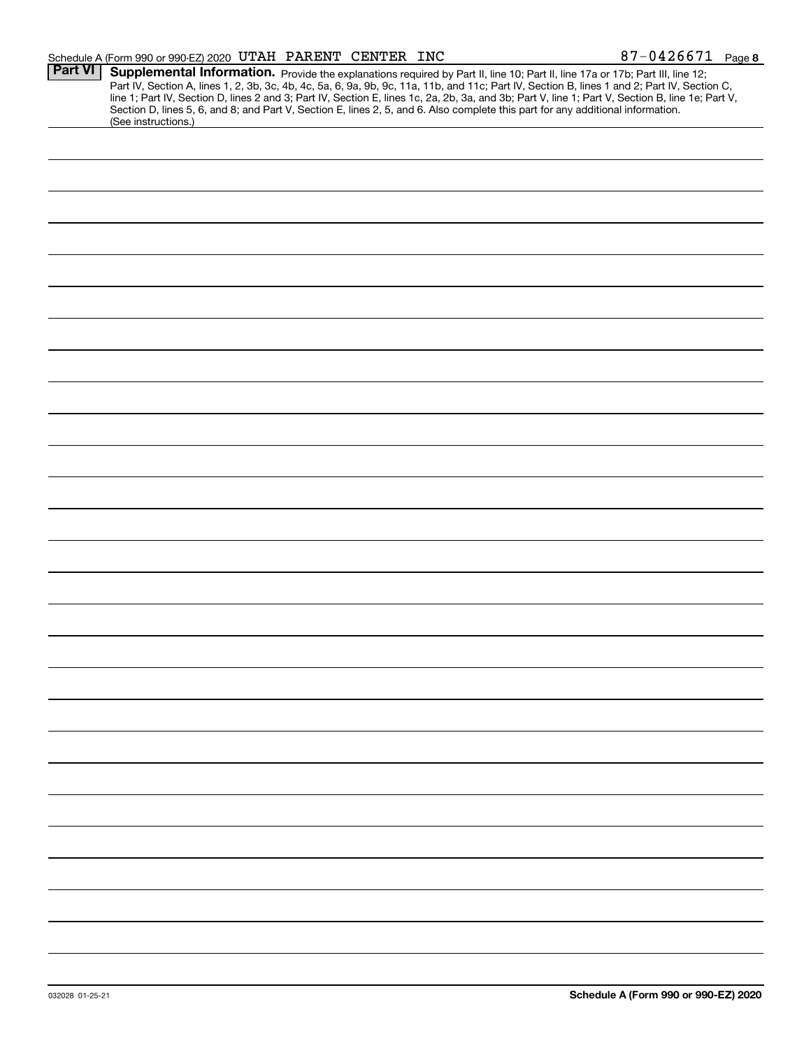|                | Schedule A (Form 990 or 990-EZ) 2020 UTAH PARENT CENTER INC                                                                                                                                                                                                                             |  | $87 - 0426671$ Page 8                                                                                                                                                                                                                                                                            |
|----------------|-----------------------------------------------------------------------------------------------------------------------------------------------------------------------------------------------------------------------------------------------------------------------------------------|--|--------------------------------------------------------------------------------------------------------------------------------------------------------------------------------------------------------------------------------------------------------------------------------------------------|
| <b>Part VI</b> | Supplemental Information. Provide the explanations required by Part II, line 10; Part II, line 17a or 17b; Part III, line 12;<br>Section D, lines 5, 6, and 8; and Part V, Section E, lines 2, 5, and 6. Also complete this part for any additional information.<br>(See instructions.) |  | Part IV, Section A, lines 1, 2, 3b, 3c, 4b, 4c, 5a, 6, 9a, 9b, 9c, 11a, 11b, and 11c; Part IV, Section B, lines 1 and 2; Part IV, Section C,<br>line 1; Part IV, Section D, lines 2 and 3; Part IV, Section E, lines 1c, 2a, 2b, 3a, and 3b; Part V, line 1; Part V, Section B, line 1e; Part V, |
|                |                                                                                                                                                                                                                                                                                         |  |                                                                                                                                                                                                                                                                                                  |
|                |                                                                                                                                                                                                                                                                                         |  |                                                                                                                                                                                                                                                                                                  |
|                |                                                                                                                                                                                                                                                                                         |  |                                                                                                                                                                                                                                                                                                  |
|                |                                                                                                                                                                                                                                                                                         |  |                                                                                                                                                                                                                                                                                                  |
|                |                                                                                                                                                                                                                                                                                         |  |                                                                                                                                                                                                                                                                                                  |
|                |                                                                                                                                                                                                                                                                                         |  |                                                                                                                                                                                                                                                                                                  |
|                |                                                                                                                                                                                                                                                                                         |  |                                                                                                                                                                                                                                                                                                  |
|                |                                                                                                                                                                                                                                                                                         |  |                                                                                                                                                                                                                                                                                                  |
|                |                                                                                                                                                                                                                                                                                         |  |                                                                                                                                                                                                                                                                                                  |
|                |                                                                                                                                                                                                                                                                                         |  |                                                                                                                                                                                                                                                                                                  |
|                |                                                                                                                                                                                                                                                                                         |  |                                                                                                                                                                                                                                                                                                  |
|                |                                                                                                                                                                                                                                                                                         |  |                                                                                                                                                                                                                                                                                                  |
|                |                                                                                                                                                                                                                                                                                         |  |                                                                                                                                                                                                                                                                                                  |
|                |                                                                                                                                                                                                                                                                                         |  |                                                                                                                                                                                                                                                                                                  |
|                |                                                                                                                                                                                                                                                                                         |  |                                                                                                                                                                                                                                                                                                  |
|                |                                                                                                                                                                                                                                                                                         |  |                                                                                                                                                                                                                                                                                                  |
|                |                                                                                                                                                                                                                                                                                         |  |                                                                                                                                                                                                                                                                                                  |
|                |                                                                                                                                                                                                                                                                                         |  |                                                                                                                                                                                                                                                                                                  |
|                |                                                                                                                                                                                                                                                                                         |  |                                                                                                                                                                                                                                                                                                  |
|                |                                                                                                                                                                                                                                                                                         |  |                                                                                                                                                                                                                                                                                                  |
|                |                                                                                                                                                                                                                                                                                         |  |                                                                                                                                                                                                                                                                                                  |
|                |                                                                                                                                                                                                                                                                                         |  |                                                                                                                                                                                                                                                                                                  |
|                |                                                                                                                                                                                                                                                                                         |  |                                                                                                                                                                                                                                                                                                  |
|                |                                                                                                                                                                                                                                                                                         |  |                                                                                                                                                                                                                                                                                                  |
|                |                                                                                                                                                                                                                                                                                         |  |                                                                                                                                                                                                                                                                                                  |
|                |                                                                                                                                                                                                                                                                                         |  |                                                                                                                                                                                                                                                                                                  |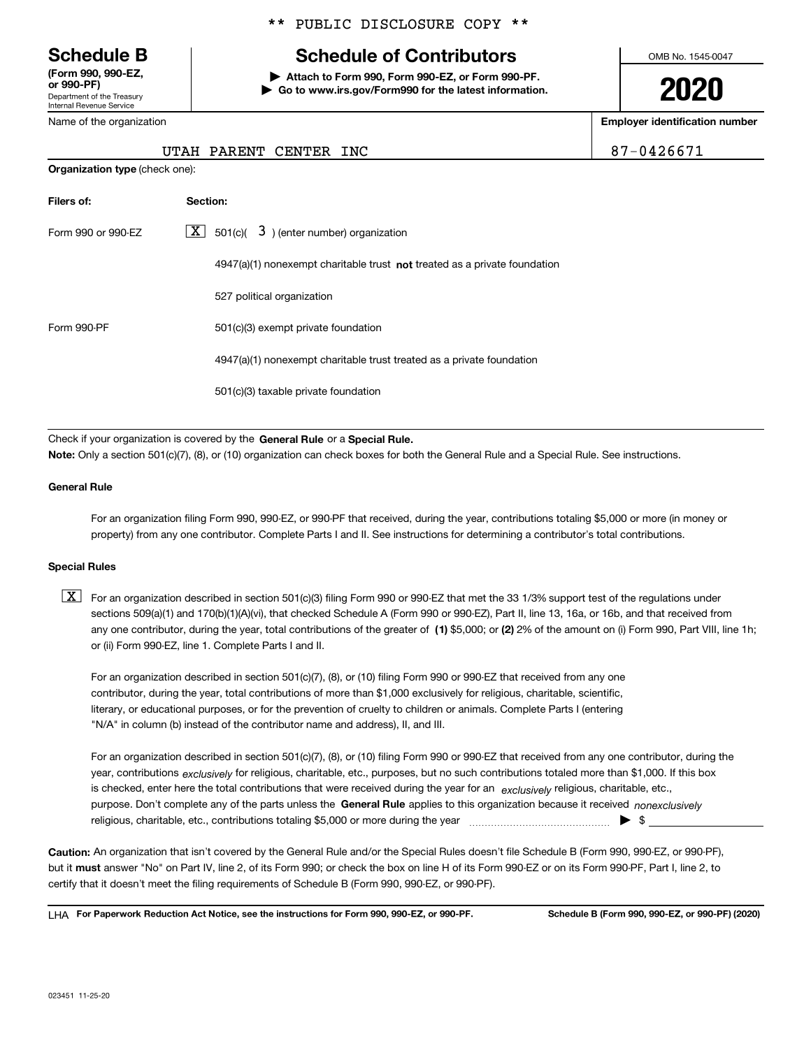Department of the Treasury Internal Revenue Service **(Form 990, 990-EZ, or 990-PF)**

#### Name of the organization

## \*\* PUBLIC DISCLOSURE COPY \*\*

## **Schedule B Schedule of Contributors**

**| Attach to Form 990, Form 990-EZ, or Form 990-PF. | Go to www.irs.gov/Form990 for the latest information.** OMB No. 1545-0047

# **2020**

**Employer identification number**

UTAH PARENT CENTER INC  $\vert$  87-0426671

| <b>Organization type (check one):</b> |          |                                                                                    |
|---------------------------------------|----------|------------------------------------------------------------------------------------|
| Filers of:                            | Section: |                                                                                    |
| Form 990 or 990-EZ                    |          | $\lfloor \mathbf{X} \rfloor$ 501(c)( 3) (enter number) organization                |
|                                       |          | $4947(a)(1)$ nonexempt charitable trust <b>not</b> treated as a private foundation |
|                                       |          | 527 political organization                                                         |
| Form 990-PF                           |          | 501(c)(3) exempt private foundation                                                |
|                                       |          | 4947(a)(1) nonexempt charitable trust treated as a private foundation              |
|                                       |          | 501(c)(3) taxable private foundation                                               |
|                                       |          |                                                                                    |

Check if your organization is covered by the **General Rule** or a **Special Rule.**<br>Nota: Only a section 501(c)(7), (8), or (10) erganization can chock boxes for be **Note:**  Only a section 501(c)(7), (8), or (10) organization can check boxes for both the General Rule and a Special Rule. See instructions.

#### **General Rule**

For an organization filing Form 990, 990-EZ, or 990-PF that received, during the year, contributions totaling \$5,000 or more (in money or property) from any one contributor. Complete Parts I and II. See instructions for determining a contributor's total contributions.

#### **Special Rules**

any one contributor, during the year, total contributions of the greater of  $\,$  (1) \$5,000; or **(2)** 2% of the amount on (i) Form 990, Part VIII, line 1h;  $\boxed{\textbf{X}}$  For an organization described in section 501(c)(3) filing Form 990 or 990-EZ that met the 33 1/3% support test of the regulations under sections 509(a)(1) and 170(b)(1)(A)(vi), that checked Schedule A (Form 990 or 990-EZ), Part II, line 13, 16a, or 16b, and that received from or (ii) Form 990-EZ, line 1. Complete Parts I and II.

For an organization described in section 501(c)(7), (8), or (10) filing Form 990 or 990-EZ that received from any one contributor, during the year, total contributions of more than \$1,000 exclusively for religious, charitable, scientific, literary, or educational purposes, or for the prevention of cruelty to children or animals. Complete Parts I (entering "N/A" in column (b) instead of the contributor name and address), II, and III.

purpose. Don't complete any of the parts unless the **General Rule** applies to this organization because it received *nonexclusively* year, contributions <sub>exclusively</sub> for religious, charitable, etc., purposes, but no such contributions totaled more than \$1,000. If this box is checked, enter here the total contributions that were received during the year for an  $\;$ exclusively religious, charitable, etc., For an organization described in section 501(c)(7), (8), or (10) filing Form 990 or 990-EZ that received from any one contributor, during the religious, charitable, etc., contributions totaling \$5,000 or more during the year  $\Box$ — $\Box$   $\Box$ 

**Caution:**  An organization that isn't covered by the General Rule and/or the Special Rules doesn't file Schedule B (Form 990, 990-EZ, or 990-PF), but it **must** answer "No" on Part IV, line 2, of its Form 990; or check the box on line H of its Form 990-EZ or on its Form 990-PF, Part I, line 2, to<br>cortify that it doesn't meet the filipe requirements of Schodule B (Fer certify that it doesn't meet the filing requirements of Schedule B (Form 990, 990-EZ, or 990-PF).

**For Paperwork Reduction Act Notice, see the instructions for Form 990, 990-EZ, or 990-PF. Schedule B (Form 990, 990-EZ, or 990-PF) (2020)** LHA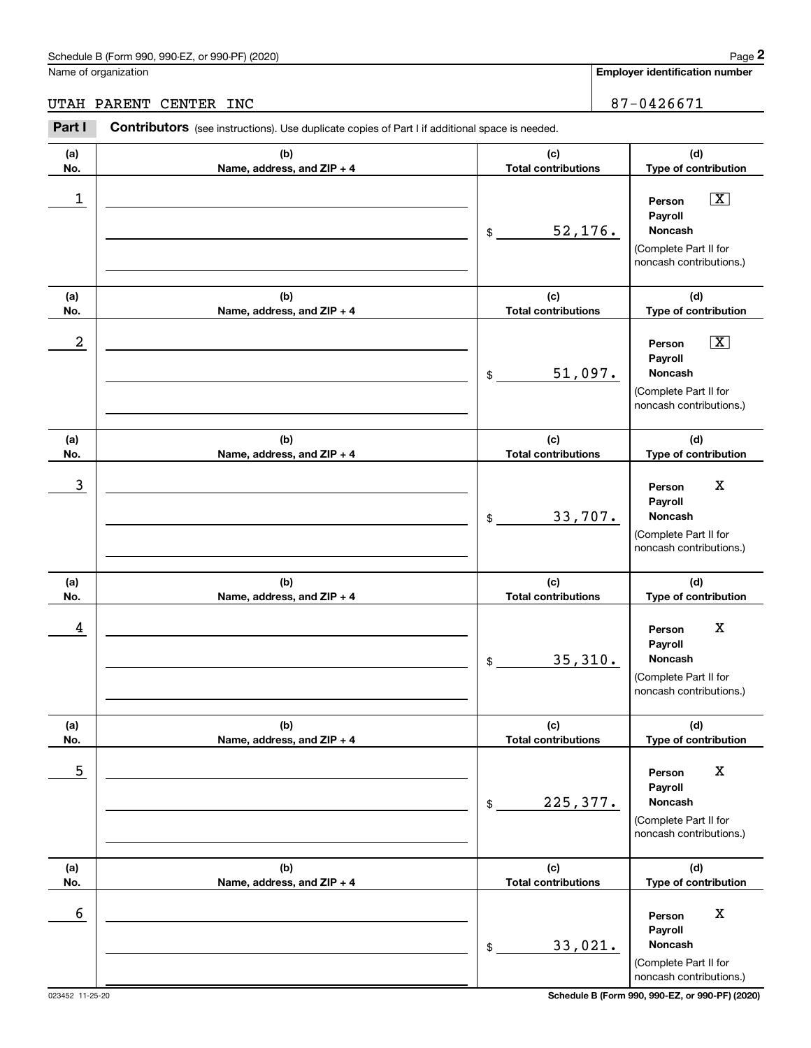## UTAH PARENT CENTER INC 87-0426671

|            | Schedule B (Form 990, 990-EZ, or 990-PF) (2020)                                                |                                   | Page 2                                                                                                 |
|------------|------------------------------------------------------------------------------------------------|-----------------------------------|--------------------------------------------------------------------------------------------------------|
|            | Name of organization                                                                           |                                   | <b>Employer identification number</b>                                                                  |
|            | UTAH PARENT CENTER INC                                                                         |                                   | 87-0426671                                                                                             |
| Part I     | Contributors (see instructions). Use duplicate copies of Part I if additional space is needed. |                                   |                                                                                                        |
| (a)<br>No. | (b)<br>Name, address, and ZIP + 4                                                              | (c)<br><b>Total contributions</b> | (d)<br>Type of contribution                                                                            |
| 1          |                                                                                                | 52,176.<br>\$                     | $\boxed{\text{X}}$<br>Person<br>Payroll<br>Noncash<br>(Complete Part II for<br>noncash contributions.) |
| (a)<br>No. | (b)<br>Name, address, and ZIP + 4                                                              | (c)<br><b>Total contributions</b> | (d)<br>Type of contribution                                                                            |
| 2          |                                                                                                | 51,097.<br>\$                     | $\boxed{\text{X}}$<br>Person<br>Payroll<br>Noncash<br>(Complete Part II for<br>noncash contributions.) |
| (a)<br>No. | (b)<br>Name, address, and ZIP + 4                                                              | (c)<br><b>Total contributions</b> | (d)<br>Type of contribution                                                                            |
| 3          |                                                                                                | 33,707.<br>\$                     | X<br>Person<br>Payroll<br>Noncash<br>(Complete Part II for<br>noncash contributions.)                  |
| (a)<br>No. | (b)<br>Name, address, and ZIP + 4                                                              | (c)<br><b>Total contributions</b> | (d)<br>Type of contribution                                                                            |
| 4          |                                                                                                | 35,310.<br>\$                     | X<br>Person<br>Payroll<br>Noncash<br>(Complete Part II for<br>noncash contributions.)                  |
| (a)<br>No. | (b)<br>Name, address, and ZIP + 4                                                              | (c)<br><b>Total contributions</b> | (d)<br>Type of contribution                                                                            |
| 5          |                                                                                                | 225,377.<br>\$                    | $\mathbf X$<br>Person<br>Payroll<br>Noncash<br>(Complete Part II for<br>noncash contributions.)        |
| (a)<br>No. | (b)<br>Name, address, and ZIP + 4                                                              | (c)<br><b>Total contributions</b> | (d)<br>Type of contribution                                                                            |
| 6          |                                                                                                | 33,021.<br>\$                     | $\mathbf X$<br>Person<br>Payroll<br>Noncash<br>(Complete Part II for<br>noncash contributions.)        |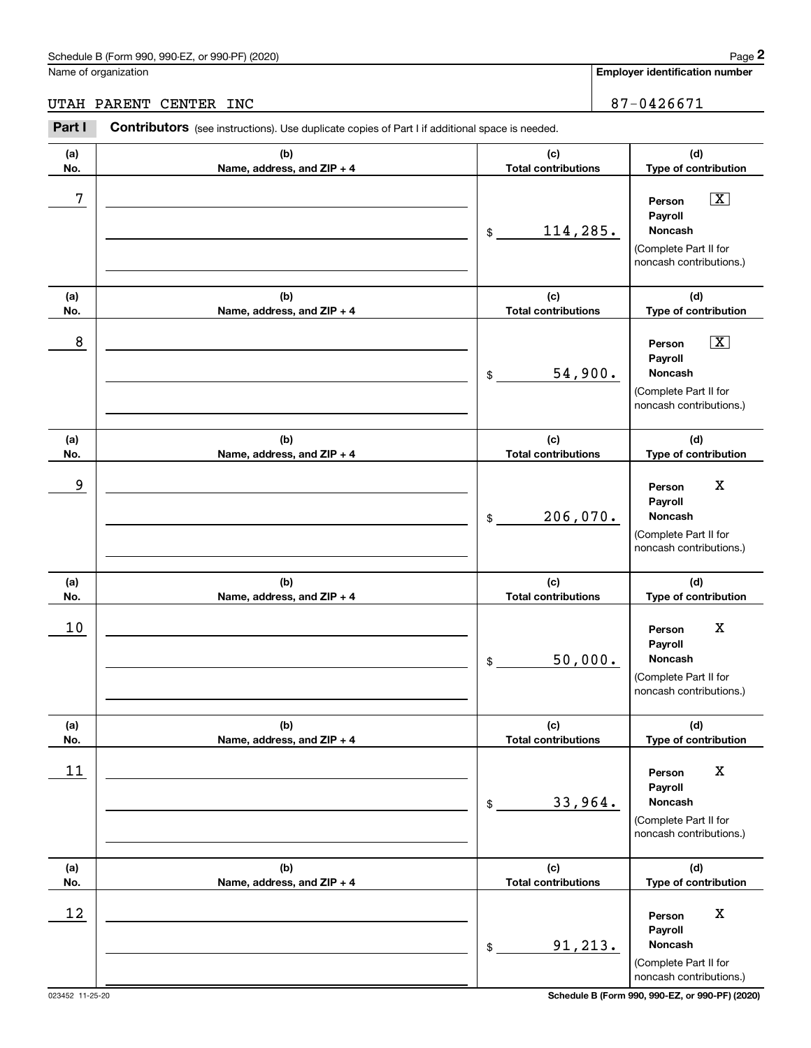## UTAH PARENT CENTER INC 87-0426671

|            | Schedule B (Form 990, 990-EZ, or 990-PF) (2020)                                                |                                   | Page 2                                                                                                 |
|------------|------------------------------------------------------------------------------------------------|-----------------------------------|--------------------------------------------------------------------------------------------------------|
|            | Name of organization                                                                           |                                   | Employer identification number                                                                         |
|            | UTAH PARENT<br>CENTER INC                                                                      |                                   | 87-0426671                                                                                             |
| Part I     | Contributors (see instructions). Use duplicate copies of Part I if additional space is needed. |                                   |                                                                                                        |
| (a)<br>No. | (b)<br>Name, address, and ZIP + 4                                                              | (c)<br><b>Total contributions</b> | (d)<br>Type of contribution                                                                            |
| 7          |                                                                                                | 114,285.<br>\$                    | $\boxed{\text{X}}$<br>Person<br>Payroll<br>Noncash<br>(Complete Part II for<br>noncash contributions.) |
| (a)<br>No. | (b)<br>Name, address, and ZIP + 4                                                              | (c)<br><b>Total contributions</b> | (d)<br>Type of contribution                                                                            |
| 8          |                                                                                                | 54,900.<br>\$                     | $\boxed{\text{X}}$<br>Person<br>Payroll<br>Noncash<br>(Complete Part II for<br>noncash contributions.) |
| (a)<br>No. | (b)<br>Name, address, and ZIP + 4                                                              | (c)<br><b>Total contributions</b> | (d)<br>Type of contribution                                                                            |
| 9          |                                                                                                | 206,070.<br>\$                    | X<br>Person<br>Payroll<br>Noncash<br>(Complete Part II for<br>noncash contributions.)                  |
| (a)<br>No. | (b)<br>Name, address, and ZIP + 4                                                              | (c)<br><b>Total contributions</b> | (d)<br>Type of contribution                                                                            |
| 10         |                                                                                                | 50,000.<br>\$                     | X<br>Person<br>Payroll<br>Noncash<br>(Complete Part II for<br>noncash contributions.)                  |
| (a)<br>No. | (b)<br>Name, address, and ZIP + 4                                                              | (c)<br><b>Total contributions</b> | (d)<br>Type of contribution                                                                            |
| 11         |                                                                                                | 33,964.<br>\$                     | $\mathbf X$<br>Person<br>Payroll<br><b>Noncash</b><br>(Complete Part II for<br>noncash contributions.) |
| (a)<br>No. | (b)<br>Name, address, and ZIP + 4                                                              | (c)<br><b>Total contributions</b> | (d)<br>Type of contribution                                                                            |
| 12         |                                                                                                | 91,213.<br>\$                     | $\mathbf X$<br>Person<br>Payroll<br>Noncash<br>(Complete Part II for<br>noncash contributions.)        |

023452 11-25-20 **Schedule B (Form 990, 990-EZ, or 990-PF) (2020)**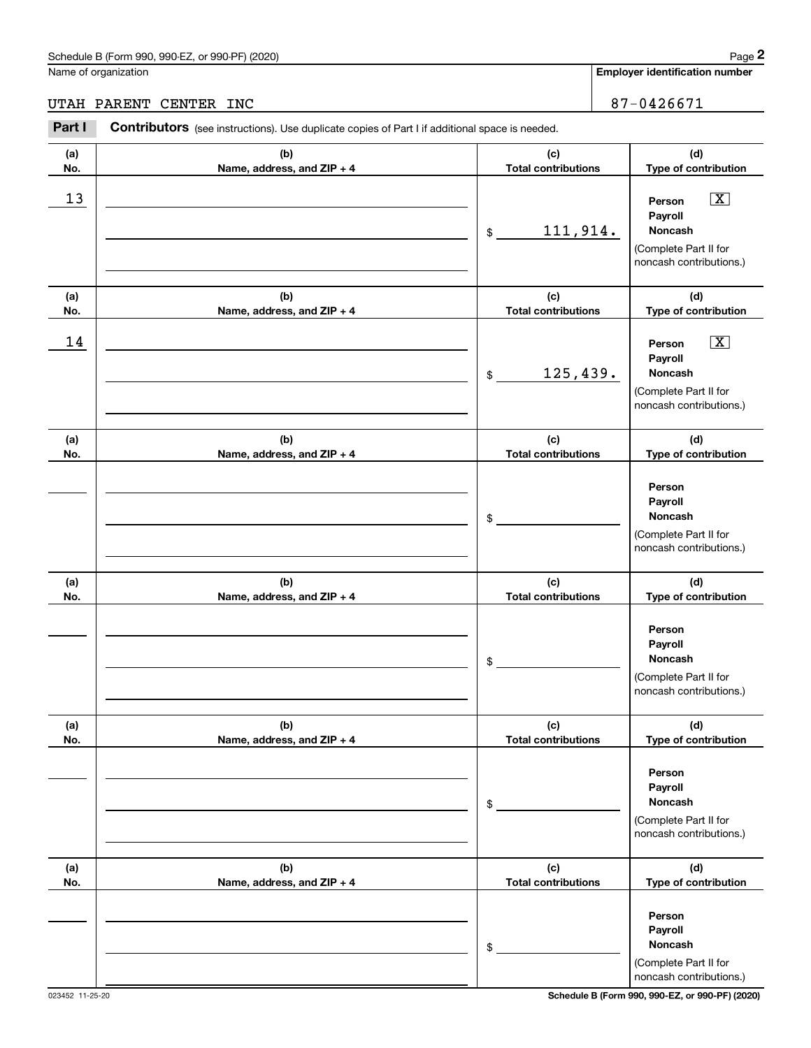## UTAH PARENT CENTER INC 87-0426671

|            | Schedule B (Form 990, 990-EZ, or 990-PF) (2020)<br>Name of organization                        |                                   | Page 2<br><b>Employer identification number</b>                                                        |
|------------|------------------------------------------------------------------------------------------------|-----------------------------------|--------------------------------------------------------------------------------------------------------|
|            |                                                                                                |                                   |                                                                                                        |
|            | UTAH PARENT<br>CENTER INC                                                                      |                                   | 87-0426671                                                                                             |
| Part I     | Contributors (see instructions). Use duplicate copies of Part I if additional space is needed. |                                   |                                                                                                        |
| (a)<br>No. | (b)<br>Name, address, and ZIP + 4                                                              | (c)<br><b>Total contributions</b> | (d)<br>Type of contribution                                                                            |
| 13         |                                                                                                | 111,914.<br>\$                    | $\boxed{\text{X}}$<br>Person<br>Payroll<br>Noncash<br>(Complete Part II for<br>noncash contributions.) |
| (a)<br>No. | (b)<br>Name, address, and ZIP + 4                                                              | (c)<br><b>Total contributions</b> | (d)<br>Type of contribution                                                                            |
| 14         |                                                                                                | 125,439.<br>\$                    | $\boxed{\text{X}}$<br>Person<br>Payroll<br>Noncash<br>(Complete Part II for<br>noncash contributions.) |
| (a)<br>No. | (b)<br>Name, address, and ZIP + 4                                                              | (c)<br><b>Total contributions</b> | (d)<br>Type of contribution                                                                            |
|            |                                                                                                | \$                                | Person<br>Payroll<br>Noncash<br>(Complete Part II for<br>noncash contributions.)                       |
| (a)<br>No. | (b)<br>Name, address, and ZIP + 4                                                              | (c)<br><b>Total contributions</b> | (d)<br>Type of contribution                                                                            |
|            |                                                                                                | \$                                | Person<br>Payroll<br>Noncash<br>(Complete Part II for<br>noncash contributions.)                       |
| (a)<br>No. | (b)<br>Name, address, and ZIP + 4                                                              | (c)<br><b>Total contributions</b> | (d)<br>Type of contribution                                                                            |
|            |                                                                                                | \$                                | Person<br>Payroll<br><b>Noncash</b><br>(Complete Part II for<br>noncash contributions.)                |
| (a)<br>No. | (b)<br>Name, address, and ZIP + 4                                                              | (c)<br><b>Total contributions</b> | (d)<br>Type of contribution                                                                            |
|            |                                                                                                | \$                                | Person<br>Payroll<br>Noncash<br>(Complete Part II for<br>noncash contributions.)                       |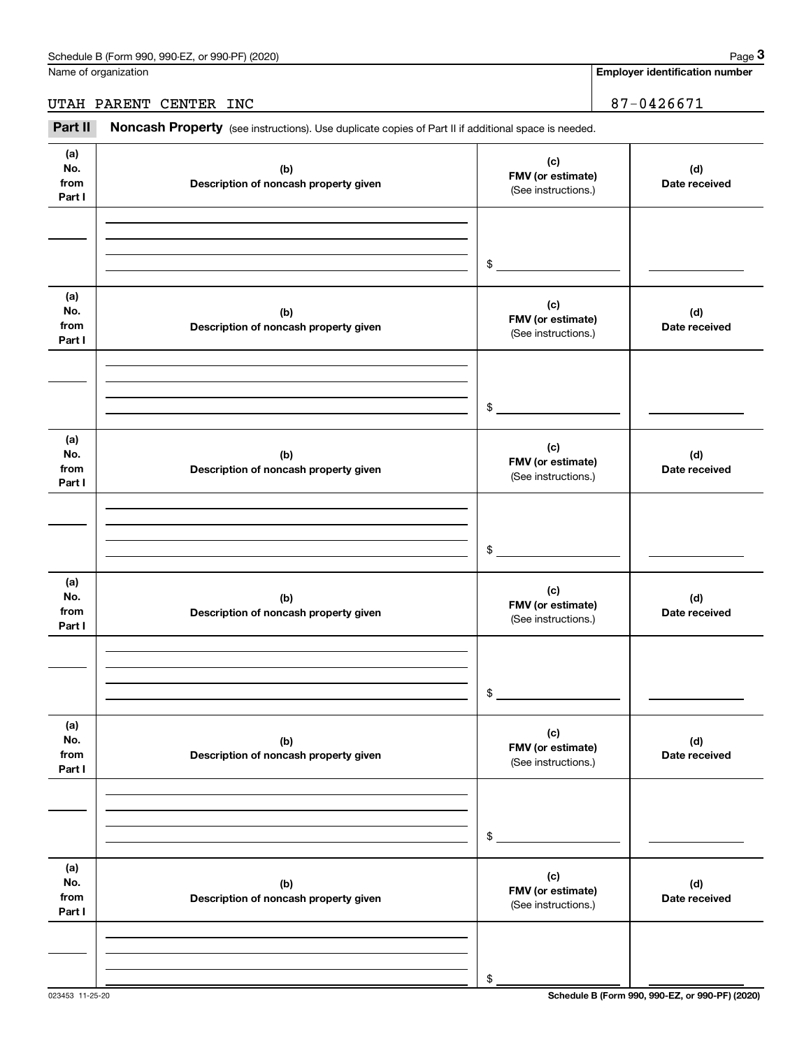## UTAH PARENT CENTER INC 87-0426671

|                              | Schedule B (Form 990, 990-EZ, or 990-PF) (2020)                                                     |                                                 | Page 3                                |
|------------------------------|-----------------------------------------------------------------------------------------------------|-------------------------------------------------|---------------------------------------|
|                              | Name of organization                                                                                |                                                 | <b>Employer identification number</b> |
|                              | UTAH PARENT CENTER INC                                                                              |                                                 | 87-0426671                            |
| Part II                      | Noncash Property (see instructions). Use duplicate copies of Part II if additional space is needed. |                                                 |                                       |
| (a)<br>No.<br>from<br>Part I | (b)<br>Description of noncash property given                                                        | (c)<br>FMV (or estimate)<br>(See instructions.) | (d)<br>Date received                  |
|                              |                                                                                                     | \$                                              |                                       |
| (a)<br>No.<br>from<br>Part I | (b)<br>Description of noncash property given                                                        | (c)<br>FMV (or estimate)<br>(See instructions.) | (d)<br>Date received                  |
|                              |                                                                                                     | \$                                              |                                       |
| (a)<br>No.<br>from<br>Part I | (b)<br>Description of noncash property given                                                        | (c)<br>FMV (or estimate)<br>(See instructions.) | (d)<br>Date received                  |
|                              |                                                                                                     | \$                                              |                                       |
| (a)<br>No.<br>from<br>Part I | (b)<br>Description of noncash property given                                                        | (c)<br>FMV (or estimate)<br>(See instructions.) | (d)<br>Date received                  |
|                              |                                                                                                     | \$                                              |                                       |
| (a)<br>No.<br>from<br>Part I | (b)<br>Description of noncash property given                                                        | (c)<br>FMV (or estimate)<br>(See instructions.) | (d)<br>Date received                  |
|                              |                                                                                                     | \$                                              |                                       |
| (a)<br>No.<br>from<br>Part I | (b)<br>Description of noncash property given                                                        | (c)<br>FMV (or estimate)<br>(See instructions.) | (d)<br>Date received                  |
|                              |                                                                                                     | \$                                              |                                       |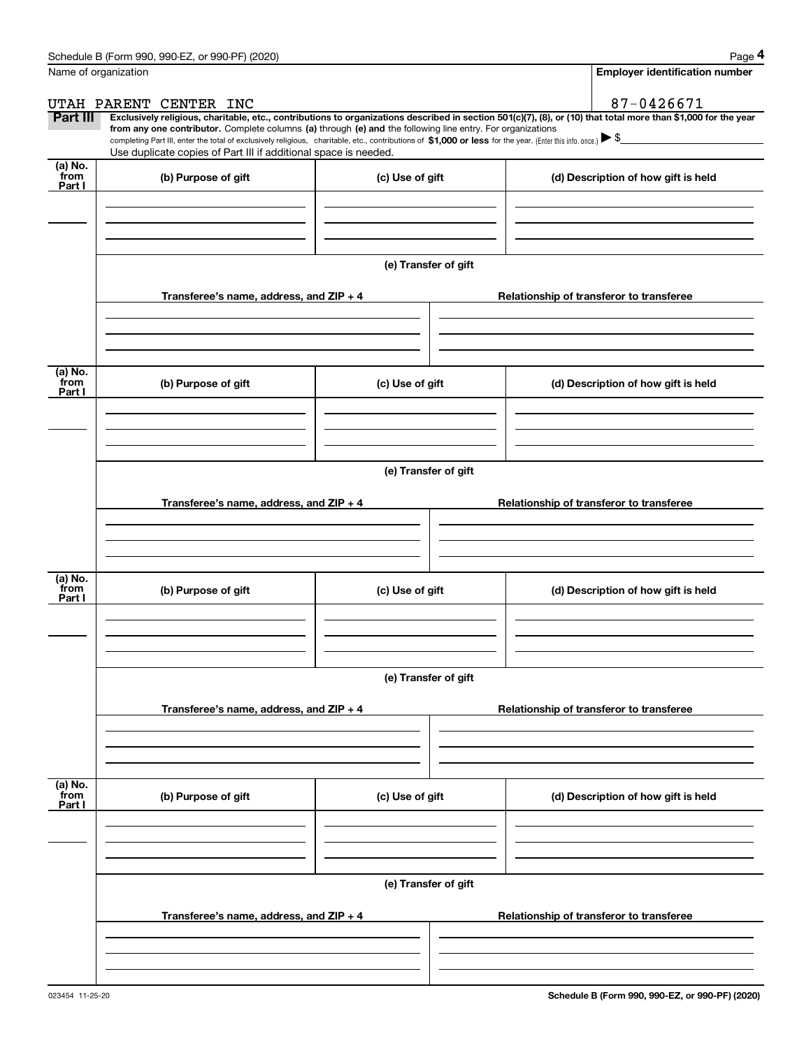|                           | Schedule B (Form 990, 990-EZ, or 990-PF) (2020)                                                                                                                                   |                      | Page 4                                                                                                                                                         |  |  |  |  |
|---------------------------|-----------------------------------------------------------------------------------------------------------------------------------------------------------------------------------|----------------------|----------------------------------------------------------------------------------------------------------------------------------------------------------------|--|--|--|--|
|                           | Name of organization                                                                                                                                                              |                      | <b>Employer identification number</b>                                                                                                                          |  |  |  |  |
|                           | UTAH PARENT CENTER INC                                                                                                                                                            |                      | 87-0426671                                                                                                                                                     |  |  |  |  |
| Part III                  | from any one contributor. Complete columns (a) through (e) and the following line entry. For organizations                                                                        |                      | Exclusively religious, charitable, etc., contributions to organizations described in section 501(c)(7), (8), or (10) that total more than \$1,000 for the year |  |  |  |  |
|                           | completing Part III, enter the total of exclusively religious, charitable, etc., contributions of \$1,000 or less for the year. (Enter this info. once.) $\blacktriangleright$ \$ |                      |                                                                                                                                                                |  |  |  |  |
| (a) No.                   | Use duplicate copies of Part III if additional space is needed.                                                                                                                   |                      |                                                                                                                                                                |  |  |  |  |
| from<br>Part I            | (b) Purpose of gift                                                                                                                                                               | (c) Use of gift      | (d) Description of how gift is held                                                                                                                            |  |  |  |  |
|                           |                                                                                                                                                                                   |                      |                                                                                                                                                                |  |  |  |  |
|                           |                                                                                                                                                                                   |                      |                                                                                                                                                                |  |  |  |  |
|                           |                                                                                                                                                                                   |                      |                                                                                                                                                                |  |  |  |  |
|                           |                                                                                                                                                                                   | (e) Transfer of gift |                                                                                                                                                                |  |  |  |  |
|                           | Transferee's name, address, and ZIP + 4                                                                                                                                           |                      | Relationship of transferor to transferee                                                                                                                       |  |  |  |  |
|                           |                                                                                                                                                                                   |                      |                                                                                                                                                                |  |  |  |  |
|                           |                                                                                                                                                                                   |                      |                                                                                                                                                                |  |  |  |  |
|                           |                                                                                                                                                                                   |                      |                                                                                                                                                                |  |  |  |  |
| (a) No.<br>from           | (b) Purpose of gift                                                                                                                                                               | (c) Use of gift      | (d) Description of how gift is held                                                                                                                            |  |  |  |  |
| Part I                    |                                                                                                                                                                                   |                      |                                                                                                                                                                |  |  |  |  |
|                           |                                                                                                                                                                                   |                      |                                                                                                                                                                |  |  |  |  |
|                           |                                                                                                                                                                                   |                      |                                                                                                                                                                |  |  |  |  |
|                           | (e) Transfer of gift                                                                                                                                                              |                      |                                                                                                                                                                |  |  |  |  |
|                           |                                                                                                                                                                                   |                      |                                                                                                                                                                |  |  |  |  |
|                           | Transferee's name, address, and ZIP + 4                                                                                                                                           |                      | Relationship of transferor to transferee                                                                                                                       |  |  |  |  |
|                           |                                                                                                                                                                                   |                      |                                                                                                                                                                |  |  |  |  |
|                           |                                                                                                                                                                                   |                      |                                                                                                                                                                |  |  |  |  |
| (a) No.                   |                                                                                                                                                                                   |                      |                                                                                                                                                                |  |  |  |  |
| from<br>Part I            | (b) Purpose of gift                                                                                                                                                               | (c) Use of gift      | (d) Description of how gift is held                                                                                                                            |  |  |  |  |
|                           |                                                                                                                                                                                   |                      |                                                                                                                                                                |  |  |  |  |
|                           |                                                                                                                                                                                   |                      |                                                                                                                                                                |  |  |  |  |
|                           |                                                                                                                                                                                   |                      |                                                                                                                                                                |  |  |  |  |
|                           |                                                                                                                                                                                   | (e) Transfer of gift |                                                                                                                                                                |  |  |  |  |
|                           | Transferee's name, address, and $ZIP + 4$                                                                                                                                         |                      | Relationship of transferor to transferee                                                                                                                       |  |  |  |  |
|                           |                                                                                                                                                                                   |                      |                                                                                                                                                                |  |  |  |  |
|                           |                                                                                                                                                                                   |                      |                                                                                                                                                                |  |  |  |  |
|                           |                                                                                                                                                                                   |                      |                                                                                                                                                                |  |  |  |  |
| (a) No.<br>from<br>Part I | (b) Purpose of gift                                                                                                                                                               | (c) Use of gift      | (d) Description of how gift is held                                                                                                                            |  |  |  |  |
|                           |                                                                                                                                                                                   |                      |                                                                                                                                                                |  |  |  |  |
|                           |                                                                                                                                                                                   |                      |                                                                                                                                                                |  |  |  |  |
|                           |                                                                                                                                                                                   |                      |                                                                                                                                                                |  |  |  |  |
|                           | (e) Transfer of gift                                                                                                                                                              |                      |                                                                                                                                                                |  |  |  |  |
|                           |                                                                                                                                                                                   |                      |                                                                                                                                                                |  |  |  |  |
|                           | Transferee's name, address, and $ZIP + 4$                                                                                                                                         |                      | Relationship of transferor to transferee                                                                                                                       |  |  |  |  |
|                           |                                                                                                                                                                                   |                      |                                                                                                                                                                |  |  |  |  |
|                           |                                                                                                                                                                                   |                      |                                                                                                                                                                |  |  |  |  |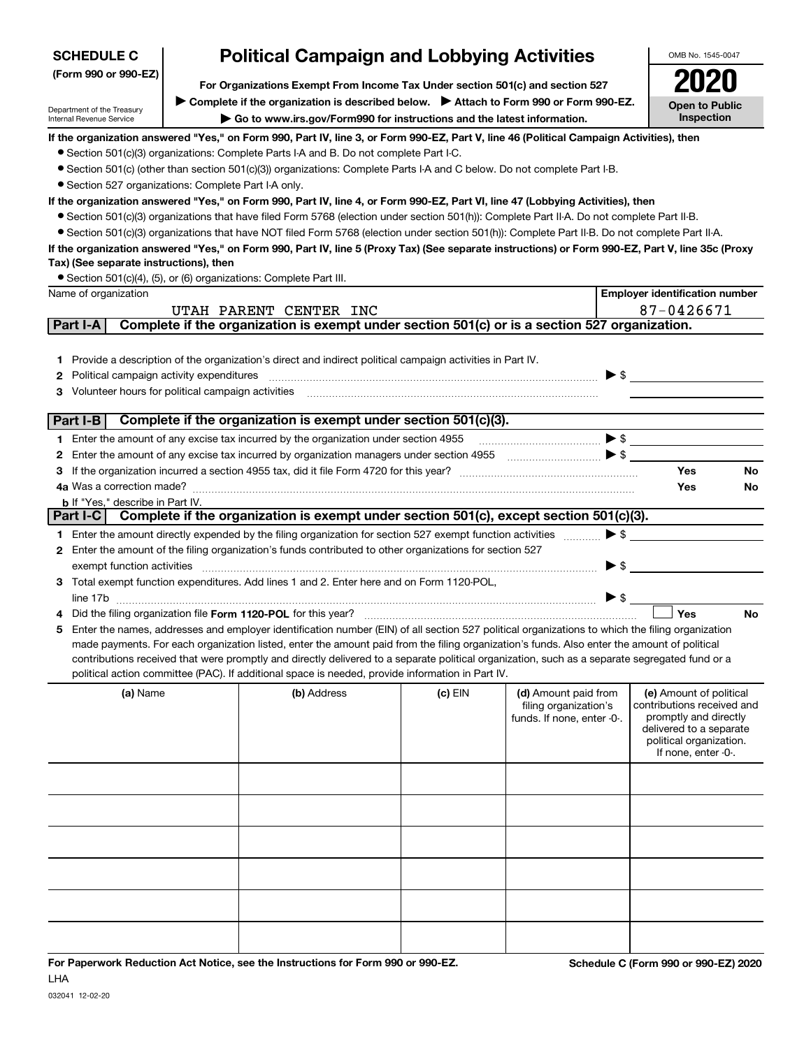| <b>SCHEDULE C</b>                                                                                     |  | <b>Political Campaign and Lobbying Activities</b>                                                                                                                                                                                                  |         |                                                                             | OMB No. 1545-0047                                                                                                                                           |
|-------------------------------------------------------------------------------------------------------|--|----------------------------------------------------------------------------------------------------------------------------------------------------------------------------------------------------------------------------------------------------|---------|-----------------------------------------------------------------------------|-------------------------------------------------------------------------------------------------------------------------------------------------------------|
| (Form 990 or 990-EZ)<br>For Organizations Exempt From Income Tax Under section 501(c) and section 527 |  |                                                                                                                                                                                                                                                    |         |                                                                             |                                                                                                                                                             |
| Complete if the organization is described below.<br>> Attach to Form 990 or Form 990-EZ.              |  |                                                                                                                                                                                                                                                    |         |                                                                             |                                                                                                                                                             |
| Department of the Treasury<br>Internal Revenue Service                                                |  | Go to www.irs.gov/Form990 for instructions and the latest information.                                                                                                                                                                             |         |                                                                             | <b>Open to Public</b><br>Inspection                                                                                                                         |
|                                                                                                       |  | If the organization answered "Yes," on Form 990, Part IV, line 3, or Form 990-EZ, Part V, line 46 (Political Campaign Activities), then                                                                                                            |         |                                                                             |                                                                                                                                                             |
|                                                                                                       |  | • Section 501(c)(3) organizations: Complete Parts I-A and B. Do not complete Part I-C.                                                                                                                                                             |         |                                                                             |                                                                                                                                                             |
| • Section 527 organizations: Complete Part I-A only.                                                  |  | • Section 501(c) (other than section 501(c)(3)) organizations: Complete Parts I-A and C below. Do not complete Part I-B.                                                                                                                           |         |                                                                             |                                                                                                                                                             |
|                                                                                                       |  | If the organization answered "Yes," on Form 990, Part IV, line 4, or Form 990-EZ, Part VI, line 47 (Lobbying Activities), then                                                                                                                     |         |                                                                             |                                                                                                                                                             |
|                                                                                                       |  | • Section 501(c)(3) organizations that have filed Form 5768 (election under section 501(h)): Complete Part II-A. Do not complete Part II-B.                                                                                                        |         |                                                                             |                                                                                                                                                             |
|                                                                                                       |  | • Section 501(c)(3) organizations that have NOT filed Form 5768 (election under section 501(h)): Complete Part II-B. Do not complete Part II-A.                                                                                                    |         |                                                                             |                                                                                                                                                             |
|                                                                                                       |  | If the organization answered "Yes," on Form 990, Part IV, line 5 (Proxy Tax) (See separate instructions) or Form 990-EZ, Part V, line 35c (Proxy                                                                                                   |         |                                                                             |                                                                                                                                                             |
| Tax) (See separate instructions), then                                                                |  |                                                                                                                                                                                                                                                    |         |                                                                             |                                                                                                                                                             |
|                                                                                                       |  | • Section 501(c)(4), (5), or (6) organizations: Complete Part III.                                                                                                                                                                                 |         |                                                                             |                                                                                                                                                             |
| Name of organization                                                                                  |  |                                                                                                                                                                                                                                                    |         |                                                                             | <b>Employer identification number</b>                                                                                                                       |
| Part I-A                                                                                              |  | UTAH PARENT CENTER INC<br>Complete if the organization is exempt under section 501(c) or is a section 527 organization.                                                                                                                            |         |                                                                             | 87-0426671                                                                                                                                                  |
|                                                                                                       |  |                                                                                                                                                                                                                                                    |         |                                                                             |                                                                                                                                                             |
|                                                                                                       |  | Provide a description of the organization's direct and indirect political campaign activities in Part IV.                                                                                                                                          |         |                                                                             |                                                                                                                                                             |
| 1.<br>Political campaign activity expenditures<br>2                                                   |  |                                                                                                                                                                                                                                                    |         |                                                                             | $\blacktriangleright$ \$                                                                                                                                    |
| Volunteer hours for political campaign activities                                                     |  |                                                                                                                                                                                                                                                    |         |                                                                             |                                                                                                                                                             |
|                                                                                                       |  |                                                                                                                                                                                                                                                    |         |                                                                             |                                                                                                                                                             |
| Part I-B                                                                                              |  | Complete if the organization is exempt under section 501(c)(3).                                                                                                                                                                                    |         |                                                                             |                                                                                                                                                             |
|                                                                                                       |  | 1 Enter the amount of any excise tax incurred by the organization under section 4955                                                                                                                                                               |         |                                                                             | $\blacktriangleright$ \$                                                                                                                                    |
| 2                                                                                                     |  |                                                                                                                                                                                                                                                    |         |                                                                             |                                                                                                                                                             |
| 3                                                                                                     |  |                                                                                                                                                                                                                                                    |         |                                                                             | Yes<br>No                                                                                                                                                   |
|                                                                                                       |  |                                                                                                                                                                                                                                                    |         |                                                                             | Yes<br>No                                                                                                                                                   |
| <b>b</b> If "Yes," describe in Part IV.                                                               |  | Part I-C   Complete if the organization is exempt under section 501(c), except section 501(c)(3).                                                                                                                                                  |         |                                                                             |                                                                                                                                                             |
|                                                                                                       |  | 1 Enter the amount directly expended by the filing organization for section 527 exempt function activities                                                                                                                                         |         |                                                                             | $\blacktriangleright$ \$                                                                                                                                    |
| 2                                                                                                     |  | Enter the amount of the filing organization's funds contributed to other organizations for section 527                                                                                                                                             |         |                                                                             |                                                                                                                                                             |
| exempt function activities                                                                            |  |                                                                                                                                                                                                                                                    |         |                                                                             | $\blacktriangleright$ \$                                                                                                                                    |
|                                                                                                       |  | 3 Total exempt function expenditures. Add lines 1 and 2. Enter here and on Form 1120-POL,                                                                                                                                                          |         |                                                                             |                                                                                                                                                             |
|                                                                                                       |  |                                                                                                                                                                                                                                                    |         |                                                                             | $\blacktriangleright$ \$                                                                                                                                    |
|                                                                                                       |  | Did the filing organization file Form 1120-POL for this year?                                                                                                                                                                                      |         |                                                                             | Yes<br>No                                                                                                                                                   |
| 5                                                                                                     |  | Enter the names, addresses and employer identification number (EIN) of all section 527 political organizations to which the filing organization                                                                                                    |         |                                                                             |                                                                                                                                                             |
|                                                                                                       |  | made payments. For each organization listed, enter the amount paid from the filing organization's funds. Also enter the amount of political                                                                                                        |         |                                                                             |                                                                                                                                                             |
|                                                                                                       |  | contributions received that were promptly and directly delivered to a separate political organization, such as a separate segregated fund or a<br>political action committee (PAC). If additional space is needed, provide information in Part IV. |         |                                                                             |                                                                                                                                                             |
| (a) Name                                                                                              |  | (b) Address                                                                                                                                                                                                                                        | (c) EIN | (d) Amount paid from<br>filing organization's<br>funds. If none, enter -0-. | (e) Amount of political<br>contributions received and<br>promptly and directly<br>delivered to a separate<br>political organization.<br>If none, enter -0-. |
|                                                                                                       |  |                                                                                                                                                                                                                                                    |         |                                                                             |                                                                                                                                                             |
|                                                                                                       |  |                                                                                                                                                                                                                                                    |         |                                                                             |                                                                                                                                                             |
|                                                                                                       |  |                                                                                                                                                                                                                                                    |         |                                                                             |                                                                                                                                                             |
|                                                                                                       |  |                                                                                                                                                                                                                                                    |         |                                                                             |                                                                                                                                                             |
|                                                                                                       |  |                                                                                                                                                                                                                                                    |         |                                                                             |                                                                                                                                                             |
|                                                                                                       |  |                                                                                                                                                                                                                                                    |         |                                                                             |                                                                                                                                                             |
|                                                                                                       |  |                                                                                                                                                                                                                                                    |         |                                                                             |                                                                                                                                                             |
|                                                                                                       |  |                                                                                                                                                                                                                                                    |         |                                                                             |                                                                                                                                                             |

| For Paperwork Reduction Act Notice, see the Instructions for Form 990 or 990-EZ. |  | <b>Sched</b> |
|----------------------------------------------------------------------------------|--|--------------|
|                                                                                  |  |              |
|                                                                                  |  |              |
|                                                                                  |  |              |
|                                                                                  |  |              |
|                                                                                  |  |              |
|                                                                                  |  |              |
|                                                                                  |  |              |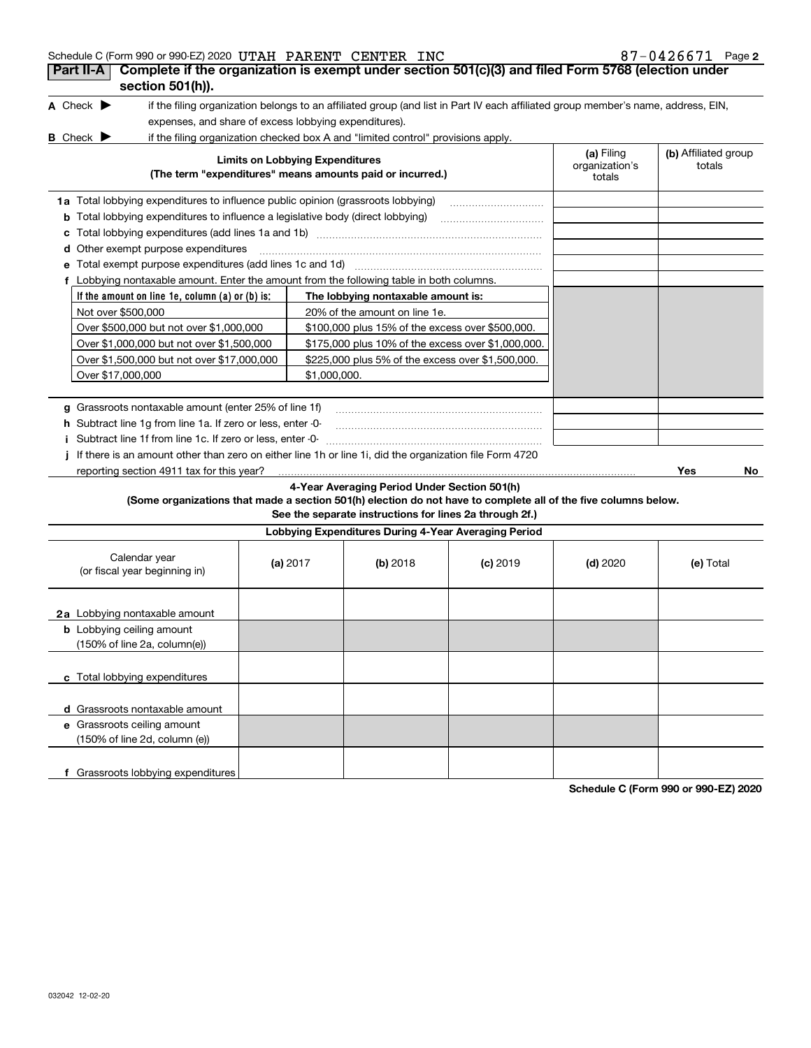| Schedule C (Form 990 or 990-EZ) 2020 UTAH PARENT CENTER INC                                                     |                                        |                                                                                  |                                                                                                                                   |                                        | 87-0426671 Page 2              |
|-----------------------------------------------------------------------------------------------------------------|----------------------------------------|----------------------------------------------------------------------------------|-----------------------------------------------------------------------------------------------------------------------------------|----------------------------------------|--------------------------------|
| Complete if the organization is exempt under section 501(c)(3) and filed Form 5768 (election under<br>Part II-A |                                        |                                                                                  |                                                                                                                                   |                                        |                                |
| section 501(h)).                                                                                                |                                        |                                                                                  |                                                                                                                                   |                                        |                                |
| A Check $\blacktriangleright$                                                                                   |                                        |                                                                                  | if the filing organization belongs to an affiliated group (and list in Part IV each affiliated group member's name, address, EIN, |                                        |                                |
| expenses, and share of excess lobbying expenditures).                                                           |                                        |                                                                                  |                                                                                                                                   |                                        |                                |
| <b>B</b> Check $\blacktriangleright$                                                                            |                                        | if the filing organization checked box A and "limited control" provisions apply. |                                                                                                                                   |                                        |                                |
|                                                                                                                 | <b>Limits on Lobbying Expenditures</b> | (The term "expenditures" means amounts paid or incurred.)                        |                                                                                                                                   | (a) Filing<br>organization's<br>totals | (b) Affiliated group<br>totals |
| 1a Total lobbying expenditures to influence public opinion (grassroots lobbying)                                |                                        |                                                                                  |                                                                                                                                   |                                        |                                |
| <b>b</b> Total lobbying expenditures to influence a legislative body (direct lobbying)                          |                                        |                                                                                  |                                                                                                                                   |                                        |                                |
| c                                                                                                               |                                        |                                                                                  |                                                                                                                                   |                                        |                                |
| <b>d</b> Other exempt purpose expenditures                                                                      |                                        |                                                                                  |                                                                                                                                   |                                        |                                |
| e Total exempt purpose expenditures (add lines 1c and 1d)                                                       |                                        |                                                                                  |                                                                                                                                   |                                        |                                |
| f Lobbying nontaxable amount. Enter the amount from the following table in both columns.                        |                                        |                                                                                  |                                                                                                                                   |                                        |                                |
| If the amount on line 1e, column (a) or (b) is:                                                                 |                                        | The lobbying nontaxable amount is:                                               |                                                                                                                                   |                                        |                                |
| Not over \$500,000                                                                                              |                                        | 20% of the amount on line 1e.                                                    |                                                                                                                                   |                                        |                                |
| Over \$500,000 but not over \$1,000,000                                                                         |                                        | \$100,000 plus 15% of the excess over \$500,000.                                 |                                                                                                                                   |                                        |                                |
| Over \$1,000,000 but not over \$1,500,000                                                                       |                                        | \$175,000 plus 10% of the excess over \$1,000,000.                               |                                                                                                                                   |                                        |                                |
| Over \$1,500,000 but not over \$17,000,000                                                                      |                                        | \$225,000 plus 5% of the excess over \$1,500,000.                                |                                                                                                                                   |                                        |                                |
| Over \$17,000,000                                                                                               | \$1,000,000.                           |                                                                                  |                                                                                                                                   |                                        |                                |
|                                                                                                                 |                                        |                                                                                  |                                                                                                                                   |                                        |                                |
| g Grassroots nontaxable amount (enter 25% of line 1f)                                                           |                                        |                                                                                  |                                                                                                                                   |                                        |                                |
| h Subtract line 1q from line 1a. If zero or less, enter -0-                                                     |                                        |                                                                                  |                                                                                                                                   |                                        |                                |
| Subtract line 1f from line 1c. If zero or less, enter -0-                                                       |                                        |                                                                                  |                                                                                                                                   |                                        |                                |
| If there is an amount other than zero on either line 1h or line 1i, did the organization file Form 4720         |                                        |                                                                                  |                                                                                                                                   |                                        |                                |
| reporting section 4911 tax for this year?                                                                       |                                        |                                                                                  |                                                                                                                                   |                                        | Yes<br>No.                     |
|                                                                                                                 |                                        | 4-Year Averaging Period Under Section 501(h)                                     |                                                                                                                                   |                                        |                                |
| (Some organizations that made a section 501(h) election do not have to complete all of the five columns below.  |                                        |                                                                                  |                                                                                                                                   |                                        |                                |
|                                                                                                                 |                                        | See the separate instructions for lines 2a through 2f.)                          |                                                                                                                                   |                                        |                                |
|                                                                                                                 |                                        | Lobbying Expenditures During 4-Year Averaging Period                             |                                                                                                                                   |                                        |                                |
| Calendar year<br>(or fiscal year beginning in)                                                                  | (a) $2017$                             | (b) 2018                                                                         | $(c)$ 2019                                                                                                                        | $(d)$ 2020                             | (e) Total                      |
| 2a Lobbying nontaxable amount                                                                                   |                                        |                                                                                  |                                                                                                                                   |                                        |                                |
| <b>b</b> Lobbying ceiling amount<br>(150% of line 2a, column(e))                                                |                                        |                                                                                  |                                                                                                                                   |                                        |                                |
| c Total lobbying expenditures                                                                                   |                                        |                                                                                  |                                                                                                                                   |                                        |                                |
| d Grassroots nontaxable amount                                                                                  |                                        |                                                                                  |                                                                                                                                   |                                        |                                |
| e Grassroots ceiling amount                                                                                     |                                        |                                                                                  |                                                                                                                                   |                                        |                                |
| (150% of line 2d, column (e))                                                                                   |                                        |                                                                                  |                                                                                                                                   |                                        |                                |
| f Grassroots lobbying expenditures                                                                              |                                        |                                                                                  |                                                                                                                                   |                                        |                                |

**Schedule C (Form 990 or 990-EZ) 2020**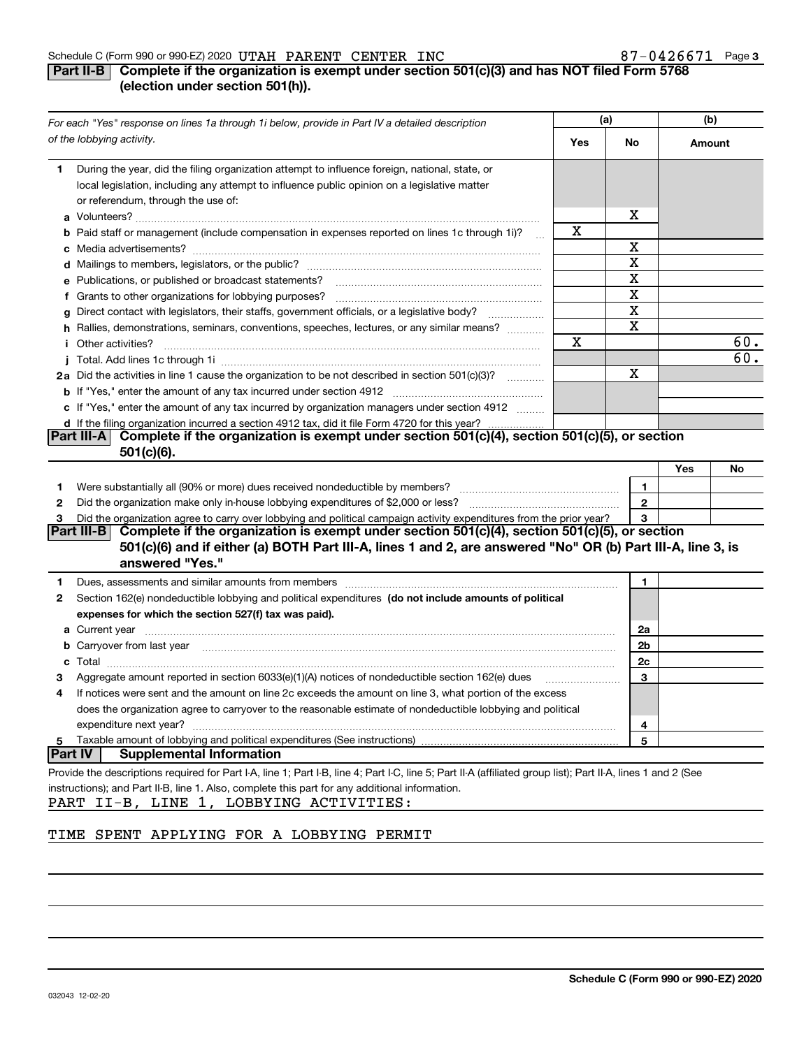#### Schedule C (Form 990 or 990-EZ) 2020 Page UTAH PARENT CENTER INC 87-0426671

## **3**

## **Part II-B** Complete if the organization is exempt under section 501(c)(3) and has NOT filed Form 5768 **(election under section 501(h)).**

|                | For each "Yes" response on lines 1a through 1i below, provide in Part IV a detailed description                                                                                                                                      |     | (a)          | (b)    |     |
|----------------|--------------------------------------------------------------------------------------------------------------------------------------------------------------------------------------------------------------------------------------|-----|--------------|--------|-----|
|                | of the lobbying activity.                                                                                                                                                                                                            | Yes | No           | Amount |     |
| 1              | During the year, did the filing organization attempt to influence foreign, national, state, or<br>local legislation, including any attempt to influence public opinion on a legislative matter<br>or referendum, through the use of: |     |              |        |     |
|                |                                                                                                                                                                                                                                      |     | x            |        |     |
|                | <b>b</b> Paid staff or management (include compensation in expenses reported on lines 1c through 1i)?                                                                                                                                | x   |              |        |     |
|                |                                                                                                                                                                                                                                      |     | Χ            |        |     |
|                |                                                                                                                                                                                                                                      |     | X            |        |     |
|                | e Publications, or published or broadcast statements?                                                                                                                                                                                |     | X            |        |     |
|                | f Grants to other organizations for lobbying purposes?                                                                                                                                                                               |     | X            |        |     |
|                | g Direct contact with legislators, their staffs, government officials, or a legislative body?                                                                                                                                        |     | $\mathbf X$  |        |     |
|                | h Rallies, demonstrations, seminars, conventions, speeches, lectures, or any similar means?                                                                                                                                          |     | X            |        |     |
|                | <i>i</i> Other activities?                                                                                                                                                                                                           | X   |              |        | 60. |
|                |                                                                                                                                                                                                                                      |     |              |        | 60. |
|                | 2a Did the activities in line 1 cause the organization to be not described in section 501(c)(3)?                                                                                                                                     |     | X            |        |     |
|                |                                                                                                                                                                                                                                      |     |              |        |     |
|                | c If "Yes," enter the amount of any tax incurred by organization managers under section 4912                                                                                                                                         |     |              |        |     |
|                | d If the filing organization incurred a section 4912 tax, did it file Form 4720 for this year?                                                                                                                                       |     |              |        |     |
|                | Complete if the organization is exempt under section 501(c)(4), section 501(c)(5), or section<br><b>Part III-A</b><br>$501(c)(6)$ .                                                                                                  |     |              |        |     |
|                |                                                                                                                                                                                                                                      |     |              | Yes    | No  |
| 1.             |                                                                                                                                                                                                                                      |     | 1            |        |     |
| 2              |                                                                                                                                                                                                                                      |     | $\mathbf{2}$ |        |     |
| 3              | Did the organization agree to carry over lobbying and political campaign activity expenditures from the prior year?                                                                                                                  |     | 3            |        |     |
|                | Complete if the organization is exempt under section 501(c)(4), section 501(c)(5), or section<br><b>Part III-B</b>                                                                                                                   |     |              |        |     |
|                | 501(c)(6) and if either (a) BOTH Part III-A, lines 1 and 2, are answered "No" OR (b) Part III-A, line 3, is                                                                                                                          |     |              |        |     |
|                | answered "Yes."                                                                                                                                                                                                                      |     |              |        |     |
| 1              |                                                                                                                                                                                                                                      |     | 1            |        |     |
| 2              | Section 162(e) nondeductible lobbying and political expenditures (do not include amounts of political                                                                                                                                |     |              |        |     |
|                | expenses for which the section 527(f) tax was paid).                                                                                                                                                                                 |     |              |        |     |
|                |                                                                                                                                                                                                                                      |     | 2a           |        |     |
|                | <b>b</b> Carryover from last year manufactured and content to content the content of the content of the content of the content of the content of the content of the content of the content of the content of the content of the con  |     | 2b           |        |     |
|                |                                                                                                                                                                                                                                      |     | 2c           |        |     |
|                | Aggregate amount reported in section 6033(e)(1)(A) notices of nondeductible section 162(e) dues                                                                                                                                      |     | 3            |        |     |
| 4              | If notices were sent and the amount on line 2c exceeds the amount on line 3, what portion of the excess                                                                                                                              |     |              |        |     |
|                | does the organization agree to carryover to the reasonable estimate of nondeductible lobbying and political                                                                                                                          |     |              |        |     |
|                | expenditure next year?                                                                                                                                                                                                               |     | 4            |        |     |
| 5              | Taxable amount of lobbying and political expenditures (See instructions)                                                                                                                                                             |     | 5            |        |     |
| <b>Part IV</b> | <b>Supplemental Information</b>                                                                                                                                                                                                      |     |              |        |     |
|                | Provide the descriptions required for Part I-A, line 1; Part I-B, line 4; Part I-C, line 5; Part II-A (affiliated group list); Part II-A, lines 1 and 2 (See                                                                         |     |              |        |     |
|                | instructions); and Part II-B, line 1. Also, complete this part for any additional information.                                                                                                                                       |     |              |        |     |
| PART           | II-B, LINE 1, LOBBYING ACTIVITIES:                                                                                                                                                                                                   |     |              |        |     |

## TIME SPENT APPLYING FOR A LOBBYING PERMIT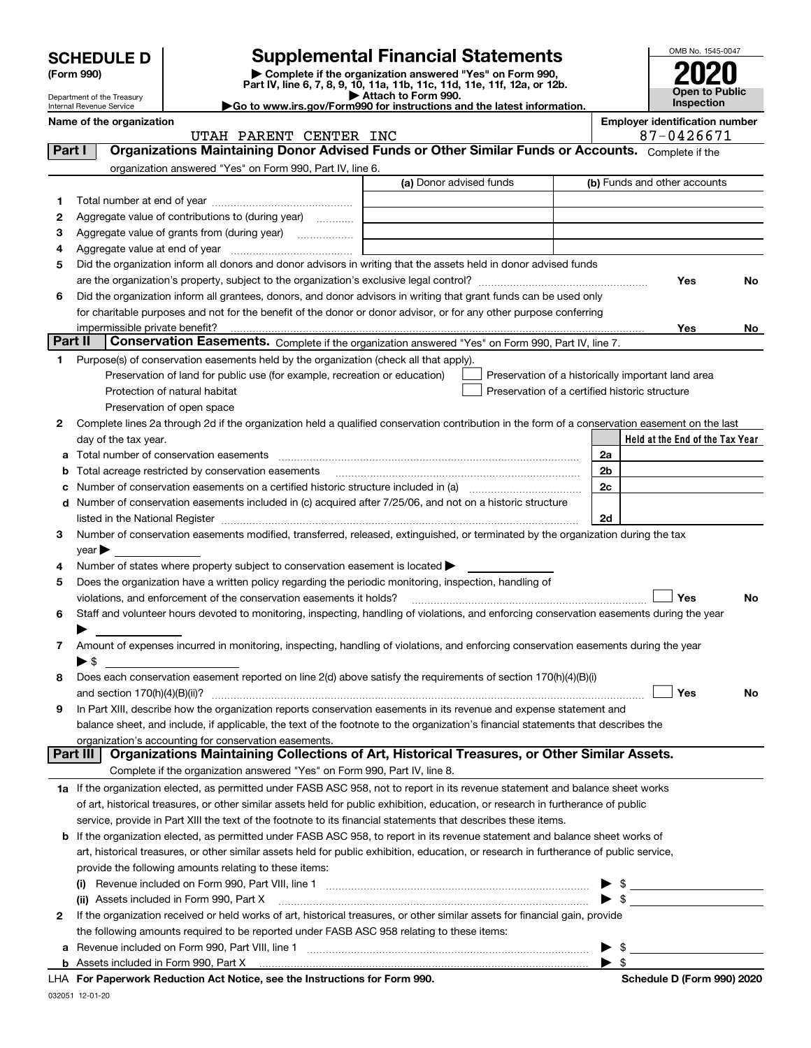| <b>SCHEDULE D</b> |  |
|-------------------|--|
|-------------------|--|

## **SCHEDULE D Supplemental Financial Statements**

(Form 990)<br>
Pepartment of the Treasury<br>
Department of the Treasury<br>
Department of the Treasury<br>
Department of the Treasury<br> **Co to www.irs.gov/Form990 for instructions and the latest information.**<br> **Co to www.irs.gov/Form9** 



Internal Revenue Service **Name of the organization Employer identification number**

Department of the Treasury

| Organizations Maintaining Donor Advised Funds or Other Similar Funds or Accounts. Complete if the<br><b>Part I</b><br>organization answered "Yes" on Form 990, Part IV, line 6.<br>(a) Donor advised funds<br>(b) Funds and other accounts<br>1.<br>Aggregate value of contributions to (during year)<br>2<br>з<br>4<br>Did the organization inform all donors and donor advisors in writing that the assets held in donor advised funds<br>5<br>Yes<br>No<br>Did the organization inform all grantees, donors, and donor advisors in writing that grant funds can be used only<br>6<br>for charitable purposes and not for the benefit of the donor or donor advisor, or for any other purpose conferring<br>Yes<br>No<br>Part II<br>Conservation Easements. Complete if the organization answered "Yes" on Form 990, Part IV, line 7.<br>Purpose(s) of conservation easements held by the organization (check all that apply).<br>1<br>Preservation of land for public use (for example, recreation or education)<br>Preservation of a historically important land area<br>Protection of natural habitat<br>Preservation of a certified historic structure<br>Preservation of open space<br>Complete lines 2a through 2d if the organization held a qualified conservation contribution in the form of a conservation easement on the last<br>2<br>Held at the End of the Tax Year<br>day of the tax year.<br>2a<br>a<br>2 <sub>b</sub><br>Total acreage restricted by conservation easements<br>b<br>2c<br>Number of conservation easements on a certified historic structure included in (a) manufacture included in (a)<br>c<br>Number of conservation easements included in (c) acquired after 7/25/06, and not on a historic structure<br>d<br>2d<br>Number of conservation easements modified, transferred, released, extinguished, or terminated by the organization during the tax<br>З.<br>$\vee$ ear $\blacktriangleright$<br>Number of states where property subject to conservation easement is located ><br>4<br>Does the organization have a written policy regarding the periodic monitoring, inspection, handling of<br>5<br><b>Yes</b><br>violations, and enforcement of the conservation easements it holds?<br>No<br>Staff and volunteer hours devoted to monitoring, inspecting, handling of violations, and enforcing conservation easements during the year<br>6<br>Amount of expenses incurred in monitoring, inspecting, handling of violations, and enforcing conservation easements during the year<br>7<br>$\blacktriangleright$ \$<br>Does each conservation easement reported on line 2(d) above satisfy the requirements of section 170(h)(4)(B)(i)<br>8<br>Yes<br>No<br>In Part XIII, describe how the organization reports conservation easements in its revenue and expense statement and<br>9<br>balance sheet, and include, if applicable, the text of the footnote to the organization's financial statements that describes the<br>organization's accounting for conservation easements.<br>Organizations Maintaining Collections of Art, Historical Treasures, or Other Similar Assets.<br><b>Part III</b><br>Complete if the organization answered "Yes" on Form 990, Part IV, line 8.<br>1a If the organization elected, as permitted under FASB ASC 958, not to report in its revenue statement and balance sheet works<br>of art, historical treasures, or other similar assets held for public exhibition, education, or research in furtherance of public<br>service, provide in Part XIII the text of the footnote to its financial statements that describes these items.<br>If the organization elected, as permitted under FASB ASC 958, to report in its revenue statement and balance sheet works of<br>b<br>art, historical treasures, or other similar assets held for public exhibition, education, or research in furtherance of public service,<br>provide the following amounts relating to these items:<br>\$<br>(i)<br>$\blacktriangleright$ \$<br>(ii) Assets included in Form 990, Part X<br>If the organization received or held works of art, historical treasures, or other similar assets for financial gain, provide<br>2<br>the following amounts required to be reported under FASB ASC 958 relating to these items:<br>- \$<br>Revenue included on Form 990, Part VIII, line 1 [2000] [2000] [2000] [2000] [3000] [3000] [3000] [3000] [3000<br>▶<br>а | UTAH PARENT CENTER INC                                                      | 87-0426671                 |
|------------------------------------------------------------------------------------------------------------------------------------------------------------------------------------------------------------------------------------------------------------------------------------------------------------------------------------------------------------------------------------------------------------------------------------------------------------------------------------------------------------------------------------------------------------------------------------------------------------------------------------------------------------------------------------------------------------------------------------------------------------------------------------------------------------------------------------------------------------------------------------------------------------------------------------------------------------------------------------------------------------------------------------------------------------------------------------------------------------------------------------------------------------------------------------------------------------------------------------------------------------------------------------------------------------------------------------------------------------------------------------------------------------------------------------------------------------------------------------------------------------------------------------------------------------------------------------------------------------------------------------------------------------------------------------------------------------------------------------------------------------------------------------------------------------------------------------------------------------------------------------------------------------------------------------------------------------------------------------------------------------------------------------------------------------------------------------------------------------------------------------------------------------------------------------------------------------------------------------------------------------------------------------------------------------------------------------------------------------------------------------------------------------------------------------------------------------------------------------------------------------------------------------------------------------------------------------------------------------------------------------------------------------------------------------------------------------------------------------------------------------------------------------------------------------------------------------------------------------------------------------------------------------------------------------------------------------------------------------------------------------------------------------------------------------------------------------------------------------------------------------------------------------------------------------------------------------------------------------------------------------------------------------------------------------------------------------------------------------------------------------------------------------------------------------------------------------------------------------------------------------------------------------------------------------------------------------------------------------------------------------------------------------------------------------------------------------------------------------------------------------------------------------------------------------------------------------------------------------------------------------------------------------------------------------------------------------------------------------------------------------------------------------------------------------------------------------------------------------------------------------------------------------------------------------------------------------------------------------------------------------------------------------------------------------------------------------------------------------------------------------------------------------------------------|-----------------------------------------------------------------------------|----------------------------|
|                                                                                                                                                                                                                                                                                                                                                                                                                                                                                                                                                                                                                                                                                                                                                                                                                                                                                                                                                                                                                                                                                                                                                                                                                                                                                                                                                                                                                                                                                                                                                                                                                                                                                                                                                                                                                                                                                                                                                                                                                                                                                                                                                                                                                                                                                                                                                                                                                                                                                                                                                                                                                                                                                                                                                                                                                                                                                                                                                                                                                                                                                                                                                                                                                                                                                                                                                                                                                                                                                                                                                                                                                                                                                                                                                                                                                                                                                                                                                                                                                                                                                                                                                                                                                                                                                                                                                                                                                              |                                                                             |                            |
|                                                                                                                                                                                                                                                                                                                                                                                                                                                                                                                                                                                                                                                                                                                                                                                                                                                                                                                                                                                                                                                                                                                                                                                                                                                                                                                                                                                                                                                                                                                                                                                                                                                                                                                                                                                                                                                                                                                                                                                                                                                                                                                                                                                                                                                                                                                                                                                                                                                                                                                                                                                                                                                                                                                                                                                                                                                                                                                                                                                                                                                                                                                                                                                                                                                                                                                                                                                                                                                                                                                                                                                                                                                                                                                                                                                                                                                                                                                                                                                                                                                                                                                                                                                                                                                                                                                                                                                                                              |                                                                             |                            |
|                                                                                                                                                                                                                                                                                                                                                                                                                                                                                                                                                                                                                                                                                                                                                                                                                                                                                                                                                                                                                                                                                                                                                                                                                                                                                                                                                                                                                                                                                                                                                                                                                                                                                                                                                                                                                                                                                                                                                                                                                                                                                                                                                                                                                                                                                                                                                                                                                                                                                                                                                                                                                                                                                                                                                                                                                                                                                                                                                                                                                                                                                                                                                                                                                                                                                                                                                                                                                                                                                                                                                                                                                                                                                                                                                                                                                                                                                                                                                                                                                                                                                                                                                                                                                                                                                                                                                                                                                              |                                                                             |                            |
|                                                                                                                                                                                                                                                                                                                                                                                                                                                                                                                                                                                                                                                                                                                                                                                                                                                                                                                                                                                                                                                                                                                                                                                                                                                                                                                                                                                                                                                                                                                                                                                                                                                                                                                                                                                                                                                                                                                                                                                                                                                                                                                                                                                                                                                                                                                                                                                                                                                                                                                                                                                                                                                                                                                                                                                                                                                                                                                                                                                                                                                                                                                                                                                                                                                                                                                                                                                                                                                                                                                                                                                                                                                                                                                                                                                                                                                                                                                                                                                                                                                                                                                                                                                                                                                                                                                                                                                                                              |                                                                             |                            |
|                                                                                                                                                                                                                                                                                                                                                                                                                                                                                                                                                                                                                                                                                                                                                                                                                                                                                                                                                                                                                                                                                                                                                                                                                                                                                                                                                                                                                                                                                                                                                                                                                                                                                                                                                                                                                                                                                                                                                                                                                                                                                                                                                                                                                                                                                                                                                                                                                                                                                                                                                                                                                                                                                                                                                                                                                                                                                                                                                                                                                                                                                                                                                                                                                                                                                                                                                                                                                                                                                                                                                                                                                                                                                                                                                                                                                                                                                                                                                                                                                                                                                                                                                                                                                                                                                                                                                                                                                              |                                                                             |                            |
|                                                                                                                                                                                                                                                                                                                                                                                                                                                                                                                                                                                                                                                                                                                                                                                                                                                                                                                                                                                                                                                                                                                                                                                                                                                                                                                                                                                                                                                                                                                                                                                                                                                                                                                                                                                                                                                                                                                                                                                                                                                                                                                                                                                                                                                                                                                                                                                                                                                                                                                                                                                                                                                                                                                                                                                                                                                                                                                                                                                                                                                                                                                                                                                                                                                                                                                                                                                                                                                                                                                                                                                                                                                                                                                                                                                                                                                                                                                                                                                                                                                                                                                                                                                                                                                                                                                                                                                                                              |                                                                             |                            |
|                                                                                                                                                                                                                                                                                                                                                                                                                                                                                                                                                                                                                                                                                                                                                                                                                                                                                                                                                                                                                                                                                                                                                                                                                                                                                                                                                                                                                                                                                                                                                                                                                                                                                                                                                                                                                                                                                                                                                                                                                                                                                                                                                                                                                                                                                                                                                                                                                                                                                                                                                                                                                                                                                                                                                                                                                                                                                                                                                                                                                                                                                                                                                                                                                                                                                                                                                                                                                                                                                                                                                                                                                                                                                                                                                                                                                                                                                                                                                                                                                                                                                                                                                                                                                                                                                                                                                                                                                              |                                                                             |                            |
|                                                                                                                                                                                                                                                                                                                                                                                                                                                                                                                                                                                                                                                                                                                                                                                                                                                                                                                                                                                                                                                                                                                                                                                                                                                                                                                                                                                                                                                                                                                                                                                                                                                                                                                                                                                                                                                                                                                                                                                                                                                                                                                                                                                                                                                                                                                                                                                                                                                                                                                                                                                                                                                                                                                                                                                                                                                                                                                                                                                                                                                                                                                                                                                                                                                                                                                                                                                                                                                                                                                                                                                                                                                                                                                                                                                                                                                                                                                                                                                                                                                                                                                                                                                                                                                                                                                                                                                                                              |                                                                             |                            |
|                                                                                                                                                                                                                                                                                                                                                                                                                                                                                                                                                                                                                                                                                                                                                                                                                                                                                                                                                                                                                                                                                                                                                                                                                                                                                                                                                                                                                                                                                                                                                                                                                                                                                                                                                                                                                                                                                                                                                                                                                                                                                                                                                                                                                                                                                                                                                                                                                                                                                                                                                                                                                                                                                                                                                                                                                                                                                                                                                                                                                                                                                                                                                                                                                                                                                                                                                                                                                                                                                                                                                                                                                                                                                                                                                                                                                                                                                                                                                                                                                                                                                                                                                                                                                                                                                                                                                                                                                              |                                                                             |                            |
|                                                                                                                                                                                                                                                                                                                                                                                                                                                                                                                                                                                                                                                                                                                                                                                                                                                                                                                                                                                                                                                                                                                                                                                                                                                                                                                                                                                                                                                                                                                                                                                                                                                                                                                                                                                                                                                                                                                                                                                                                                                                                                                                                                                                                                                                                                                                                                                                                                                                                                                                                                                                                                                                                                                                                                                                                                                                                                                                                                                                                                                                                                                                                                                                                                                                                                                                                                                                                                                                                                                                                                                                                                                                                                                                                                                                                                                                                                                                                                                                                                                                                                                                                                                                                                                                                                                                                                                                                              |                                                                             |                            |
|                                                                                                                                                                                                                                                                                                                                                                                                                                                                                                                                                                                                                                                                                                                                                                                                                                                                                                                                                                                                                                                                                                                                                                                                                                                                                                                                                                                                                                                                                                                                                                                                                                                                                                                                                                                                                                                                                                                                                                                                                                                                                                                                                                                                                                                                                                                                                                                                                                                                                                                                                                                                                                                                                                                                                                                                                                                                                                                                                                                                                                                                                                                                                                                                                                                                                                                                                                                                                                                                                                                                                                                                                                                                                                                                                                                                                                                                                                                                                                                                                                                                                                                                                                                                                                                                                                                                                                                                                              |                                                                             |                            |
|                                                                                                                                                                                                                                                                                                                                                                                                                                                                                                                                                                                                                                                                                                                                                                                                                                                                                                                                                                                                                                                                                                                                                                                                                                                                                                                                                                                                                                                                                                                                                                                                                                                                                                                                                                                                                                                                                                                                                                                                                                                                                                                                                                                                                                                                                                                                                                                                                                                                                                                                                                                                                                                                                                                                                                                                                                                                                                                                                                                                                                                                                                                                                                                                                                                                                                                                                                                                                                                                                                                                                                                                                                                                                                                                                                                                                                                                                                                                                                                                                                                                                                                                                                                                                                                                                                                                                                                                                              |                                                                             |                            |
|                                                                                                                                                                                                                                                                                                                                                                                                                                                                                                                                                                                                                                                                                                                                                                                                                                                                                                                                                                                                                                                                                                                                                                                                                                                                                                                                                                                                                                                                                                                                                                                                                                                                                                                                                                                                                                                                                                                                                                                                                                                                                                                                                                                                                                                                                                                                                                                                                                                                                                                                                                                                                                                                                                                                                                                                                                                                                                                                                                                                                                                                                                                                                                                                                                                                                                                                                                                                                                                                                                                                                                                                                                                                                                                                                                                                                                                                                                                                                                                                                                                                                                                                                                                                                                                                                                                                                                                                                              |                                                                             |                            |
|                                                                                                                                                                                                                                                                                                                                                                                                                                                                                                                                                                                                                                                                                                                                                                                                                                                                                                                                                                                                                                                                                                                                                                                                                                                                                                                                                                                                                                                                                                                                                                                                                                                                                                                                                                                                                                                                                                                                                                                                                                                                                                                                                                                                                                                                                                                                                                                                                                                                                                                                                                                                                                                                                                                                                                                                                                                                                                                                                                                                                                                                                                                                                                                                                                                                                                                                                                                                                                                                                                                                                                                                                                                                                                                                                                                                                                                                                                                                                                                                                                                                                                                                                                                                                                                                                                                                                                                                                              |                                                                             |                            |
|                                                                                                                                                                                                                                                                                                                                                                                                                                                                                                                                                                                                                                                                                                                                                                                                                                                                                                                                                                                                                                                                                                                                                                                                                                                                                                                                                                                                                                                                                                                                                                                                                                                                                                                                                                                                                                                                                                                                                                                                                                                                                                                                                                                                                                                                                                                                                                                                                                                                                                                                                                                                                                                                                                                                                                                                                                                                                                                                                                                                                                                                                                                                                                                                                                                                                                                                                                                                                                                                                                                                                                                                                                                                                                                                                                                                                                                                                                                                                                                                                                                                                                                                                                                                                                                                                                                                                                                                                              |                                                                             |                            |
|                                                                                                                                                                                                                                                                                                                                                                                                                                                                                                                                                                                                                                                                                                                                                                                                                                                                                                                                                                                                                                                                                                                                                                                                                                                                                                                                                                                                                                                                                                                                                                                                                                                                                                                                                                                                                                                                                                                                                                                                                                                                                                                                                                                                                                                                                                                                                                                                                                                                                                                                                                                                                                                                                                                                                                                                                                                                                                                                                                                                                                                                                                                                                                                                                                                                                                                                                                                                                                                                                                                                                                                                                                                                                                                                                                                                                                                                                                                                                                                                                                                                                                                                                                                                                                                                                                                                                                                                                              |                                                                             |                            |
|                                                                                                                                                                                                                                                                                                                                                                                                                                                                                                                                                                                                                                                                                                                                                                                                                                                                                                                                                                                                                                                                                                                                                                                                                                                                                                                                                                                                                                                                                                                                                                                                                                                                                                                                                                                                                                                                                                                                                                                                                                                                                                                                                                                                                                                                                                                                                                                                                                                                                                                                                                                                                                                                                                                                                                                                                                                                                                                                                                                                                                                                                                                                                                                                                                                                                                                                                                                                                                                                                                                                                                                                                                                                                                                                                                                                                                                                                                                                                                                                                                                                                                                                                                                                                                                                                                                                                                                                                              |                                                                             |                            |
|                                                                                                                                                                                                                                                                                                                                                                                                                                                                                                                                                                                                                                                                                                                                                                                                                                                                                                                                                                                                                                                                                                                                                                                                                                                                                                                                                                                                                                                                                                                                                                                                                                                                                                                                                                                                                                                                                                                                                                                                                                                                                                                                                                                                                                                                                                                                                                                                                                                                                                                                                                                                                                                                                                                                                                                                                                                                                                                                                                                                                                                                                                                                                                                                                                                                                                                                                                                                                                                                                                                                                                                                                                                                                                                                                                                                                                                                                                                                                                                                                                                                                                                                                                                                                                                                                                                                                                                                                              |                                                                             |                            |
|                                                                                                                                                                                                                                                                                                                                                                                                                                                                                                                                                                                                                                                                                                                                                                                                                                                                                                                                                                                                                                                                                                                                                                                                                                                                                                                                                                                                                                                                                                                                                                                                                                                                                                                                                                                                                                                                                                                                                                                                                                                                                                                                                                                                                                                                                                                                                                                                                                                                                                                                                                                                                                                                                                                                                                                                                                                                                                                                                                                                                                                                                                                                                                                                                                                                                                                                                                                                                                                                                                                                                                                                                                                                                                                                                                                                                                                                                                                                                                                                                                                                                                                                                                                                                                                                                                                                                                                                                              |                                                                             |                            |
|                                                                                                                                                                                                                                                                                                                                                                                                                                                                                                                                                                                                                                                                                                                                                                                                                                                                                                                                                                                                                                                                                                                                                                                                                                                                                                                                                                                                                                                                                                                                                                                                                                                                                                                                                                                                                                                                                                                                                                                                                                                                                                                                                                                                                                                                                                                                                                                                                                                                                                                                                                                                                                                                                                                                                                                                                                                                                                                                                                                                                                                                                                                                                                                                                                                                                                                                                                                                                                                                                                                                                                                                                                                                                                                                                                                                                                                                                                                                                                                                                                                                                                                                                                                                                                                                                                                                                                                                                              |                                                                             |                            |
|                                                                                                                                                                                                                                                                                                                                                                                                                                                                                                                                                                                                                                                                                                                                                                                                                                                                                                                                                                                                                                                                                                                                                                                                                                                                                                                                                                                                                                                                                                                                                                                                                                                                                                                                                                                                                                                                                                                                                                                                                                                                                                                                                                                                                                                                                                                                                                                                                                                                                                                                                                                                                                                                                                                                                                                                                                                                                                                                                                                                                                                                                                                                                                                                                                                                                                                                                                                                                                                                                                                                                                                                                                                                                                                                                                                                                                                                                                                                                                                                                                                                                                                                                                                                                                                                                                                                                                                                                              |                                                                             |                            |
|                                                                                                                                                                                                                                                                                                                                                                                                                                                                                                                                                                                                                                                                                                                                                                                                                                                                                                                                                                                                                                                                                                                                                                                                                                                                                                                                                                                                                                                                                                                                                                                                                                                                                                                                                                                                                                                                                                                                                                                                                                                                                                                                                                                                                                                                                                                                                                                                                                                                                                                                                                                                                                                                                                                                                                                                                                                                                                                                                                                                                                                                                                                                                                                                                                                                                                                                                                                                                                                                                                                                                                                                                                                                                                                                                                                                                                                                                                                                                                                                                                                                                                                                                                                                                                                                                                                                                                                                                              |                                                                             |                            |
|                                                                                                                                                                                                                                                                                                                                                                                                                                                                                                                                                                                                                                                                                                                                                                                                                                                                                                                                                                                                                                                                                                                                                                                                                                                                                                                                                                                                                                                                                                                                                                                                                                                                                                                                                                                                                                                                                                                                                                                                                                                                                                                                                                                                                                                                                                                                                                                                                                                                                                                                                                                                                                                                                                                                                                                                                                                                                                                                                                                                                                                                                                                                                                                                                                                                                                                                                                                                                                                                                                                                                                                                                                                                                                                                                                                                                                                                                                                                                                                                                                                                                                                                                                                                                                                                                                                                                                                                                              |                                                                             |                            |
|                                                                                                                                                                                                                                                                                                                                                                                                                                                                                                                                                                                                                                                                                                                                                                                                                                                                                                                                                                                                                                                                                                                                                                                                                                                                                                                                                                                                                                                                                                                                                                                                                                                                                                                                                                                                                                                                                                                                                                                                                                                                                                                                                                                                                                                                                                                                                                                                                                                                                                                                                                                                                                                                                                                                                                                                                                                                                                                                                                                                                                                                                                                                                                                                                                                                                                                                                                                                                                                                                                                                                                                                                                                                                                                                                                                                                                                                                                                                                                                                                                                                                                                                                                                                                                                                                                                                                                                                                              |                                                                             |                            |
|                                                                                                                                                                                                                                                                                                                                                                                                                                                                                                                                                                                                                                                                                                                                                                                                                                                                                                                                                                                                                                                                                                                                                                                                                                                                                                                                                                                                                                                                                                                                                                                                                                                                                                                                                                                                                                                                                                                                                                                                                                                                                                                                                                                                                                                                                                                                                                                                                                                                                                                                                                                                                                                                                                                                                                                                                                                                                                                                                                                                                                                                                                                                                                                                                                                                                                                                                                                                                                                                                                                                                                                                                                                                                                                                                                                                                                                                                                                                                                                                                                                                                                                                                                                                                                                                                                                                                                                                                              |                                                                             |                            |
|                                                                                                                                                                                                                                                                                                                                                                                                                                                                                                                                                                                                                                                                                                                                                                                                                                                                                                                                                                                                                                                                                                                                                                                                                                                                                                                                                                                                                                                                                                                                                                                                                                                                                                                                                                                                                                                                                                                                                                                                                                                                                                                                                                                                                                                                                                                                                                                                                                                                                                                                                                                                                                                                                                                                                                                                                                                                                                                                                                                                                                                                                                                                                                                                                                                                                                                                                                                                                                                                                                                                                                                                                                                                                                                                                                                                                                                                                                                                                                                                                                                                                                                                                                                                                                                                                                                                                                                                                              |                                                                             |                            |
|                                                                                                                                                                                                                                                                                                                                                                                                                                                                                                                                                                                                                                                                                                                                                                                                                                                                                                                                                                                                                                                                                                                                                                                                                                                                                                                                                                                                                                                                                                                                                                                                                                                                                                                                                                                                                                                                                                                                                                                                                                                                                                                                                                                                                                                                                                                                                                                                                                                                                                                                                                                                                                                                                                                                                                                                                                                                                                                                                                                                                                                                                                                                                                                                                                                                                                                                                                                                                                                                                                                                                                                                                                                                                                                                                                                                                                                                                                                                                                                                                                                                                                                                                                                                                                                                                                                                                                                                                              |                                                                             |                            |
|                                                                                                                                                                                                                                                                                                                                                                                                                                                                                                                                                                                                                                                                                                                                                                                                                                                                                                                                                                                                                                                                                                                                                                                                                                                                                                                                                                                                                                                                                                                                                                                                                                                                                                                                                                                                                                                                                                                                                                                                                                                                                                                                                                                                                                                                                                                                                                                                                                                                                                                                                                                                                                                                                                                                                                                                                                                                                                                                                                                                                                                                                                                                                                                                                                                                                                                                                                                                                                                                                                                                                                                                                                                                                                                                                                                                                                                                                                                                                                                                                                                                                                                                                                                                                                                                                                                                                                                                                              |                                                                             |                            |
|                                                                                                                                                                                                                                                                                                                                                                                                                                                                                                                                                                                                                                                                                                                                                                                                                                                                                                                                                                                                                                                                                                                                                                                                                                                                                                                                                                                                                                                                                                                                                                                                                                                                                                                                                                                                                                                                                                                                                                                                                                                                                                                                                                                                                                                                                                                                                                                                                                                                                                                                                                                                                                                                                                                                                                                                                                                                                                                                                                                                                                                                                                                                                                                                                                                                                                                                                                                                                                                                                                                                                                                                                                                                                                                                                                                                                                                                                                                                                                                                                                                                                                                                                                                                                                                                                                                                                                                                                              |                                                                             |                            |
|                                                                                                                                                                                                                                                                                                                                                                                                                                                                                                                                                                                                                                                                                                                                                                                                                                                                                                                                                                                                                                                                                                                                                                                                                                                                                                                                                                                                                                                                                                                                                                                                                                                                                                                                                                                                                                                                                                                                                                                                                                                                                                                                                                                                                                                                                                                                                                                                                                                                                                                                                                                                                                                                                                                                                                                                                                                                                                                                                                                                                                                                                                                                                                                                                                                                                                                                                                                                                                                                                                                                                                                                                                                                                                                                                                                                                                                                                                                                                                                                                                                                                                                                                                                                                                                                                                                                                                                                                              |                                                                             |                            |
|                                                                                                                                                                                                                                                                                                                                                                                                                                                                                                                                                                                                                                                                                                                                                                                                                                                                                                                                                                                                                                                                                                                                                                                                                                                                                                                                                                                                                                                                                                                                                                                                                                                                                                                                                                                                                                                                                                                                                                                                                                                                                                                                                                                                                                                                                                                                                                                                                                                                                                                                                                                                                                                                                                                                                                                                                                                                                                                                                                                                                                                                                                                                                                                                                                                                                                                                                                                                                                                                                                                                                                                                                                                                                                                                                                                                                                                                                                                                                                                                                                                                                                                                                                                                                                                                                                                                                                                                                              |                                                                             |                            |
|                                                                                                                                                                                                                                                                                                                                                                                                                                                                                                                                                                                                                                                                                                                                                                                                                                                                                                                                                                                                                                                                                                                                                                                                                                                                                                                                                                                                                                                                                                                                                                                                                                                                                                                                                                                                                                                                                                                                                                                                                                                                                                                                                                                                                                                                                                                                                                                                                                                                                                                                                                                                                                                                                                                                                                                                                                                                                                                                                                                                                                                                                                                                                                                                                                                                                                                                                                                                                                                                                                                                                                                                                                                                                                                                                                                                                                                                                                                                                                                                                                                                                                                                                                                                                                                                                                                                                                                                                              |                                                                             |                            |
|                                                                                                                                                                                                                                                                                                                                                                                                                                                                                                                                                                                                                                                                                                                                                                                                                                                                                                                                                                                                                                                                                                                                                                                                                                                                                                                                                                                                                                                                                                                                                                                                                                                                                                                                                                                                                                                                                                                                                                                                                                                                                                                                                                                                                                                                                                                                                                                                                                                                                                                                                                                                                                                                                                                                                                                                                                                                                                                                                                                                                                                                                                                                                                                                                                                                                                                                                                                                                                                                                                                                                                                                                                                                                                                                                                                                                                                                                                                                                                                                                                                                                                                                                                                                                                                                                                                                                                                                                              |                                                                             |                            |
|                                                                                                                                                                                                                                                                                                                                                                                                                                                                                                                                                                                                                                                                                                                                                                                                                                                                                                                                                                                                                                                                                                                                                                                                                                                                                                                                                                                                                                                                                                                                                                                                                                                                                                                                                                                                                                                                                                                                                                                                                                                                                                                                                                                                                                                                                                                                                                                                                                                                                                                                                                                                                                                                                                                                                                                                                                                                                                                                                                                                                                                                                                                                                                                                                                                                                                                                                                                                                                                                                                                                                                                                                                                                                                                                                                                                                                                                                                                                                                                                                                                                                                                                                                                                                                                                                                                                                                                                                              |                                                                             |                            |
|                                                                                                                                                                                                                                                                                                                                                                                                                                                                                                                                                                                                                                                                                                                                                                                                                                                                                                                                                                                                                                                                                                                                                                                                                                                                                                                                                                                                                                                                                                                                                                                                                                                                                                                                                                                                                                                                                                                                                                                                                                                                                                                                                                                                                                                                                                                                                                                                                                                                                                                                                                                                                                                                                                                                                                                                                                                                                                                                                                                                                                                                                                                                                                                                                                                                                                                                                                                                                                                                                                                                                                                                                                                                                                                                                                                                                                                                                                                                                                                                                                                                                                                                                                                                                                                                                                                                                                                                                              |                                                                             |                            |
|                                                                                                                                                                                                                                                                                                                                                                                                                                                                                                                                                                                                                                                                                                                                                                                                                                                                                                                                                                                                                                                                                                                                                                                                                                                                                                                                                                                                                                                                                                                                                                                                                                                                                                                                                                                                                                                                                                                                                                                                                                                                                                                                                                                                                                                                                                                                                                                                                                                                                                                                                                                                                                                                                                                                                                                                                                                                                                                                                                                                                                                                                                                                                                                                                                                                                                                                                                                                                                                                                                                                                                                                                                                                                                                                                                                                                                                                                                                                                                                                                                                                                                                                                                                                                                                                                                                                                                                                                              |                                                                             |                            |
|                                                                                                                                                                                                                                                                                                                                                                                                                                                                                                                                                                                                                                                                                                                                                                                                                                                                                                                                                                                                                                                                                                                                                                                                                                                                                                                                                                                                                                                                                                                                                                                                                                                                                                                                                                                                                                                                                                                                                                                                                                                                                                                                                                                                                                                                                                                                                                                                                                                                                                                                                                                                                                                                                                                                                                                                                                                                                                                                                                                                                                                                                                                                                                                                                                                                                                                                                                                                                                                                                                                                                                                                                                                                                                                                                                                                                                                                                                                                                                                                                                                                                                                                                                                                                                                                                                                                                                                                                              |                                                                             |                            |
|                                                                                                                                                                                                                                                                                                                                                                                                                                                                                                                                                                                                                                                                                                                                                                                                                                                                                                                                                                                                                                                                                                                                                                                                                                                                                                                                                                                                                                                                                                                                                                                                                                                                                                                                                                                                                                                                                                                                                                                                                                                                                                                                                                                                                                                                                                                                                                                                                                                                                                                                                                                                                                                                                                                                                                                                                                                                                                                                                                                                                                                                                                                                                                                                                                                                                                                                                                                                                                                                                                                                                                                                                                                                                                                                                                                                                                                                                                                                                                                                                                                                                                                                                                                                                                                                                                                                                                                                                              |                                                                             |                            |
|                                                                                                                                                                                                                                                                                                                                                                                                                                                                                                                                                                                                                                                                                                                                                                                                                                                                                                                                                                                                                                                                                                                                                                                                                                                                                                                                                                                                                                                                                                                                                                                                                                                                                                                                                                                                                                                                                                                                                                                                                                                                                                                                                                                                                                                                                                                                                                                                                                                                                                                                                                                                                                                                                                                                                                                                                                                                                                                                                                                                                                                                                                                                                                                                                                                                                                                                                                                                                                                                                                                                                                                                                                                                                                                                                                                                                                                                                                                                                                                                                                                                                                                                                                                                                                                                                                                                                                                                                              |                                                                             |                            |
|                                                                                                                                                                                                                                                                                                                                                                                                                                                                                                                                                                                                                                                                                                                                                                                                                                                                                                                                                                                                                                                                                                                                                                                                                                                                                                                                                                                                                                                                                                                                                                                                                                                                                                                                                                                                                                                                                                                                                                                                                                                                                                                                                                                                                                                                                                                                                                                                                                                                                                                                                                                                                                                                                                                                                                                                                                                                                                                                                                                                                                                                                                                                                                                                                                                                                                                                                                                                                                                                                                                                                                                                                                                                                                                                                                                                                                                                                                                                                                                                                                                                                                                                                                                                                                                                                                                                                                                                                              |                                                                             |                            |
|                                                                                                                                                                                                                                                                                                                                                                                                                                                                                                                                                                                                                                                                                                                                                                                                                                                                                                                                                                                                                                                                                                                                                                                                                                                                                                                                                                                                                                                                                                                                                                                                                                                                                                                                                                                                                                                                                                                                                                                                                                                                                                                                                                                                                                                                                                                                                                                                                                                                                                                                                                                                                                                                                                                                                                                                                                                                                                                                                                                                                                                                                                                                                                                                                                                                                                                                                                                                                                                                                                                                                                                                                                                                                                                                                                                                                                                                                                                                                                                                                                                                                                                                                                                                                                                                                                                                                                                                                              |                                                                             |                            |
|                                                                                                                                                                                                                                                                                                                                                                                                                                                                                                                                                                                                                                                                                                                                                                                                                                                                                                                                                                                                                                                                                                                                                                                                                                                                                                                                                                                                                                                                                                                                                                                                                                                                                                                                                                                                                                                                                                                                                                                                                                                                                                                                                                                                                                                                                                                                                                                                                                                                                                                                                                                                                                                                                                                                                                                                                                                                                                                                                                                                                                                                                                                                                                                                                                                                                                                                                                                                                                                                                                                                                                                                                                                                                                                                                                                                                                                                                                                                                                                                                                                                                                                                                                                                                                                                                                                                                                                                                              |                                                                             |                            |
|                                                                                                                                                                                                                                                                                                                                                                                                                                                                                                                                                                                                                                                                                                                                                                                                                                                                                                                                                                                                                                                                                                                                                                                                                                                                                                                                                                                                                                                                                                                                                                                                                                                                                                                                                                                                                                                                                                                                                                                                                                                                                                                                                                                                                                                                                                                                                                                                                                                                                                                                                                                                                                                                                                                                                                                                                                                                                                                                                                                                                                                                                                                                                                                                                                                                                                                                                                                                                                                                                                                                                                                                                                                                                                                                                                                                                                                                                                                                                                                                                                                                                                                                                                                                                                                                                                                                                                                                                              |                                                                             |                            |
|                                                                                                                                                                                                                                                                                                                                                                                                                                                                                                                                                                                                                                                                                                                                                                                                                                                                                                                                                                                                                                                                                                                                                                                                                                                                                                                                                                                                                                                                                                                                                                                                                                                                                                                                                                                                                                                                                                                                                                                                                                                                                                                                                                                                                                                                                                                                                                                                                                                                                                                                                                                                                                                                                                                                                                                                                                                                                                                                                                                                                                                                                                                                                                                                                                                                                                                                                                                                                                                                                                                                                                                                                                                                                                                                                                                                                                                                                                                                                                                                                                                                                                                                                                                                                                                                                                                                                                                                                              |                                                                             |                            |
|                                                                                                                                                                                                                                                                                                                                                                                                                                                                                                                                                                                                                                                                                                                                                                                                                                                                                                                                                                                                                                                                                                                                                                                                                                                                                                                                                                                                                                                                                                                                                                                                                                                                                                                                                                                                                                                                                                                                                                                                                                                                                                                                                                                                                                                                                                                                                                                                                                                                                                                                                                                                                                                                                                                                                                                                                                                                                                                                                                                                                                                                                                                                                                                                                                                                                                                                                                                                                                                                                                                                                                                                                                                                                                                                                                                                                                                                                                                                                                                                                                                                                                                                                                                                                                                                                                                                                                                                                              |                                                                             |                            |
|                                                                                                                                                                                                                                                                                                                                                                                                                                                                                                                                                                                                                                                                                                                                                                                                                                                                                                                                                                                                                                                                                                                                                                                                                                                                                                                                                                                                                                                                                                                                                                                                                                                                                                                                                                                                                                                                                                                                                                                                                                                                                                                                                                                                                                                                                                                                                                                                                                                                                                                                                                                                                                                                                                                                                                                                                                                                                                                                                                                                                                                                                                                                                                                                                                                                                                                                                                                                                                                                                                                                                                                                                                                                                                                                                                                                                                                                                                                                                                                                                                                                                                                                                                                                                                                                                                                                                                                                                              |                                                                             |                            |
|                                                                                                                                                                                                                                                                                                                                                                                                                                                                                                                                                                                                                                                                                                                                                                                                                                                                                                                                                                                                                                                                                                                                                                                                                                                                                                                                                                                                                                                                                                                                                                                                                                                                                                                                                                                                                                                                                                                                                                                                                                                                                                                                                                                                                                                                                                                                                                                                                                                                                                                                                                                                                                                                                                                                                                                                                                                                                                                                                                                                                                                                                                                                                                                                                                                                                                                                                                                                                                                                                                                                                                                                                                                                                                                                                                                                                                                                                                                                                                                                                                                                                                                                                                                                                                                                                                                                                                                                                              |                                                                             |                            |
|                                                                                                                                                                                                                                                                                                                                                                                                                                                                                                                                                                                                                                                                                                                                                                                                                                                                                                                                                                                                                                                                                                                                                                                                                                                                                                                                                                                                                                                                                                                                                                                                                                                                                                                                                                                                                                                                                                                                                                                                                                                                                                                                                                                                                                                                                                                                                                                                                                                                                                                                                                                                                                                                                                                                                                                                                                                                                                                                                                                                                                                                                                                                                                                                                                                                                                                                                                                                                                                                                                                                                                                                                                                                                                                                                                                                                                                                                                                                                                                                                                                                                                                                                                                                                                                                                                                                                                                                                              |                                                                             |                            |
|                                                                                                                                                                                                                                                                                                                                                                                                                                                                                                                                                                                                                                                                                                                                                                                                                                                                                                                                                                                                                                                                                                                                                                                                                                                                                                                                                                                                                                                                                                                                                                                                                                                                                                                                                                                                                                                                                                                                                                                                                                                                                                                                                                                                                                                                                                                                                                                                                                                                                                                                                                                                                                                                                                                                                                                                                                                                                                                                                                                                                                                                                                                                                                                                                                                                                                                                                                                                                                                                                                                                                                                                                                                                                                                                                                                                                                                                                                                                                                                                                                                                                                                                                                                                                                                                                                                                                                                                                              |                                                                             |                            |
|                                                                                                                                                                                                                                                                                                                                                                                                                                                                                                                                                                                                                                                                                                                                                                                                                                                                                                                                                                                                                                                                                                                                                                                                                                                                                                                                                                                                                                                                                                                                                                                                                                                                                                                                                                                                                                                                                                                                                                                                                                                                                                                                                                                                                                                                                                                                                                                                                                                                                                                                                                                                                                                                                                                                                                                                                                                                                                                                                                                                                                                                                                                                                                                                                                                                                                                                                                                                                                                                                                                                                                                                                                                                                                                                                                                                                                                                                                                                                                                                                                                                                                                                                                                                                                                                                                                                                                                                                              |                                                                             |                            |
|                                                                                                                                                                                                                                                                                                                                                                                                                                                                                                                                                                                                                                                                                                                                                                                                                                                                                                                                                                                                                                                                                                                                                                                                                                                                                                                                                                                                                                                                                                                                                                                                                                                                                                                                                                                                                                                                                                                                                                                                                                                                                                                                                                                                                                                                                                                                                                                                                                                                                                                                                                                                                                                                                                                                                                                                                                                                                                                                                                                                                                                                                                                                                                                                                                                                                                                                                                                                                                                                                                                                                                                                                                                                                                                                                                                                                                                                                                                                                                                                                                                                                                                                                                                                                                                                                                                                                                                                                              |                                                                             |                            |
|                                                                                                                                                                                                                                                                                                                                                                                                                                                                                                                                                                                                                                                                                                                                                                                                                                                                                                                                                                                                                                                                                                                                                                                                                                                                                                                                                                                                                                                                                                                                                                                                                                                                                                                                                                                                                                                                                                                                                                                                                                                                                                                                                                                                                                                                                                                                                                                                                                                                                                                                                                                                                                                                                                                                                                                                                                                                                                                                                                                                                                                                                                                                                                                                                                                                                                                                                                                                                                                                                                                                                                                                                                                                                                                                                                                                                                                                                                                                                                                                                                                                                                                                                                                                                                                                                                                                                                                                                              |                                                                             |                            |
|                                                                                                                                                                                                                                                                                                                                                                                                                                                                                                                                                                                                                                                                                                                                                                                                                                                                                                                                                                                                                                                                                                                                                                                                                                                                                                                                                                                                                                                                                                                                                                                                                                                                                                                                                                                                                                                                                                                                                                                                                                                                                                                                                                                                                                                                                                                                                                                                                                                                                                                                                                                                                                                                                                                                                                                                                                                                                                                                                                                                                                                                                                                                                                                                                                                                                                                                                                                                                                                                                                                                                                                                                                                                                                                                                                                                                                                                                                                                                                                                                                                                                                                                                                                                                                                                                                                                                                                                                              |                                                                             |                            |
|                                                                                                                                                                                                                                                                                                                                                                                                                                                                                                                                                                                                                                                                                                                                                                                                                                                                                                                                                                                                                                                                                                                                                                                                                                                                                                                                                                                                                                                                                                                                                                                                                                                                                                                                                                                                                                                                                                                                                                                                                                                                                                                                                                                                                                                                                                                                                                                                                                                                                                                                                                                                                                                                                                                                                                                                                                                                                                                                                                                                                                                                                                                                                                                                                                                                                                                                                                                                                                                                                                                                                                                                                                                                                                                                                                                                                                                                                                                                                                                                                                                                                                                                                                                                                                                                                                                                                                                                                              | LHA For Departments Reduction Act Notice, and the Instructions for Form 000 | Cohodulo D (Form 000) 2020 |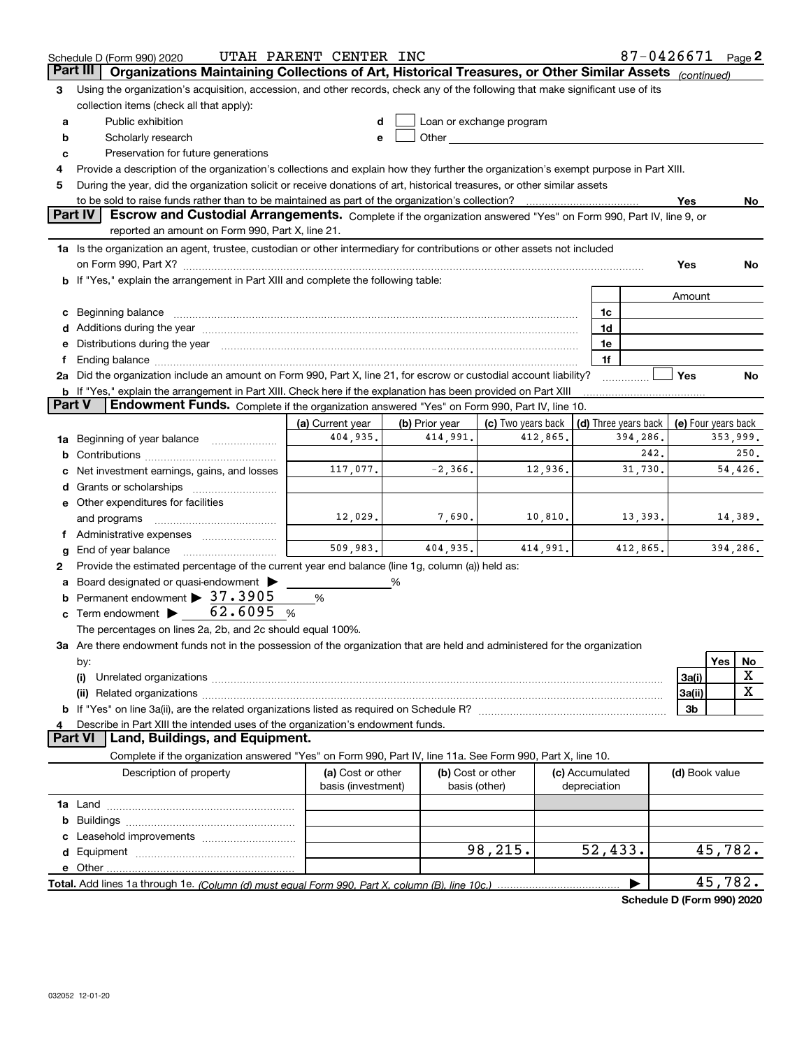| Organizations Maintaining Collections of Art, Historical Treasures, or Other Similar Assets (continued)<br><b>Part III</b><br>Using the organization's acquisition, accession, and other records, check any of the following that make significant use of its<br>З |                     |             |
|--------------------------------------------------------------------------------------------------------------------------------------------------------------------------------------------------------------------------------------------------------------------|---------------------|-------------|
|                                                                                                                                                                                                                                                                    |                     |             |
|                                                                                                                                                                                                                                                                    |                     |             |
| collection items (check all that apply):                                                                                                                                                                                                                           |                     |             |
| Public exhibition<br>Loan or exchange program<br>a                                                                                                                                                                                                                 |                     |             |
| Other and the control of the control of the control of the control of the control of the control of the control of the control of the control of the control of the control of the control of the control of the control of th<br>Scholarly research<br>b<br>e     |                     |             |
| Preservation for future generations<br>c                                                                                                                                                                                                                           |                     |             |
| Provide a description of the organization's collections and explain how they further the organization's exempt purpose in Part XIII.                                                                                                                               |                     |             |
| During the year, did the organization solicit or receive donations of art, historical treasures, or other similar assets<br>5                                                                                                                                      |                     |             |
| to be sold to raise funds rather than to be maintained as part of the organization's collection?<br>. <u>.</u> .                                                                                                                                                   | Yes                 | No          |
| <b>Part IV</b><br>Escrow and Custodial Arrangements. Complete if the organization answered "Yes" on Form 990, Part IV, line 9, or                                                                                                                                  |                     |             |
| reported an amount on Form 990, Part X, line 21.                                                                                                                                                                                                                   |                     |             |
| 1a Is the organization an agent, trustee, custodian or other intermediary for contributions or other assets not included                                                                                                                                           |                     |             |
|                                                                                                                                                                                                                                                                    | Yes                 | No          |
| b If "Yes," explain the arrangement in Part XIII and complete the following table:                                                                                                                                                                                 |                     |             |
|                                                                                                                                                                                                                                                                    | Amount              |             |
| c Beginning balance measurements and the contract of the contract of the contract of the contract of the contract of the contract of the contract of the contract of the contract of the contract of the contract of the contr<br>1c                               |                     |             |
| 1d                                                                                                                                                                                                                                                                 |                     |             |
| e Distributions during the year manufactured and continuum and contact the year manufactured and contact the year manufactured and contact the year manufactured and contact the year manufactured and contact the year manufa<br>1e                               |                     |             |
| 1f<br>Ending balance manufactured and contract the contract of the contract of the contract of the contract of the contract of the contract of the contract of the contract of the contract of the contract of the contract of the c                               |                     |             |
| 2a Did the organization include an amount on Form 990, Part X, line 21, for escrow or custodial account liability?                                                                                                                                                 | Yes                 | No          |
| <b>b</b> If "Yes," explain the arrangement in Part XIII. Check here if the explanation has been provided on Part XIII                                                                                                                                              |                     |             |
| Endowment Funds. Complete if the organization answered "Yes" on Form 990, Part IV, line 10.<br><b>Part V</b>                                                                                                                                                       |                     |             |
| (b) Prior year<br>(a) Current year<br>(c) Two years back<br>(d) Three years back                                                                                                                                                                                   | (e) Four years back |             |
| 404,935.<br>414,991.<br>412,865.<br>394,286.<br>Beginning of year balance<br>1a                                                                                                                                                                                    |                     | 353,999.    |
| 242.                                                                                                                                                                                                                                                               |                     | 250.        |
| $-2,366.$<br>31,730.<br>117,077.<br>12,936.<br>Net investment earnings, gains, and losses                                                                                                                                                                          |                     | 54,426.     |
|                                                                                                                                                                                                                                                                    |                     |             |
| e Other expenditures for facilities                                                                                                                                                                                                                                |                     |             |
| 12,029.<br>7,690.<br>10,810.<br>13,393.<br>and programs                                                                                                                                                                                                            |                     | 14,389.     |
|                                                                                                                                                                                                                                                                    |                     |             |
| 509,983.<br>404,935.<br>414,991.<br>412,865.<br>End of year balance                                                                                                                                                                                                |                     | 394,286.    |
| Provide the estimated percentage of the current year end balance (line 1g, column (a)) held as:<br>2                                                                                                                                                               |                     |             |
| Board designated or quasi-endowment<br>%                                                                                                                                                                                                                           |                     |             |
| <b>b</b> Permanent endowment > 37.3905<br>%                                                                                                                                                                                                                        |                     |             |
| Term endowment $\triangleright$ 62.6095<br>%<br>c                                                                                                                                                                                                                  |                     |             |
| The percentages on lines 2a, 2b, and 2c should equal 100%.                                                                                                                                                                                                         |                     |             |
| 3a Are there endowment funds not in the possession of the organization that are held and administered for the organization                                                                                                                                         |                     |             |
| by:                                                                                                                                                                                                                                                                |                     | Yes<br>No   |
| (i)                                                                                                                                                                                                                                                                | 3a(i)               | X           |
|                                                                                                                                                                                                                                                                    | 3a(ii)              | $\mathbf X$ |
|                                                                                                                                                                                                                                                                    | 3b                  |             |
| Describe in Part XIII the intended uses of the organization's endowment funds.                                                                                                                                                                                     |                     |             |
| Land, Buildings, and Equipment.<br><b>Part VI</b>                                                                                                                                                                                                                  |                     |             |
| Complete if the organization answered "Yes" on Form 990, Part IV, line 11a. See Form 990, Part X, line 10.                                                                                                                                                         |                     |             |
| Description of property<br>(a) Cost or other<br>(b) Cost or other<br>(c) Accumulated                                                                                                                                                                               | (d) Book value      |             |
| basis (investment)<br>basis (other)<br>depreciation                                                                                                                                                                                                                |                     |             |
|                                                                                                                                                                                                                                                                    |                     |             |
| b                                                                                                                                                                                                                                                                  |                     |             |
|                                                                                                                                                                                                                                                                    |                     |             |
| 98,215.<br>52,433.                                                                                                                                                                                                                                                 |                     | 45,782.     |
|                                                                                                                                                                                                                                                                    |                     |             |
|                                                                                                                                                                                                                                                                    |                     | 45,782.     |
| Schedule D (Form 990) 2020                                                                                                                                                                                                                                         |                     |             |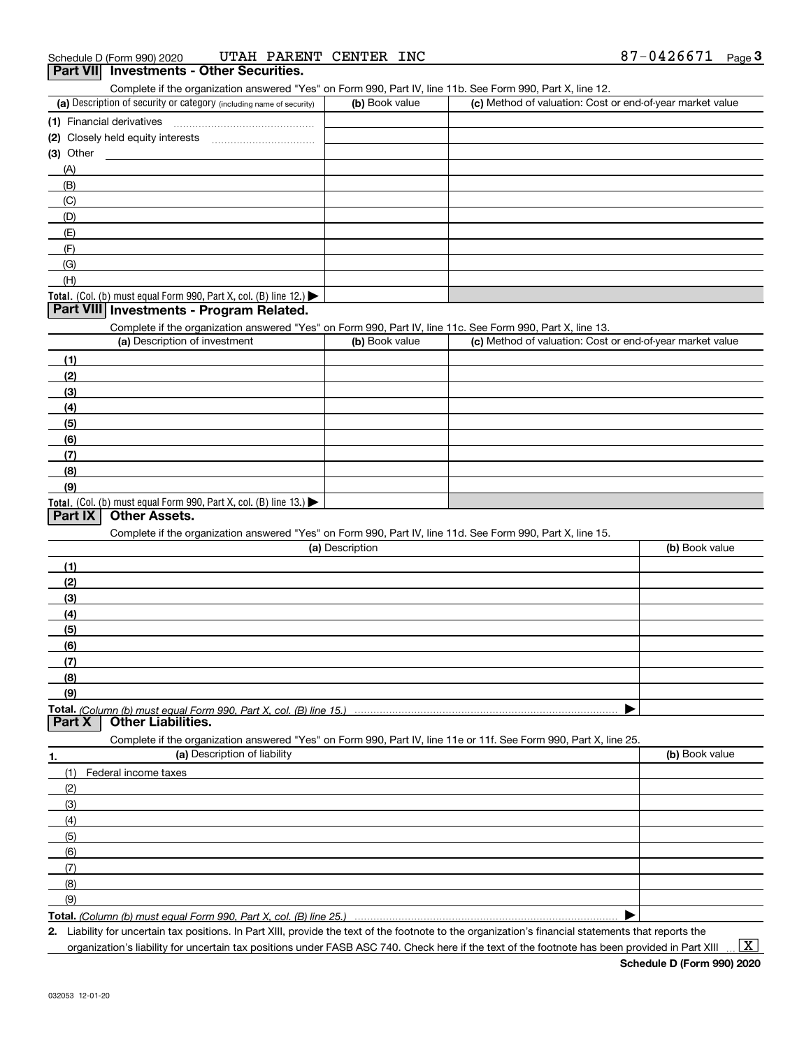## (a) Description of security or category (including name of security)  $\vert$  (b) Book value  $\vert$  (c) ichedule D (Form 990) 2020 **UTAH PARENT CENTER INC 6**<br>**Part VII Investments - Other Securities.**<br>Complete if the organization answered "Yes" on Form 990, Part IV, line 11b. See Form 990, Part X, line 12. (b) Book value (c) Method of valuation: Cost or end-of-year market value Financial derivatives

| (1) Financial derivatives                                                              |  |
|----------------------------------------------------------------------------------------|--|
| (2) Closely held equity interests                                                      |  |
| (3) Other                                                                              |  |
| (A)                                                                                    |  |
| (B)                                                                                    |  |
| (C)                                                                                    |  |
| (D)                                                                                    |  |
| (E)                                                                                    |  |
| (F)                                                                                    |  |
| (G)                                                                                    |  |
| (H)                                                                                    |  |
| Total. (Col. (b) must equal Form 990, Part X, col. (B) line 12.) $\blacktriangleright$ |  |

## **Part VIII Investments - Program Related.**

Complete if the organization answered "Yes" on Form 990, Part IV, line 11c. See Form 990, Part X, line 13.

| (a) Description of investment                                       | (b) Book value | (c) Method of valuation: Cost or end-of-year market value |
|---------------------------------------------------------------------|----------------|-----------------------------------------------------------|
| (1)                                                                 |                |                                                           |
| (2)                                                                 |                |                                                           |
| $\frac{1}{2}$                                                       |                |                                                           |
| (4)                                                                 |                |                                                           |
| $\left(5\right)$                                                    |                |                                                           |
| (6)                                                                 |                |                                                           |
| (7)                                                                 |                |                                                           |
| (8)                                                                 |                |                                                           |
| (9)                                                                 |                |                                                           |
| Total. (Col. (b) must equal Form 990, Part X, col. (B) line $13.$ ) |                |                                                           |

## **Part IX Other Assets.**

Complete if the organization answered "Yes" on Form 990, Part IV, line 11d. See Form 990, Part X, line 15.

| (a) Description                                                                                                                       | (b) Book value |
|---------------------------------------------------------------------------------------------------------------------------------------|----------------|
| (1)                                                                                                                                   |                |
| (2)                                                                                                                                   |                |
| (3)                                                                                                                                   |                |
| (4)                                                                                                                                   |                |
| (5)                                                                                                                                   |                |
| (6)                                                                                                                                   |                |
| (7)                                                                                                                                   |                |
| (8)                                                                                                                                   |                |
| (9)                                                                                                                                   |                |
|                                                                                                                                       |                |
| Total. (Column (b) must equal Form 990. Part X. col. (B) line 15.) ………………………………………………………………………………………<br>  Part X   Other Liabilities. |                |
| Complete if the organization answered "Yes" on Form 990, Part IV, line 11e or 11f. See Form 990, Part X, line 25.                     |                |
| (a) Description of liability<br>1.                                                                                                    | (b) Book value |
| Federal income taxes<br>(1)                                                                                                           |                |
| (2)                                                                                                                                   |                |
| (3)                                                                                                                                   |                |

| (6) |  |
|-----|--|
|     |  |
| (8) |  |
| (9) |  |

**Total.**  *(Column (b) must equal Form 990, Part X, col. (B) line 25.)* 

**2.** | Liability for uncertain tax positions. In Part XIII, provide the text of the footnote to the organization's financial statements that reports the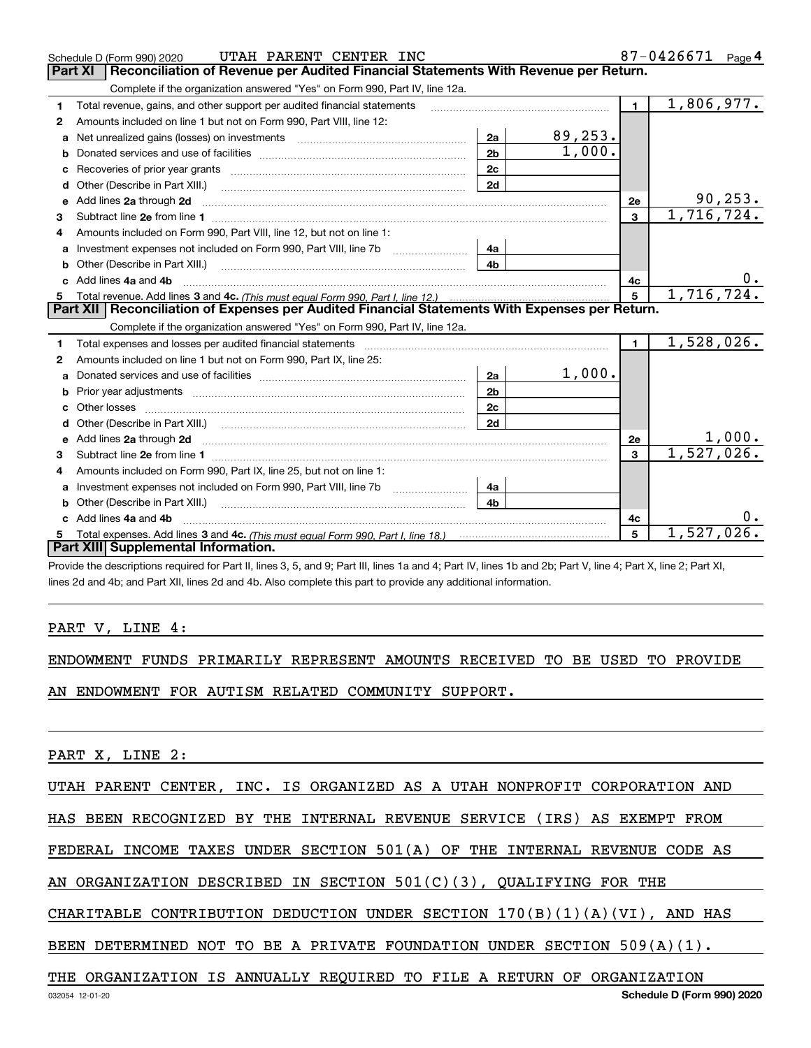|    | UTAH PARENT CENTER INC<br>Schedule D (Form 990) 2020                                                                                                                                                                                |                |          |                | 87-0426671 | Page $4$ |
|----|-------------------------------------------------------------------------------------------------------------------------------------------------------------------------------------------------------------------------------------|----------------|----------|----------------|------------|----------|
|    | Reconciliation of Revenue per Audited Financial Statements With Revenue per Return.<br><b>Part XI</b>                                                                                                                               |                |          |                |            |          |
|    | Complete if the organization answered "Yes" on Form 990, Part IV, line 12a.                                                                                                                                                         |                |          |                |            |          |
| 1. | Total revenue, gains, and other support per audited financial statements                                                                                                                                                            |                |          | $\blacksquare$ | 1,806,977. |          |
| 2  | Amounts included on line 1 but not on Form 990, Part VIII, line 12:                                                                                                                                                                 |                |          |                |            |          |
| a  |                                                                                                                                                                                                                                     | 2a             | 89, 253. |                |            |          |
| b  |                                                                                                                                                                                                                                     | 2 <sub>b</sub> | 1,000.   |                |            |          |
| c  |                                                                                                                                                                                                                                     | 2c             |          |                |            |          |
|    | Other (Describe in Part XIII.) <b>Construction Contract Construction</b>                                                                                                                                                            | 2d             |          |                |            |          |
|    | e Add lines 2a through 2d                                                                                                                                                                                                           |                |          | 2e             |            | 90, 253. |
| 3  |                                                                                                                                                                                                                                     |                |          | 3              | 1,716,724. |          |
| 4  | Amounts included on Form 990, Part VIII, line 12, but not on line 1:                                                                                                                                                                |                |          |                |            |          |
|    |                                                                                                                                                                                                                                     | 4a             |          |                |            |          |
|    |                                                                                                                                                                                                                                     | 4b             |          |                |            |          |
|    | c Add lines 4a and 4b                                                                                                                                                                                                               |                |          | 4c             |            | 0.       |
|    |                                                                                                                                                                                                                                     |                |          | 5              | 1,716,724. |          |
|    | Part XII   Reconciliation of Expenses per Audited Financial Statements With Expenses per Return.                                                                                                                                    |                |          |                |            |          |
|    | Complete if the organization answered "Yes" on Form 990, Part IV, line 12a.                                                                                                                                                         |                |          |                |            |          |
| 1  |                                                                                                                                                                                                                                     |                |          | $\blacksquare$ | 1,528,026. |          |
| 2  | Amounts included on line 1 but not on Form 990, Part IX, line 25:                                                                                                                                                                   |                |          |                |            |          |
| a  |                                                                                                                                                                                                                                     | 2a             | 1,000.   |                |            |          |
| b  |                                                                                                                                                                                                                                     | 2 <sub>b</sub> |          |                |            |          |
|    |                                                                                                                                                                                                                                     | 2c             |          |                |            |          |
| d  |                                                                                                                                                                                                                                     | 2d             |          |                |            |          |
| e  | Add lines 2a through 2d <b>contained a contained a contained a contained a</b> contained a contained a contained a contained a contained a contained a contained a contained a contained a contained a contained a contained a cont |                |          | 2e             |            | 1,000.   |
| 3  |                                                                                                                                                                                                                                     |                |          | 3              | 1,527,026. |          |
| 4  | Amounts included on Form 990, Part IX, line 25, but not on line 1:                                                                                                                                                                  |                |          |                |            |          |
| a  | Investment expenses not included on Form 990, Part VIII, line 7b [11, 111, 111, 111]                                                                                                                                                | 4a             |          |                |            |          |
|    |                                                                                                                                                                                                                                     | 4h             |          |                |            |          |
|    | Add lines 4a and 4b                                                                                                                                                                                                                 |                |          | 4c             |            | 0.       |
| 5. |                                                                                                                                                                                                                                     |                |          | 5              | 1,527,026. |          |
|    | Part XIII Supplemental Information.                                                                                                                                                                                                 |                |          |                |            |          |
|    | Provide the descriptions required for Part II, lines 3, 5, and 9; Part III, lines 1a and 4; Part IV, lines 1b and 2b; Part V, line 4; Part X, line 2; Part XI,                                                                      |                |          |                |            |          |

lines 2d and 4b; and Part XII, lines 2d and 4b. Also complete this part to provide any additional information.

## PART V, LINE 4:

|  |  |  | ENDOWMENT FUNDS PRIMARILY REPRESENT AMOUNTS RECEIVED TO BE USED TO PROVIDE |  |  |  |  |  |  |  |
|--|--|--|----------------------------------------------------------------------------|--|--|--|--|--|--|--|
|--|--|--|----------------------------------------------------------------------------|--|--|--|--|--|--|--|

AN ENDOWMENT FOR AUTISM RELATED COMMUNITY SUPPORT.

PART X, LINE 2:

UTAH PARENT CENTER, INC. IS ORGANIZED AS A UTAH NONPROFIT CORPORATION AND

HAS BEEN RECOGNIZED BY THE INTERNAL REVENUE SERVICE (IRS) AS EXEMPT FROM

FEDERAL INCOME TAXES UNDER SECTION 501(A) OF THE INTERNAL REVENUE CODE AS

AN ORGANIZATION DESCRIBED IN SECTION 501(C)(3), QUALIFYING FOR THE

CHARITABLE CONTRIBUTION DEDUCTION UNDER SECTION  $170(B)(1)(A)(VI)$ , AND HAS

BEEN DETERMINED NOT TO BE A PRIVATE FOUNDATION UNDER SECTION 509(A)(1).

### THE ORGANIZATION IS ANNUALLY REQUIRED TO FILE A RETURN OF ORGANIZATION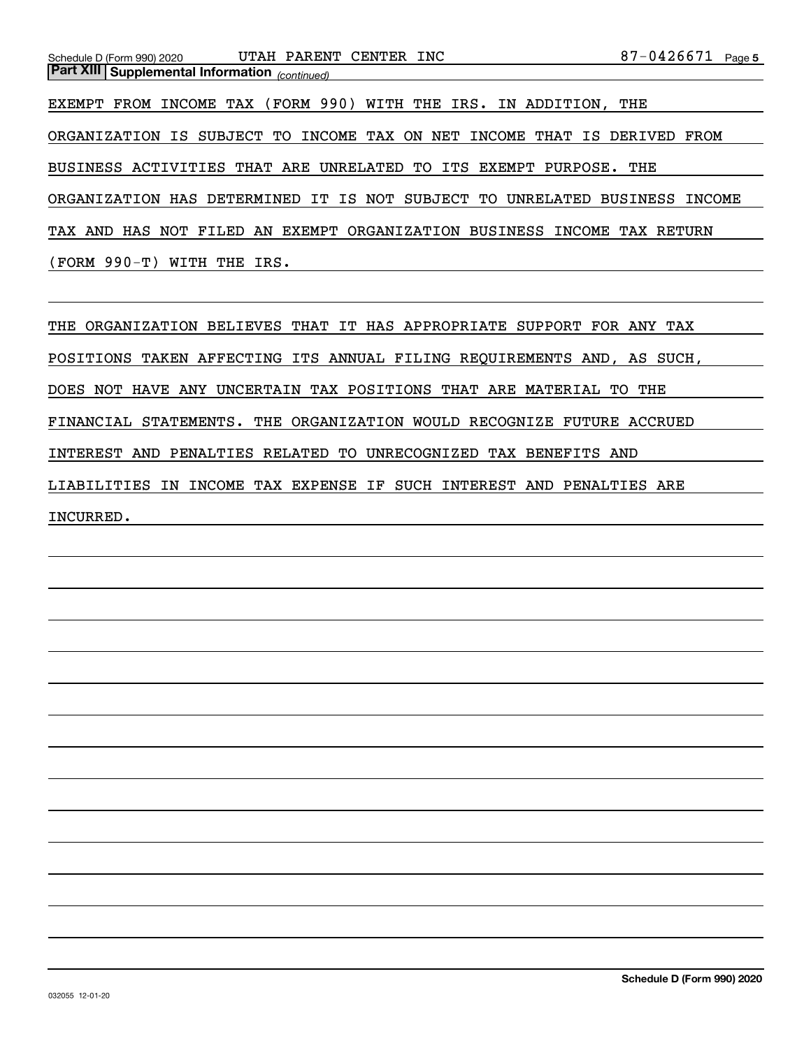| UTAH PARENT<br>CENTER INC<br>Schedule D (Form 990) 2020                  | 87-0426671<br>Page 5 |
|--------------------------------------------------------------------------|----------------------|
| <b>Part XIII Supplemental Information</b> (continued)                    |                      |
| INCOME TAX (FORM 990) WITH THE IRS. IN ADDITION, THE<br>EXEMPT FROM      |                      |
| ORGANIZATION IS SUBJECT TO INCOME TAX ON NET<br>INCOME                   | THAT IS DERIVED FROM |
| BUSINESS ACTIVITIES THAT ARE UNRELATED TO<br>ITS EXEMPT PURPOSE.         | THE                  |
| ORGANIZATION HAS DETERMINED IT IS NOT SUBJECT TO<br>UNRELATED            | BUSINESS<br>INCOME   |
| TAX AND<br>EXEMPT ORGANIZATION BUSINESS<br>HAS NOT FILED<br>INCOME<br>AN | TAX RETURN           |
| $(FORM 990-T)$<br>WITH<br>THE<br>IRS.                                    |                      |

THE ORGANIZATION BELIEVES THAT IT HAS APPROPRIATE SUPPORT FOR ANY TAX POSITIONS TAKEN AFFECTING ITS ANNUAL FILING REQUIREMENTS AND, AS SUCH, DOES NOT HAVE ANY UNCERTAIN TAX POSITIONS THAT ARE MATERIAL TO THE FINANCIAL STATEMENTS. THE ORGANIZATION WOULD RECOGNIZE FUTURE ACCRUED INTEREST AND PENALTIES RELATED TO UNRECOGNIZED TAX BENEFITS AND LIABILITIES IN INCOME TAX EXPENSE IF SUCH INTEREST AND PENALTIES ARE INCURRED.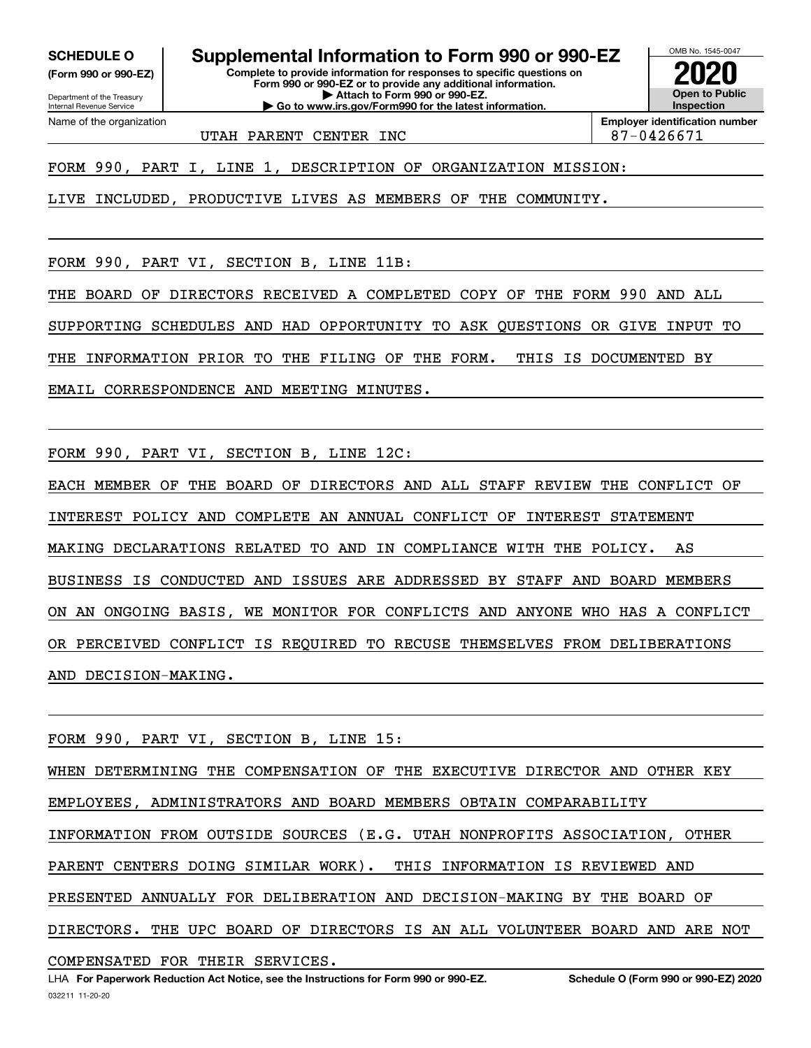**SCHEDULE O Supplemental Information to Form 990 or 990-EZ**

Internal Revenue Service

Department of the Treasury **(Form 990 or 990-EZ)**

Name of the organization

**Complete to provide information for responses to specific questions on Form 990 or 990-EZ or to provide any additional information. | Attach to Form 990 or 990-EZ. | Go to www.irs.gov/Form990 for the latest information.**



UTAH PARENT CENTER INC<br>
and the state of the state of 87-0426671

**Employer identification number**

FORM 990, PART I, LINE 1, DESCRIPTION OF ORGANIZATION MISSION:

LIVE INCLUDED, PRODUCTIVE LIVES AS MEMBERS OF THE COMMUNITY.

FORM 990, PART VI, SECTION B, LINE 11B:

THE BOARD OF DIRECTORS RECEIVED A COMPLETED COPY OF THE FORM 990 AND ALL

SUPPORTING SCHEDULES AND HAD OPPORTUNITY TO ASK QUESTIONS OR GIVE INPUT TO

THE INFORMATION PRIOR TO THE FILING OF THE FORM. THIS IS DOCUMENTED BY

EMAIL CORRESPONDENCE AND MEETING MINUTES.

FORM 990, PART VI, SECTION B, LINE 12C:

EACH MEMBER OF THE BOARD OF DIRECTORS AND ALL STAFF REVIEW THE CONFLICT OF INTEREST POLICY AND COMPLETE AN ANNUAL CONFLICT OF INTEREST STATEMENT MAKING DECLARATIONS RELATED TO AND IN COMPLIANCE WITH THE POLICY. AS BUSINESS IS CONDUCTED AND ISSUES ARE ADDRESSED BY STAFF AND BOARD MEMBERS ON AN ONGOING BASIS, WE MONITOR FOR CONFLICTS AND ANYONE WHO HAS A CONFLICT OR PERCEIVED CONFLICT IS REQUIRED TO RECUSE THEMSELVES FROM DELIBERATIONS AND DECISION-MAKING.

FORM 990, PART VI, SECTION B, LINE 15: WHEN DETERMINING THE COMPENSATION OF THE EXECUTIVE DIRECTOR AND OTHER KEY EMPLOYEES, ADMINISTRATORS AND BOARD MEMBERS OBTAIN COMPARABILITY INFORMATION FROM OUTSIDE SOURCES (E.G. UTAH NONPROFITS ASSOCIATION, OTHER PARENT CENTERS DOING SIMILAR WORK). THIS INFORMATION IS REVIEWED AND PRESENTED ANNUALLY FOR DELIBERATION AND DECISION-MAKING BY THE BOARD OF DIRECTORS. THE UPC BOARD OF DIRECTORS IS AN ALL VOLUNTEER BOARD AND ARE NOT COMPENSATED FOR THEIR SERVICES.